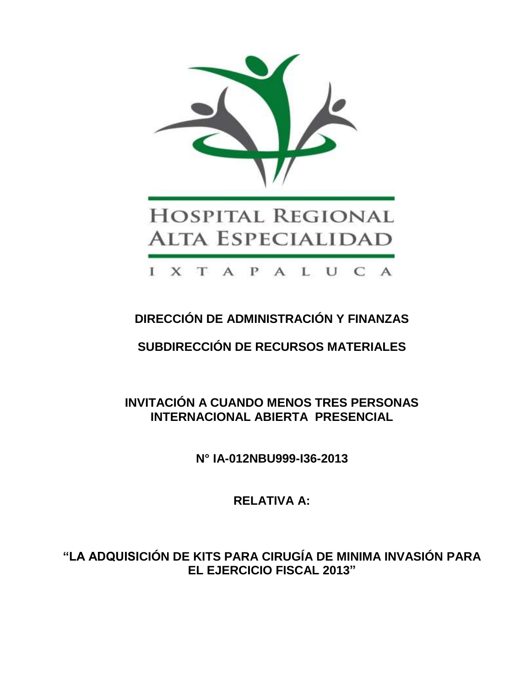

# **DIRECCIÓN DE ADMINISTRACIÓN Y FINANZAS**

# **SUBDIRECCIÓN DE RECURSOS MATERIALES**

**INVITACIÓN A CUANDO MENOS TRES PERSONAS INTERNACIONAL ABIERTA PRESENCIAL**

**N° IA-012NBU999-I36-2013**

**RELATIVA A:**

**"LA ADQUISICIÓN DE KITS PARA CIRUGÍA DE MINIMA INVASIÓN PARA EL EJERCICIO FISCAL 2013"**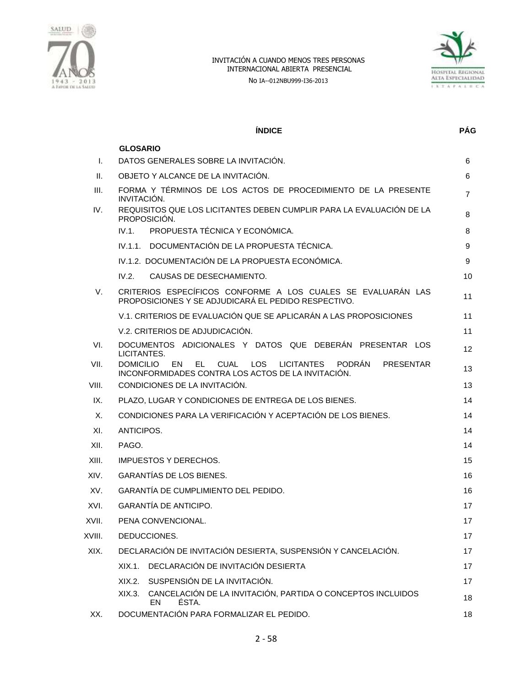

No IA--012NBU999-I36-2013



|        | <b>INDICE</b>                                                                                                                                                              | <b>PÁG</b>     |
|--------|----------------------------------------------------------------------------------------------------------------------------------------------------------------------------|----------------|
|        | <b>GLOSARIO</b>                                                                                                                                                            |                |
| I.     | DATOS GENERALES SOBRE LA INVITACIÓN.                                                                                                                                       | 6              |
| Ш.     | OBJETO Y ALCANCE DE LA INVITACIÓN.                                                                                                                                         | 6              |
| III.   | FORMA Y TÉRMINOS DE LOS ACTOS DE PROCEDIMIENTO DE LA PRESENTE<br>INVITACIÓN.                                                                                               | $\overline{7}$ |
| IV.    | REQUISITOS QUE LOS LICITANTES DEBEN CUMPLIR PARA LA EVALUACIÓN DE LA<br>PROPOSICIÓN.                                                                                       | 8              |
|        | IV.1.<br>PROPUESTA TÉCNICA Y ECONÓMICA.                                                                                                                                    | 8              |
|        | IV.1.1. DOCUMENTACIÓN DE LA PROPUESTA TÉCNICA.                                                                                                                             | 9              |
|        | IV.1.2. DOCUMENTACIÓN DE LA PROPUESTA ECONÓMICA.                                                                                                                           | 9              |
|        | IV.2.<br>CAUSAS DE DESECHAMIENTO.                                                                                                                                          | 10             |
| V.     | CRITERIOS ESPECÍFICOS CONFORME A LOS CUALES SE EVALUARÁN LAS<br>PROPOSICIONES Y SE ADJUDICARÁ EL PEDIDO RESPECTIVO.                                                        | 11             |
|        | V.1. CRITERIOS DE EVALUACIÓN QUE SE APLICARÁN A LAS PROPOSICIONES                                                                                                          | 11             |
|        | V.2. CRITERIOS DE ADJUDICACIÓN.                                                                                                                                            | 11             |
| VI.    | DOCUMENTOS ADICIONALES Y DATOS QUE DEBERÁN PRESENTAR LOS<br>LICITANTES.                                                                                                    | 12             |
| VII.   | <b>DOMICILIO</b><br>EL.<br><b>CUAL</b><br><b>LOS</b><br><b>LICITANTES</b><br><b>PODRÁN</b><br>EN<br><b>PRESENTAR</b><br>INCONFORMIDADES CONTRA LOS ACTOS DE LA INVITACIÓN. | 13             |
| VIII.  | CONDICIONES DE LA INVITACIÓN.                                                                                                                                              | 13             |
| IX.    | PLAZO, LUGAR Y CONDICIONES DE ENTREGA DE LOS BIENES.                                                                                                                       | 14             |
| Х.     | CONDICIONES PARA LA VERIFICACIÓN Y ACEPTACIÓN DE LOS BIENES.                                                                                                               | 14             |
| XI.    | ANTICIPOS.                                                                                                                                                                 | 14             |
| XII.   | PAGO.                                                                                                                                                                      | 14             |
| XIII.  | <b>IMPUESTOS Y DERECHOS.</b>                                                                                                                                               | 15             |
| XIV.   | GARANTÍAS DE LOS BIENES.                                                                                                                                                   | 16             |
| XV.    | GARANTÍA DE CUMPLIMIENTO DEL PEDIDO.                                                                                                                                       | 16             |
| XVI.   | <b>GARANTÍA DE ANTICIPO.</b>                                                                                                                                               | 17             |
| XVII.  | PENA CONVENCIONAL.                                                                                                                                                         | 17             |
| XVIII. | DEDUCCIONES.                                                                                                                                                               | 17             |
| XIX.   | DECLARACIÓN DE INVITACIÓN DESIERTA, SUSPENSIÓN Y CANCELACIÓN.                                                                                                              | 17             |
|        | DECLARACIÓN DE INVITACIÓN DESIERTA<br>XIX.1.                                                                                                                               | 17             |
|        | SUSPENSIÓN DE LA INVITACIÓN.<br>XIX.2.                                                                                                                                     | 17             |
|        | CANCELACIÓN DE LA INVITACIÓN, PARTIDA O CONCEPTOS INCLUIDOS<br>XIX.3.<br>ÉSTA.<br>EN                                                                                       | 18             |
| XX.    | DOCUMENTACIÓN PARA FORMALIZAR EL PEDIDO.                                                                                                                                   | 18             |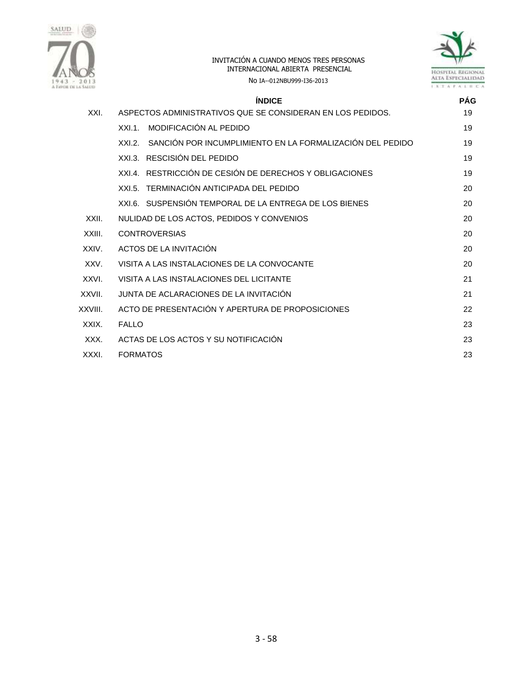



No IA--012NBU999-I36-2013

|         | <b>ÍNDICE</b>                                                    | <b>PÁG</b> |
|---------|------------------------------------------------------------------|------------|
| XXI.    | ASPECTOS ADMINISTRATIVOS QUE SE CONSIDERAN EN LOS PEDIDOS.       | 19         |
|         | MODIFICACIÓN AL PEDIDO<br>XXL1                                   | 19         |
|         | XXI.2. SANCIÓN POR INCUMPLIMIENTO EN LA FORMALIZACIÓN DEL PEDIDO | 19         |
|         | XXI.3. RESCISIÓN DEL PEDIDO                                      | 19         |
|         | XXI.4. RESTRICCIÓN DE CESIÓN DE DERECHOS Y OBLIGACIONES          | 19         |
|         | XXI.5. TERMINACIÓN ANTICIPADA DEL PEDIDO                         | 20         |
|         | XXL6. SUSPENSIÓN TEMPORAL DE LA ENTREGA DE LOS BIENES            | 20         |
| XXII.   | NULIDAD DE LOS ACTOS, PEDIDOS Y CONVENIOS                        | 20         |
| XXIII.  | <b>CONTROVERSIAS</b>                                             | 20         |
| XXIV.   | ACTOS DE LA INVITACIÓN                                           | 20         |
| XXV.    | VISITA A LAS INSTALACIONES DE LA CONVOCANTE                      | 20         |
| XXVI.   | VISITA A LAS INSTALACIONES DEL LICITANTE                         | 21         |
| XXVII.  | JUNTA DE ACLARACIONES DE LA INVITACIÓN                           | 21         |
| XXVIII. | ACTO DE PRESENTACIÓN Y APERTURA DE PROPOSICIONES                 | 22         |
| XXIX.   | <b>FALLO</b>                                                     | 23         |
| XXX.    | ACTAS DE LOS ACTOS Y SU NOTIFICACIÓN                             | 23         |
| XXXI.   | <b>FORMATOS</b>                                                  | 23         |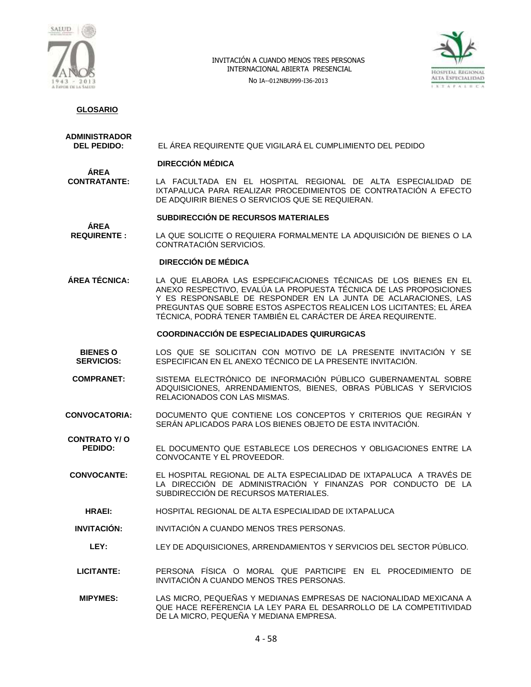

No IA--012NBU999-I36-2013



## **GLOSARIO**

# **ADMINISTRADOR**

**ÁREA** 

**DEL PEDIDO:** EL ÁREA REQUIRENTE QUE VIGILARÁ EL CUMPLIMIENTO DEL PEDIDO

#### **DIRECCIÓN MÉDICA**

**ÁREA<br>CONTRATANTE:** LA FACULTADA EN EL HOSPITAL REGIONAL DE ALTA ESPECIALIDAD DE IXTAPALUCA PARA REALIZAR PROCEDIMIENTOS DE CONTRATACIÓN A EFECTO DE ADQUIRIR BIENES O SERVICIOS QUE SE REQUIERAN.

#### **SUBDIRECCIÓN DE RECURSOS MATERIALES**

**REQUIRENTE :** LA QUE SOLICITE O REQUIERA FORMALMENTE LA ADQUISICIÓN DE BIENES O LA CONTRATACIÓN SERVICIOS.

#### **DIRECCIÓN DE MÉDICA**

**ÁREA TÉCNICA:** LA QUE ELABORA LAS ESPECIFICACIONES TÉCNICAS DE LOS BIENES EN EL ANEXO RESPECTIVO, EVALÚA LA PROPUESTA TÉCNICA DE LAS PROPOSICIONES Y ES RESPONSABLE DE RESPONDER EN LA JUNTA DE ACLARACIONES, LAS PREGUNTAS QUE SOBRE ESTOS ASPECTOS REALICEN LOS LICITANTES; EL ÁREA TÉCNICA, PODRÁ TENER TAMBIÉN EL CARÁCTER DE ÁREA REQUIRENTE.

#### **COORDINACCIÓN DE ESPECIALIDADES QUIRURGICAS**

- **BIENES O SERVICIOS:** LOS QUE SE SOLICITAN CON MOTIVO DE LA PRESENTE INVITACIÓN Y SE ESPECIFICAN EN EL ANEXO TÉCNICO DE LA PRESENTE INVITACIÓN.
- **COMPRANET:** SISTEMA ELECTRÓNICO DE INFORMACIÓN PÚBLICO GUBERNAMENTAL SOBRE ADQUISICIONES, ARRENDAMIENTOS, BIENES, OBRAS PÚBLICAS Y SERVICIOS RELACIONADOS CON LAS MISMAS.
- **CONVOCATORIA:** DOCUMENTO QUE CONTIENE LOS CONCEPTOS Y CRITERIOS QUE REGIRÁN Y SERÁN APLICADOS PARA LOS BIENES OBJETO DE ESTA INVITACIÓN.

**CONTRATO Y/ O PEDIDO:** EL DOCUMENTO QUE ESTABLECE LOS DERECHOS Y OBLIGACIONES ENTRE LA CONVOCANTE Y EL PROVEEDOR.

- **CONVOCANTE:** EL HOSPITAL REGIONAL DE ALTA ESPECIALIDAD DE IXTAPALUCA A TRAVÉS DE LA DIRECCIÓN DE ADMINISTRACIÓN Y FINANZAS POR CONDUCTO DE LA SUBDIRECCIÓN DE RECURSOS MATERIALES.
	- **HRAEI:** HOSPITAL REGIONAL DE ALTA ESPECIALIDAD DE IXTAPALUCA
- **INVITACIÓN:** INVITACIÓN A CUANDO MENOS TRES PERSONAS.
	- **LEY:** LEY DE ADQUISICIONES, ARRENDAMIENTOS Y SERVICIOS DEL SECTOR PÚBLICO.
- **LICITANTE:** PERSONA FÍSICA O MORAL QUE PARTICIPE EN EL PROCEDIMIENTO DE INVITACIÓN A CUANDO MENOS TRES PERSONAS.
- **MIPYMES:** LAS MICRO, PEQUEÑAS Y MEDIANAS EMPRESAS DE NACIONALIDAD MEXICANA A QUE HACE REFERENCIA LA LEY PARA EL DESARROLLO DE LA COMPETITIVIDAD DE LA MICRO, PEQUEÑA Y MEDIANA EMPRESA.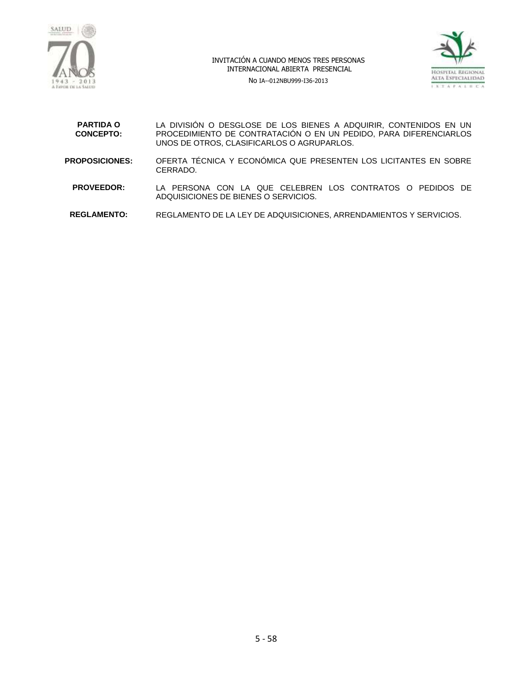

No IA--012NBU999-I36-2013



| <b>PARTIDA O</b><br><b>CONCEPTO:</b> | LA DIVISIÓN O DESGLOSE DE LOS BIENES A ADQUIRIR, CONTENIDOS EN UN<br>PROCEDIMIENTO DE CONTRATACIÓN O EN UN PEDIDO, PARA DIFERENCIARLOS<br>UNOS DE OTROS, CLASIFICARLOS O AGRUPARLOS. |
|--------------------------------------|--------------------------------------------------------------------------------------------------------------------------------------------------------------------------------------|
| <b>PROPOSICIONES:</b>                | OFERTA TÉCNICA Y ECONÓMICA QUE PRESENTEN LOS LICITANTES EN SOBRE<br>CERRADO.                                                                                                         |
| <b>PROVEEDOR:</b>                    | LA PERSONA CON LA QUE CELEBREN LOS CONTRATOS O PEDIDOS DE<br>ADQUISICIONES DE BIENES O SERVICIOS.                                                                                    |
| <b>REGLAMENTO:</b>                   | REGLAMENTO DE LA LEY DE ADQUISICIONES, ARRENDAMIENTOS Y SERVICIOS.                                                                                                                   |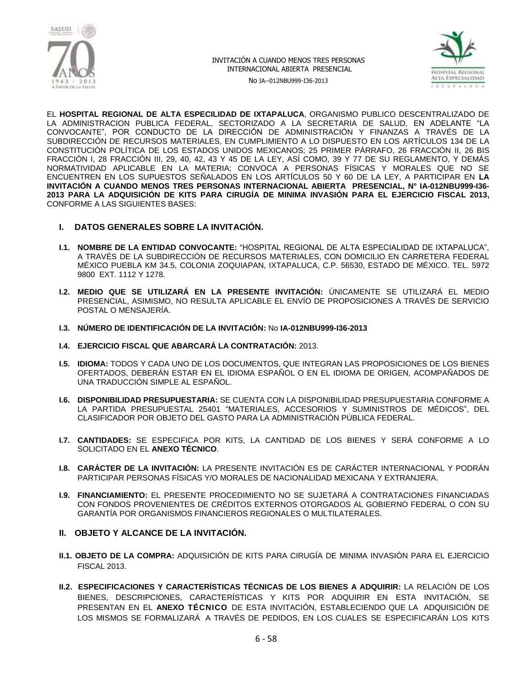



No IA--012NBU999-I36-2013

EL **HOSPITAL REGIONAL DE ALTA ESPECILIDAD DE IXTAPALUCA**, ORGANISMO PUBLICO DESCENTRALIZADO DE LA ADMINISTRACION PUBLICA FEDERAL, SECTORIZADO A LA SECRETARIA DE SALUD, EN ADELANTE "LA CONVOCANTE", POR CONDUCTO DE LA DIRECCIÓN DE ADMINISTRACIÓN Y FINANZAS A TRAVÉS DE LA SUBDIRECCIÓN DE RECURSOS MATERIALES, EN CUMPLIMIENTO A LO DISPUESTO EN LOS ARTÍCULOS 134 DE LA CONSTITUCIÓN POLÍTICA DE LOS ESTADOS UNIDOS MEXICANOS; 25 PRIMER PÁRRAFO, 26 FRACCIÓN II, 26 BIS FRACCIÓN I, 28 FRACCIÓN III, 29, 40, 42, 43 Y 45 DE LA LEY, ASÍ COMO, 39 Y 77 DE SU REGLAMENTO, Y DEMÁS NORMATIVIDAD APLICABLE EN LA MATERIA; CONVOCA A PERSONAS FÍSICAS Y MORALES QUE NO SE ENCUENTREN EN LOS SUPUESTOS SEÑALADOS EN LOS ARTÍCULOS 50 Y 60 DE LA LEY, A PARTICIPAR EN **LA INVITACIÓN A CUANDO MENOS TRES PERSONAS INTERNACIONAL ABIERTA PRESENCIAL, N° IA-012NBU999-I36- 2013 PARA LA ADQUISICIÓN DE KITS PARA CIRUGÍA DE MINIMA INVASIÓN PARA EL EJERCICIO FISCAL 2013,** CONFORME A LAS SIGUIENTES BASES:

- **I. DATOS GENERALES SOBRE LA INVITACIÓN.**
- **I.1. NOMBRE DE LA ENTIDAD CONVOCANTE:** "HOSPITAL REGIONAL DE ALTA ESPECIALIDAD DE IXTAPALUCA", A TRAVÉS DE LA SUBDIRECCIÓN DE RECURSOS MATERIALES, CON DOMICILIO EN CARRETERA FEDERAL MÉXICO PUEBLA KM 34.5, COLONIA ZOQUIAPAN, IXTAPALUCA, C.P. 56530, ESTADO DE MÉXICO. TEL. 5972 9800 EXT. 1112 Y 1278.
- **I.2. MEDIO QUE SE UTILIZARÁ EN LA PRESENTE INVITACIÓN:** ÚNICAMENTE SE UTILIZARÁ EL MEDIO PRESENCIAL, ASIMISMO, NO RESULTA APLICABLE EL ENVÍO DE PROPOSICIONES A TRAVÉS DE SERVICIO POSTAL O MENSAJERÍA.
- **I.3. NÚMERO DE IDENTIFICACIÓN DE LA INVITACIÓN:** No **IA-012NBU999-I36-2013**
- **I.4. EJERCICIO FISCAL QUE ABARCARÁ LA CONTRATACIÓN:** 2013.
- **I.5. IDIOMA:** TODOS Y CADA UNO DE LOS DOCUMENTOS, QUE INTEGRAN LAS PROPOSICIONES DE LOS BIENES OFERTADOS, DEBERÁN ESTAR EN EL IDIOMA ESPAÑOL O EN EL IDIOMA DE ORIGEN, ACOMPAÑADOS DE UNA TRADUCCIÓN SIMPLE AL ESPAÑOL.
- **I.6. DISPONIBILIDAD PRESUPUESTARIA:** SE CUENTA CON LA DISPONIBILIDAD PRESUPUESTARIA CONFORME A LA PARTIDA PRESUPUESTAL 25401 "MATERIALES, ACCESORIOS Y SUMINISTROS DE MÉDICOS", DEL CLASIFICADOR POR OBJETO DEL GASTO PARA LA ADMINISTRACIÓN PÚBLICA FEDERAL.
- **I.7. CANTIDADES:** SE ESPECIFICA POR KITS, LA CANTIDAD DE LOS BIENES Y SERÁ CONFORME A LO SOLICITADO EN EL **ANEXO TÉCNICO**.
- **I.8. CARÁCTER DE LA INVITACIÓN:** LA PRESENTE INVITACIÓN ES DE CARÁCTER INTERNACIONAL Y PODRÁN PARTICIPAR PERSONAS FÍSICAS Y/O MORALES DE NACIONALIDAD MEXICANA Y EXTRANJERA.
- **I.9. FINANCIAMIENTO:** EL PRESENTE PROCEDIMIENTO NO SE SUJETARÁ A CONTRATACIONES FINANCIADAS CON FONDOS PROVENIENTES DE CRÉDITOS EXTERNOS OTORGADOS AL GOBIERNO FEDERAL O CON SU GARANTÍA POR ORGANISMOS FINANCIEROS REGIONALES O MULTILATERALES.

#### **II. OBJETO Y ALCANCE DE LA INVITACIÓN.**

- **II.1. OBJETO DE LA COMPRA:** ADQUISICIÓN DE KITS PARA CIRUGÍA DE MINIMA INVASIÓN PARA EL EJERCICIO FISCAL 2013.
- **II.2. ESPECIFICACIONES Y CARACTERÍSTICAS TÉCNICAS DE LOS BIENES A ADQUIRIR:** LA RELACIÓN DE LOS BIENES, DESCRIPCIONES, CARACTERÍSTICAS Y KITS POR ADQUIRIR EN ESTA INVITACIÓN, SE PRESENTAN EN EL **ANEXO TÉCNICO** DE ESTA INVITACIÓN, ESTABLECIENDO QUE LA ADQUISICIÓN DE LOS MISMOS SE FORMALIZARÁ A TRAVÉS DE PEDIDOS, EN LOS CUALES SE ESPECIFICARÁN LOS KITS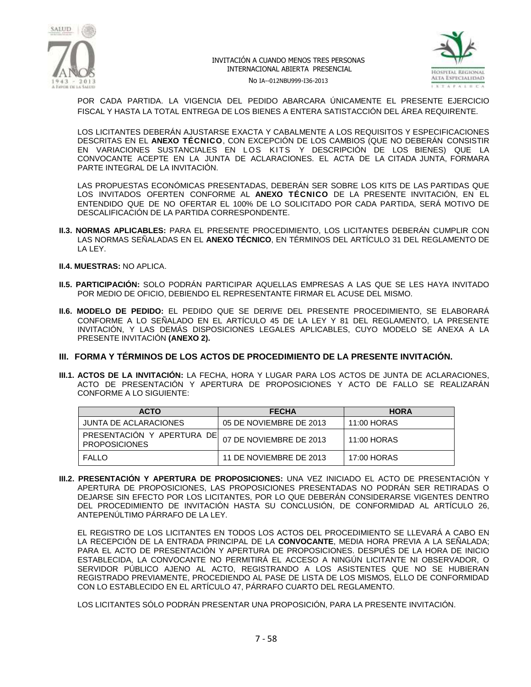



No IA--012NBU999-I36-2013

POR CADA PARTIDA. LA VIGENCIA DEL PEDIDO ABARCARA ÚNICAMENTE EL PRESENTE EJERCICIO FISCAL Y HASTA LA TOTAL ENTREGA DE LOS BIENES A ENTERA SATISTACCIÓN DEL ÁREA REQUIRENTE.

LOS LICITANTES DEBERÁN AJUSTARSE EXACTA Y CABALMENTE A LOS REQUISITOS Y ESPECIFICACIONES DESCRITAS EN EL **ANEXO TÉCNICO**, CON EXCEPCIÓN DE LOS CAMBIOS (QUE NO DEBERÁN CONSISTIR EN VARIACIONES SUSTANCIALES EN LOS KITS Y DESCRIPCIÓN DE LOS BIENES) QUE LA CONVOCANTE ACEPTE EN LA JUNTA DE ACLARACIONES. EL ACTA DE LA CITADA JUNTA, FORMARA PARTE INTEGRAL DE LA INVITACIÓN.

LAS PROPUESTAS ECONÓMICAS PRESENTADAS, DEBERÁN SER SOBRE LOS KITS DE LAS PARTIDAS QUE LOS INVITADOS OFERTEN CONFORME AL **ANEXO TÉCNICO** DE LA PRESENTE INVITACIÓN, EN EL ENTENDIDO QUE DE NO OFERTAR EL 100% DE LO SOLICITADO POR CADA PARTIDA, SERÁ MOTIVO DE DESCALIFICACIÓN DE LA PARTIDA CORRESPONDENTE.

- **II.3. NORMAS APLICABLES:** PARA EL PRESENTE PROCEDIMIENTO, LOS LICITANTES DEBERÁN CUMPLIR CON LAS NORMAS SEÑALADAS EN EL **ANEXO TÉCNICO**, EN TÉRMINOS DEL ARTÍCULO 31 DEL REGLAMENTO DE LA LEY.
- **II.4. MUESTRAS:** NO APLICA.
- **II.5. PARTICIPACIÓN:** SOLO PODRÁN PARTICIPAR AQUELLAS EMPRESAS A LAS QUE SE LES HAYA INVITADO POR MEDIO DE OFICIO, DEBIENDO EL REPRESENTANTE FIRMAR EL ACUSE DEL MISMO.
- **II.6. MODELO DE PEDIDO:** EL PEDIDO QUE SE DERIVE DEL PRESENTE PROCEDIMIENTO, SE ELABORARÁ CONFORME A LO SEÑALADO EN EL ARTÍCULO 45 DE LA LEY Y 81 DEL REGLAMENTO, LA PRESENTE INVITACIÓN, Y LAS DEMÁS DISPOSICIONES LEGALES APLICABLES, CUYO MODELO SE ANEXA A LA PRESENTE INVITACIÓN **(ANEXO 2).**
- **III. FORMA Y TÉRMINOS DE LOS ACTOS DE PROCEDIMIENTO DE LA PRESENTE INVITACIÓN.**
- **III.1. ACTOS DE LA INVITACIÓN:** LA FECHA, HORA Y LUGAR PARA LOS ACTOS DE JUNTA DE ACLARACIONES, ACTO DE PRESENTACIÓN Y APERTURA DE PROPOSICIONES Y ACTO DE FALLO SE REALIZARÁN CONFORME A LO SIGUIENTE:

| <b>ACTO</b>                                         | <b>FECHA</b>            | <b>HORA</b> |
|-----------------------------------------------------|-------------------------|-------------|
| JUNTA DE ACLARACIONES                               | 05 DE NOVIEMBRE DE 2013 | 11:00 HORAS |
| PRESENTACION Y APERTURA DEI<br><b>PROPOSICIONES</b> | 07 DE NOVIEMBRE DE 2013 | 11:00 HORAS |
| <b>FALLO</b>                                        | 11 DE NOVIEMBRE DE 2013 | 17:00 HORAS |

**III.2. PRESENTACIÓN Y APERTURA DE PROPOSICIONES:** UNA VEZ INICIADO EL ACTO DE PRESENTACIÓN Y APERTURA DE PROPOSICIONES, LAS PROPOSICIONES PRESENTADAS NO PODRÁN SER RETIRADAS O DEJARSE SIN EFECTO POR LOS LICITANTES, POR LO QUE DEBERÁN CONSIDERARSE VIGENTES DENTRO DEL PROCEDIMIENTO DE INVITACIÓN HASTA SU CONCLUSIÓN, DE CONFORMIDAD AL ARTÍCULO 26, ANTEPENÚLTIMO PÁRRAFO DE LA LEY.

EL REGISTRO DE LOS LICITANTES EN TODOS LOS ACTOS DEL PROCEDIMIENTO SE LLEVARÁ A CABO EN LA RECEPCIÓN DE LA ENTRADA PRINCIPAL DE LA **CONVOCANTE**, MEDIA HORA PREVIA A LA SEÑALADA; PARA EL ACTO DE PRESENTACIÓN Y APERTURA DE PROPOSICIONES. DESPUÉS DE LA HORA DE INICIO ESTABLECIDA, LA CONVOCANTE NO PERMITIRÁ EL ACCESO A NINGÚN LICITANTE NI OBSERVADOR, O SERVIDOR PÚBLICO AJENO AL ACTO, REGISTRANDO A LOS ASISTENTES QUE NO SE HUBIERAN REGISTRADO PREVIAMENTE, PROCEDIENDO AL PASE DE LISTA DE LOS MISMOS, ELLO DE CONFORMIDAD CON LO ESTABLECIDO EN EL ARTÍCULO 47, PÁRRAFO CUARTO DEL REGLAMENTO.

LOS LICITANTES SÓLO PODRÁN PRESENTAR UNA PROPOSICIÓN, PARA LA PRESENTE INVITACIÓN.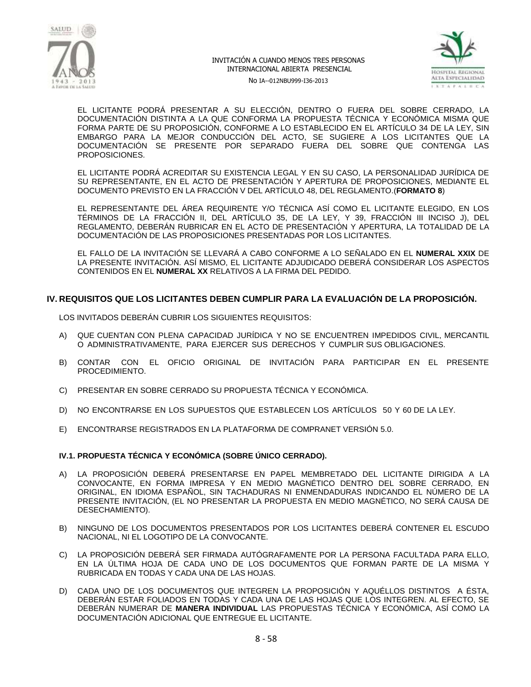



No IA--012NBU999-I36-2013

EL LICITANTE PODRÁ PRESENTAR A SU ELECCIÓN, DENTRO O FUERA DEL SOBRE CERRADO, LA DOCUMENTACIÓN DISTINTA A LA QUE CONFORMA LA PROPUESTA TÉCNICA Y ECONÓMICA MISMA QUE FORMA PARTE DE SU PROPOSICIÓN, CONFORME A LO ESTABLECIDO EN EL ARTÍCULO 34 DE LA LEY, SIN EMBARGO PARA LA MEJOR CONDUCCIÓN DEL ACTO, SE SUGIERE A LOS LICITANTES QUE LA DOCUMENTACIÓN SE PRESENTE POR SEPARADO FUERA DEL SOBRE QUE CONTENGA LAS PROPOSICIONES.

EL LICITANTE PODRÁ ACREDITAR SU EXISTENCIA LEGAL Y EN SU CASO, LA PERSONALIDAD JURÍDICA DE SU REPRESENTANTE, EN EL ACTO DE PRESENTACIÓN Y APERTURA DE PROPOSICIONES, MEDIANTE EL DOCUMENTO PREVISTO EN LA FRACCIÓN V DEL ARTÍCULO 48, DEL REGLAMENTO.(**FORMATO 8**)

EL REPRESENTANTE DEL ÁREA REQUIRENTE Y/O TÉCNICA ASÍ COMO EL LICITANTE ELEGIDO, EN LOS TÉRMINOS DE LA FRACCIÓN II, DEL ARTÍCULO 35, DE LA LEY, Y 39, FRACCIÓN III INCISO J), DEL REGLAMENTO, DEBERÁN RUBRICAR EN EL ACTO DE PRESENTACIÓN Y APERTURA, LA TOTALIDAD DE LA DOCUMENTACIÓN DE LAS PROPOSICIONES PRESENTADAS POR LOS LICITANTES.

EL FALLO DE LA INVITACIÓN SE LLEVARÁ A CABO CONFORME A LO SEÑALADO EN EL **NUMERAL XXIX** DE LA PRESENTE INVITACIÓN. ASÍ MISMO, EL LICITANTE ADJUDICADO DEBERÁ CONSIDERAR LOS ASPECTOS CONTENIDOS EN EL **NUMERAL XX** RELATIVOS A LA FIRMA DEL PEDIDO.

## **IV. REQUISITOS QUE LOS LICITANTES DEBEN CUMPLIR PARA LA EVALUACIÓN DE LA PROPOSICIÓN.**

LOS INVITADOS DEBERÁN CUBRIR LOS SIGUIENTES REQUISITOS:

- A) QUE CUENTAN CON PLENA CAPACIDAD JURÍDICA Y NO SE ENCUENTREN IMPEDIDOS CIVIL, MERCANTIL O ADMINISTRATIVAMENTE, PARA EJERCER SUS DERECHOS Y CUMPLIR SUS OBLIGACIONES.
- B) CONTAR CON EL OFICIO ORIGINAL DE INVITACIÓN PARA PARTICIPAR EN EL PRESENTE PROCEDIMIENTO.
- C) PRESENTAR EN SOBRE CERRADO SU PROPUESTA TÉCNICA Y ECONÓMICA.
- D) NO ENCONTRARSE EN LOS SUPUESTOS QUE ESTABLECEN LOS ARTÍCULOS 50 Y 60 DE LA LEY.
- E) ENCONTRARSE REGISTRADOS EN LA PLATAFORMA DE COMPRANET VERSIÓN 5.0.

#### **IV.1. PROPUESTA TÉCNICA Y ECONÓMICA (SOBRE ÚNICO CERRADO).**

- A) LA PROPOSICIÓN DEBERÁ PRESENTARSE EN PAPEL MEMBRETADO DEL LICITANTE DIRIGIDA A LA CONVOCANTE, EN FORMA IMPRESA Y EN MEDIO MAGNÉTICO DENTRO DEL SOBRE CERRADO, EN ORIGINAL, EN IDIOMA ESPAÑOL, SIN TACHADURAS NI ENMENDADURAS INDICANDO EL NÚMERO DE LA PRESENTE INVITACIÓN, (EL NO PRESENTAR LA PROPUESTA EN MEDIO MAGNÉTICO, NO SERÁ CAUSA DE DESECHAMIENTO).
- B) NINGUNO DE LOS DOCUMENTOS PRESENTADOS POR LOS LICITANTES DEBERÁ CONTENER EL ESCUDO NACIONAL, NI EL LOGOTIPO DE LA CONVOCANTE.
- C) LA PROPOSICIÓN DEBERÁ SER FIRMADA AUTÓGRAFAMENTE POR LA PERSONA FACULTADA PARA ELLO, EN LA ÚLTIMA HOJA DE CADA UNO DE LOS DOCUMENTOS QUE FORMAN PARTE DE LA MISMA Y RUBRICADA EN TODAS Y CADA UNA DE LAS HOJAS.
- D) CADA UNO DE LOS DOCUMENTOS QUE INTEGREN LA PROPOSICIÓN Y AQUÉLLOS DISTINTOS A ÉSTA, DEBERÁN ESTAR FOLIADOS EN TODAS Y CADA UNA DE LAS HOJAS QUE LOS INTEGREN. AL EFECTO, SE DEBERÁN NUMERAR DE **MANERA INDIVIDUAL** LAS PROPUESTAS TÉCNICA Y ECONÓMICA, ASÍ COMO LA DOCUMENTACIÓN ADICIONAL QUE ENTREGUE EL LICITANTE.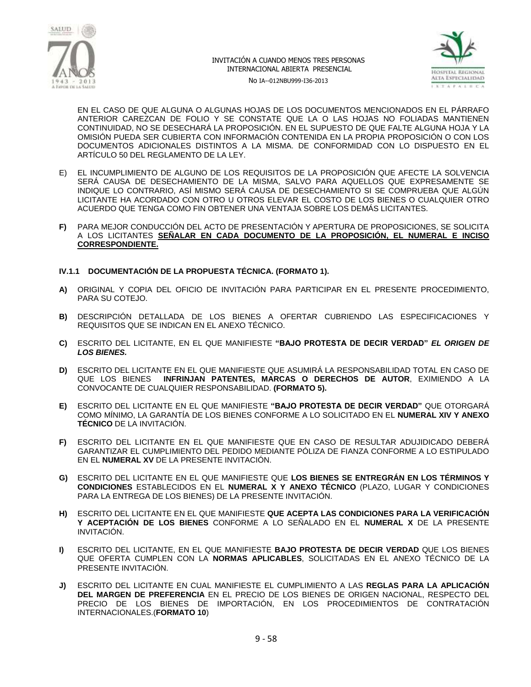



No IA--012NBU999-I36-2013

EN EL CASO DE QUE ALGUNA O ALGUNAS HOJAS DE LOS DOCUMENTOS MENCIONADOS EN EL PÁRRAFO ANTERIOR CAREZCAN DE FOLIO Y SE CONSTATE QUE LA O LAS HOJAS NO FOLIADAS MANTIENEN CONTINUIDAD, NO SE DESECHARÁ LA PROPOSICIÓN. EN EL SUPUESTO DE QUE FALTE ALGUNA HOJA Y LA OMISIÓN PUEDA SER CUBIERTA CON INFORMACIÓN CONTENIDA EN LA PROPIA PROPOSICIÓN O CON LOS DOCUMENTOS ADICIONALES DISTINTOS A LA MISMA. DE CONFORMIDAD CON LO DISPUESTO EN EL ARTÍCULO 50 DEL REGLAMENTO DE LA LEY.

- E) EL INCUMPLIMIENTO DE ALGUNO DE LOS REQUISITOS DE LA PROPOSICIÓN QUE AFECTE LA SOLVENCIA SERÁ CAUSA DE DESECHAMIENTO DE LA MISMA, SALVO PARA AQUELLOS QUE EXPRESAMENTE SE INDIQUE LO CONTRARIO, ASÍ MISMO SERÁ CAUSA DE DESECHAMIENTO SI SE COMPRUEBA QUE ALGÚN LICITANTE HA ACORDADO CON OTRO U OTROS ELEVAR EL COSTO DE LOS BIENES O CUALQUIER OTRO ACUERDO QUE TENGA COMO FIN OBTENER UNA VENTAJA SOBRE LOS DEMÁS LICITANTES.
- **F)** PARA MEJOR CONDUCCIÓN DEL ACTO DE PRESENTACIÓN Y APERTURA DE PROPOSICIONES, SE SOLICITA A LOS LICITANTES **SEÑALAR EN CADA DOCUMENTO DE LA PROPOSICIÓN, EL NUMERAL E INCISO CORRESPONDIENTE.**

#### **IV.1.1 DOCUMENTACIÓN DE LA PROPUESTA TÉCNICA. (FORMATO 1).**

- **A)** ORIGINAL Y COPIA DEL OFICIO DE INVITACIÓN PARA PARTICIPAR EN EL PRESENTE PROCEDIMIENTO, PARA SU COTEJO.
- **B)** DESCRIPCIÓN DETALLADA DE LOS BIENES A OFERTAR CUBRIENDO LAS ESPECIFICACIONES Y REQUISITOS QUE SE INDICAN EN EL ANEXO TÉCNICO.
- **C)** ESCRITO DEL LICITANTE, EN EL QUE MANIFIESTE **"BAJO PROTESTA DE DECIR VERDAD"** *EL ORIGEN DE LOS BIENES.*
- **D)** ESCRITO DEL LICITANTE EN EL QUE MANIFIESTE QUE ASUMIRÁ LA RESPONSABILIDAD TOTAL EN CASO DE QUE LOS BIENES **INFRINJAN PATENTES, MARCAS O DERECHOS DE AUTOR**, EXIMIENDO A LA CONVOCANTE DE CUALQUIER RESPONSABILIDAD. **(FORMATO 5).**
- **E)** ESCRITO DEL LICITANTE EN EL QUE MANIFIESTE **"BAJO PROTESTA DE DECIR VERDAD"** QUE OTORGARÁ COMO MÍNIMO, LA GARANTÍA DE LOS BIENES CONFORME A LO SOLICITADO EN EL **NUMERAL XIV Y ANEXO TÉCNICO** DE LA INVITACIÓN.
- **F)** ESCRITO DEL LICITANTE EN EL QUE MANIFIESTE QUE EN CASO DE RESULTAR ADUJIDICADO DEBERÁ GARANTIZAR EL CUMPLIMIENTO DEL PEDIDO MEDIANTE PÓLIZA DE FIANZA CONFORME A LO ESTIPULADO EN EL **NUMERAL XV** DE LA PRESENTE INVITACIÓN.
- **G)** ESCRITO DEL LICITANTE EN EL QUE MANIFIESTE QUE **LOS BIENES SE ENTREGRÁN EN LOS TÉRMINOS Y CONDICIONES** ESTABLECIDOS EN EL **NUMERAL X Y ANEXO TÉCNICO** (PLAZO, LUGAR Y CONDICIONES PARA LA ENTREGA DE LOS BIENES) DE LA PRESENTE INVITACIÓN.
- **H)** ESCRITO DEL LICITANTE EN EL QUE MANIFIESTE **QUE ACEPTA LAS CONDICIONES PARA LA VERIFICACIÓN Y ACEPTACIÓN DE LOS BIENES** CONFORME A LO SEÑALADO EN EL **NUMERAL X** DE LA PRESENTE INVITACIÓN.
- **I)** ESCRITO DEL LICITANTE, EN EL QUE MANIFIESTE **BAJO PROTESTA DE DECIR VERDAD** QUE LOS BIENES QUE OFERTA CUMPLEN CON LA **NORMAS APLICABLES**, SOLICITADAS EN EL ANEXO TÉCNICO DE LA PRESENTE INVITACIÓN.
- **J)** ESCRITO DEL LICITANTE EN CUAL MANIFIESTE EL CUMPLIMIENTO A LAS **REGLAS PARA LA APLICACIÓN DEL MARGEN DE PREFERENCIA** EN EL PRECIO DE LOS BIENES DE ORIGEN NACIONAL, RESPECTO DEL PRECIO DE LOS BIENES DE IMPORTACIÓN, EN LOS PROCEDIMIENTOS DE CONTRATACIÓN INTERNACIONALES.(**FORMATO 10**)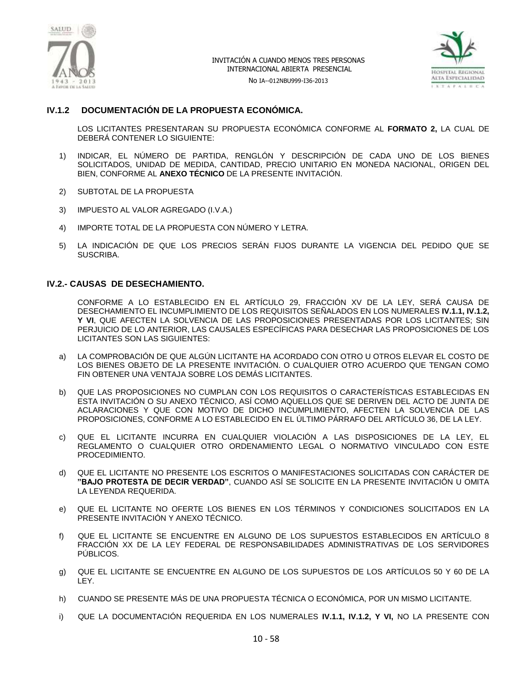



No IA--012NBU999-I36-2013

## **IV.1.2 DOCUMENTACIÓN DE LA PROPUESTA ECONÓMICA.**

LOS LICITANTES PRESENTARAN SU PROPUESTA ECONÓMICA CONFORME AL **FORMATO 2,** LA CUAL DE DEBERÁ CONTENER LO SIGUIENTE:

- 1) INDICAR, EL NÚMERO DE PARTIDA, RENGLÓN Y DESCRIPCIÓN DE CADA UNO DE LOS BIENES SOLICITADOS, UNIDAD DE MEDIDA, CANTIDAD, PRECIO UNITARIO EN MONEDA NACIONAL, ORIGEN DEL BIEN, CONFORME AL **ANEXO TÉCNICO** DE LA PRESENTE INVITACIÓN.
- 2) SUBTOTAL DE LA PROPUESTA
- 3) IMPUESTO AL VALOR AGREGADO (I.V.A.)
- 4) IMPORTE TOTAL DE LA PROPUESTA CON NÚMERO Y LETRA.
- 5) LA INDICACIÓN DE QUE LOS PRECIOS SERÁN FIJOS DURANTE LA VIGENCIA DEL PEDIDO QUE SE SUSCRIBA.

#### **IV.2.- CAUSAS DE DESECHAMIENTO.**

CONFORME A LO ESTABLECIDO EN EL ARTÍCULO 29, FRACCIÓN XV DE LA LEY, SERÁ CAUSA DE DESECHAMIENTO EL INCUMPLIMIENTO DE LOS REQUISITOS SEÑALADOS EN LOS NUMERALES **IV.1.1, IV.1.2, Y VI**, QUE AFECTEN LA SOLVENCIA DE LAS PROPOSICIONES PRESENTADAS POR LOS LICITANTES; SIN PERJUICIO DE LO ANTERIOR, LAS CAUSALES ESPECÍFICAS PARA DESECHAR LAS PROPOSICIONES DE LOS LICITANTES SON LAS SIGUIENTES:

- a) LA COMPROBACIÓN DE QUE ALGÚN LICITANTE HA ACORDADO CON OTRO U OTROS ELEVAR EL COSTO DE LOS BIENES OBJETO DE LA PRESENTE INVITACIÓN. O CUALQUIER OTRO ACUERDO QUE TENGAN COMO FIN OBTENER UNA VENTAJA SOBRE LOS DEMÁS LICITANTES.
- b) QUE LAS PROPOSICIONES NO CUMPLAN CON LOS REQUISITOS O CARACTERÍSTICAS ESTABLECIDAS EN ESTA INVITACIÓN O SU ANEXO TÉCNICO, ASÍ COMO AQUELLOS QUE SE DERIVEN DEL ACTO DE JUNTA DE ACLARACIONES Y QUE CON MOTIVO DE DICHO INCUMPLIMIENTO, AFECTEN LA SOLVENCIA DE LAS PROPOSICIONES, CONFORME A LO ESTABLECIDO EN EL ÚLTIMO PÁRRAFO DEL ARTÍCULO 36, DE LA LEY.
- c) QUE EL LICITANTE INCURRA EN CUALQUIER VIOLACIÓN A LAS DISPOSICIONES DE LA LEY, EL REGLAMENTO O CUALQUIER OTRO ORDENAMIENTO LEGAL O NORMATIVO VINCULADO CON ESTE PROCEDIMIENTO.
- d) QUE EL LICITANTE NO PRESENTE LOS ESCRITOS O MANIFESTACIONES SOLICITADAS CON CARÁCTER DE **"BAJO PROTESTA DE DECIR VERDAD"**, CUANDO ASÍ SE SOLICITE EN LA PRESENTE INVITACIÓN U OMITA LA LEYENDA REQUERIDA.
- e) QUE EL LICITANTE NO OFERTE LOS BIENES EN LOS TÉRMINOS Y CONDICIONES SOLICITADOS EN LA PRESENTE INVITACIÓN Y ANEXO TÉCNICO.
- f) QUE EL LICITANTE SE ENCUENTRE EN ALGUNO DE LOS SUPUESTOS ESTABLECIDOS EN ARTÍCULO 8 FRACCIÓN XX DE LA LEY FEDERAL DE RESPONSABILIDADES ADMINISTRATIVAS DE LOS SERVIDORES PÚBLICOS.
- g) QUE EL LICITANTE SE ENCUENTRE EN ALGUNO DE LOS SUPUESTOS DE LOS ARTÍCULOS 50 Y 60 DE LA LEY.
- h) CUANDO SE PRESENTE MÁS DE UNA PROPUESTA TÉCNICA O ECONÓMICA, POR UN MISMO LICITANTE.
- i) QUE LA DOCUMENTACIÓN REQUERIDA EN LOS NUMERALES **IV.1.1, IV.1.2, Y VI,** NO LA PRESENTE CON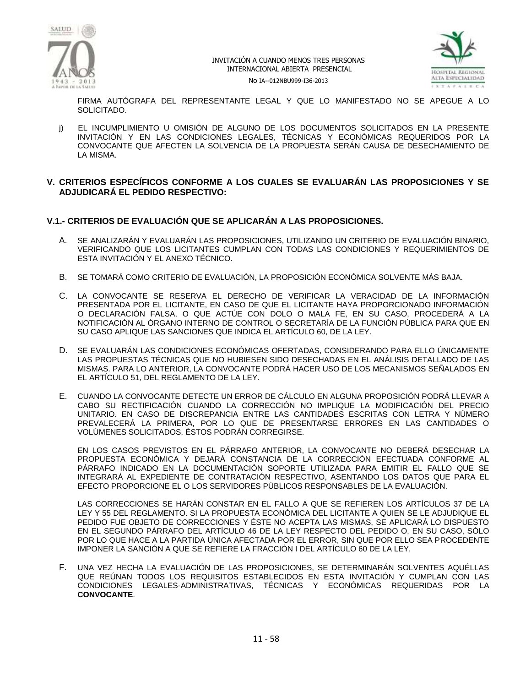



No IA--012NBU999-I36-2013

FIRMA AUTÓGRAFA DEL REPRESENTANTE LEGAL Y QUE LO MANIFESTADO NO SE APEGUE A LO SOLICITADO.

j) EL INCUMPLIMIENTO U OMISIÓN DE ALGUNO DE LOS DOCUMENTOS SOLICITADOS EN LA PRESENTE INVITACIÓN Y EN LAS CONDICIONES LEGALES, TÉCNICAS Y ECONÓMICAS REQUERIDOS POR LA CONVOCANTE QUE AFECTEN LA SOLVENCIA DE LA PROPUESTA SERÁN CAUSA DE DESECHAMIENTO DE LA MISMA.

## **V. CRITERIOS ESPECÍFICOS CONFORME A LOS CUALES SE EVALUARÁN LAS PROPOSICIONES Y SE ADJUDICARÁ EL PEDIDO RESPECTIVO:**

## **V.1.- CRITERIOS DE EVALUACIÓN QUE SE APLICARÁN A LAS PROPOSICIONES.**

- A. SE ANALIZARÁN Y EVALUARÁN LAS PROPOSICIONES, UTILIZANDO UN CRITERIO DE EVALUACIÓN BINARIO, VERIFICANDO QUE LOS LICITANTES CUMPLAN CON TODAS LAS CONDICIONES Y REQUERIMIENTOS DE ESTA INVITACIÓN Y EL ANEXO TÉCNICO.
- B. SE TOMARÁ COMO CRITERIO DE EVALUACIÓN, LA PROPOSICIÓN ECONÓMICA SOLVENTE MÁS BAJA.
- C. LA CONVOCANTE SE RESERVA EL DERECHO DE VERIFICAR LA VERACIDAD DE LA INFORMACIÓN PRESENTADA POR EL LICITANTE, EN CASO DE QUE EL LICITANTE HAYA PROPORCIONADO INFORMACIÓN O DECLARACIÓN FALSA, O QUE ACTÚE CON DOLO O MALA FE, EN SU CASO, PROCEDERÁ A LA NOTIFICACIÓN AL ÓRGANO INTERNO DE CONTROL O SECRETARÍA DE LA FUNCIÓN PÚBLICA PARA QUE EN SU CASO APLIQUE LAS SANCIONES QUE INDICA EL ARTÍCULO 60, DE LA LEY.
- D. SE EVALUARÁN LAS CONDICIONES ECONÓMICAS OFERTADAS, CONSIDERANDO PARA ELLO ÚNICAMENTE LAS PROPUESTAS TÉCNICAS QUE NO HUBIESEN SIDO DESECHADAS EN EL ANÁLISIS DETALLADO DE LAS MISMAS. PARA LO ANTERIOR, LA CONVOCANTE PODRÁ HACER USO DE LOS MECANISMOS SEÑALADOS EN EL ARTÍCULO 51, DEL REGLAMENTO DE LA LEY.
- E. CUANDO LA CONVOCANTE DETECTE UN ERROR DE CÁLCULO EN ALGUNA PROPOSICIÓN PODRÁ LLEVAR A CABO SU RECTIFICACIÓN CUANDO LA CORRECCIÓN NO IMPLIQUE LA MODIFICACIÓN DEL PRECIO UNITARIO. EN CASO DE DISCREPANCIA ENTRE LAS CANTIDADES ESCRITAS CON LETRA Y NÚMERO PREVALECERÁ LA PRIMERA, POR LO QUE DE PRESENTARSE ERRORES EN LAS CANTIDADES O VOLÚMENES SOLICITADOS, ÉSTOS PODRÁN CORREGIRSE.

EN LOS CASOS PREVISTOS EN EL PÁRRAFO ANTERIOR, LA CONVOCANTE NO DEBERÁ DESECHAR LA PROPUESTA ECONÓMICA Y DEJARÁ CONSTANCIA DE LA CORRECCIÓN EFECTUADA CONFORME AL PÁRRAFO INDICADO EN LA DOCUMENTACIÓN SOPORTE UTILIZADA PARA EMITIR EL FALLO QUE SE INTEGRARÁ AL EXPEDIENTE DE CONTRATACIÓN RESPECTIVO, ASENTANDO LOS DATOS QUE PARA EL EFECTO PROPORCIONE EL O LOS SERVIDORES PÚBLICOS RESPONSABLES DE LA EVALUACIÓN.

LAS CORRECCIONES SE HARÁN CONSTAR EN EL FALLO A QUE SE REFIEREN LOS ARTÍCULOS 37 DE LA LEY Y 55 DEL REGLAMENTO. SI LA PROPUESTA ECONÓMICA DEL LICITANTE A QUIEN SE LE ADJUDIQUE EL PEDIDO FUE OBJETO DE CORRECCIONES Y ÉSTE NO ACEPTA LAS MISMAS, SE APLICARÁ LO DISPUESTO EN EL SEGUNDO PÁRRAFO DEL ARTÍCULO 46 DE LA LEY RESPECTO DEL PEDIDO O, EN SU CASO, SÓLO POR LO QUE HACE A LA PARTIDA ÚNICA AFECTADA POR EL ERROR, SIN QUE POR ELLO SEA PROCEDENTE IMPONER LA SANCIÓN A QUE SE REFIERE LA FRACCIÓN I DEL ARTÍCULO 60 DE LA LEY.

F. UNA VEZ HECHA LA EVALUACIÓN DE LAS PROPOSICIONES, SE DETERMINARÁN SOLVENTES AQUÉLLAS QUE REÚNAN TODOS LOS REQUISITOS ESTABLECIDOS EN ESTA INVITACIÓN Y CUMPLAN CON LAS CONDICIONES LEGALES-ADMINISTRATIVAS, TÉCNICAS Y ECONÓMICAS REQUERIDAS POR LA **CONVOCANTE**.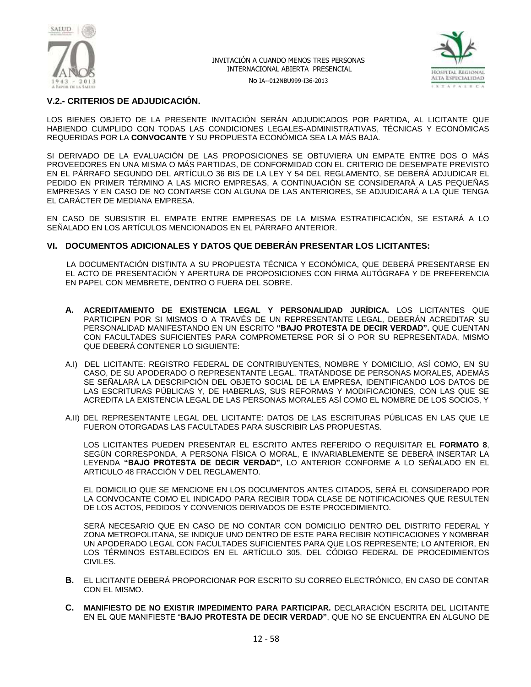

No IA--012NBU999-I36-2013



## **V.2.- CRITERIOS DE ADJUDICACIÓN.**

LOS BIENES OBJETO DE LA PRESENTE INVITACIÓN SERÁN ADJUDICADOS POR PARTIDA, AL LICITANTE QUE HABIENDO CUMPLIDO CON TODAS LAS CONDICIONES LEGALES-ADMINISTRATIVAS, TÉCNICAS Y ECONÓMICAS REQUERIDAS POR LA **CONVOCANTE** Y SU PROPUESTA ECONÓMICA SEA LA MÁS BAJA.

SI DERIVADO DE LA EVALUACIÓN DE LAS PROPOSICIONES SE OBTUVIERA UN EMPATE ENTRE DOS O MÁS PROVEEDORES EN UNA MISMA O MÁS PARTIDAS, DE CONFORMIDAD CON EL CRITERIO DE DESEMPATE PREVISTO EN EL PÁRRAFO SEGUNDO DEL ARTÍCULO 36 BIS DE LA LEY Y 54 DEL REGLAMENTO, SE DEBERÁ ADJUDICAR EL PEDIDO EN PRIMER TÉRMINO A LAS MICRO EMPRESAS, A CONTINUACIÓN SE CONSIDERARÁ A LAS PEQUEÑAS EMPRESAS Y EN CASO DE NO CONTARSE CON ALGUNA DE LAS ANTERIORES, SE ADJUDICARÁ A LA QUE TENGA EL CARÁCTER DE MEDIANA EMPRESA.

EN CASO DE SUBSISTIR EL EMPATE ENTRE EMPRESAS DE LA MISMA ESTRATIFICACIÓN, SE ESTARÁ A LO SEÑALADO EN LOS ARTÍCULOS MENCIONADOS EN EL PÁRRAFO ANTERIOR.

## **VI. DOCUMENTOS ADICIONALES Y DATOS QUE DEBERÁN PRESENTAR LOS LICITANTES:**

 LA DOCUMENTACIÓN DISTINTA A SU PROPUESTA TÉCNICA Y ECONÓMICA, QUE DEBERÁ PRESENTARSE EN EL ACTO DE PRESENTACIÓN Y APERTURA DE PROPOSICIONES CON FIRMA AUTÓGRAFA Y DE PREFERENCIA EN PAPEL CON MEMBRETE, DENTRO O FUERA DEL SOBRE.

- **A. ACREDITAMIENTO DE EXISTENCIA LEGAL Y PERSONALIDAD JURÍDICA.** LOS LICITANTES QUE PARTICIPEN POR SI MISMOS O A TRAVÉS DE UN REPRESENTANTE LEGAL, DEBERÁN ACREDITAR SU PERSONALIDAD MANIFESTANDO EN UN ESCRITO **"BAJO PROTESTA DE DECIR VERDAD".** QUE CUENTAN CON FACULTADES SUFICIENTES PARA COMPROMETERSE POR SÍ O POR SU REPRESENTADA, MISMO QUE DEBERÁ CONTENER LO SIGUIENTE:
- A.I) DEL LICITANTE: REGISTRO FEDERAL DE CONTRIBUYENTES, NOMBRE Y DOMICILIO, ASÍ COMO, EN SU CASO, DE SU APODERADO O REPRESENTANTE LEGAL. TRATÁNDOSE DE PERSONAS MORALES, ADEMÁS SE SEÑALARÁ LA DESCRIPCIÓN DEL OBJETO SOCIAL DE LA EMPRESA, IDENTIFICANDO LOS DATOS DE LAS ESCRITURAS PÚBLICAS Y, DE HABERLAS, SUS REFORMAS Y MODIFICACIONES, CON LAS QUE SE ACREDITA LA EXISTENCIA LEGAL DE LAS PERSONAS MORALES ASÍ COMO EL NOMBRE DE LOS SOCIOS, Y
- A.II) DEL REPRESENTANTE LEGAL DEL LICITANTE: DATOS DE LAS ESCRITURAS PÚBLICAS EN LAS QUE LE FUERON OTORGADAS LAS FACULTADES PARA SUSCRIBIR LAS PROPUESTAS.

LOS LICITANTES PUEDEN PRESENTAR EL ESCRITO ANTES REFERIDO O REQUISITAR EL **FORMATO 8**, SEGÚN CORRESPONDA, A PERSONA FÍSICA O MORAL, E INVARIABLEMENTE SE DEBERÁ INSERTAR LA LEYENDA **"BAJO PROTESTA DE DECIR VERDAD",** LO ANTERIOR CONFORME A LO SEÑALADO EN EL ARTICULO 48 FRACCIÓN V DEL REGLAMENTO.

EL DOMICILIO QUE SE MENCIONE EN LOS DOCUMENTOS ANTES CITADOS, SERÁ EL CONSIDERADO POR LA CONVOCANTE COMO EL INDICADO PARA RECIBIR TODA CLASE DE NOTIFICACIONES QUE RESULTEN DE LOS ACTOS, PEDIDOS Y CONVENIOS DERIVADOS DE ESTE PROCEDIMIENTO.

SERÁ NECESARIO QUE EN CASO DE NO CONTAR CON DOMICILIO DENTRO DEL DISTRITO FEDERAL Y ZONA METROPOLITANA, SE INDIQUE UNO DENTRO DE ESTE PARA RECIBIR NOTIFICACIONES Y NOMBRAR UN APODERADO LEGAL CON FACULTADES SUFICIENTES PARA QUE LOS REPRESENTE; LO ANTERIOR, EN LOS TÉRMINOS ESTABLECIDOS EN EL ARTÍCULO 305, DEL CÓDIGO FEDERAL DE PROCEDIMIENTOS CIVILES.

- **B.** EL LICITANTE DEBERÁ PROPORCIONAR POR ESCRITO SU CORREO ELECTRÓNICO, EN CASO DE CONTAR CON EL MISMO.
- **C. MANIFIESTO DE NO EXISTIR IMPEDIMENTO PARA PARTICIPAR.** DECLARACIÓN ESCRITA DEL LICITANTE EN EL QUE MANIFIESTE "**BAJO PROTESTA DE DECIR VERDAD"**, QUE NO SE ENCUENTRA EN ALGUNO DE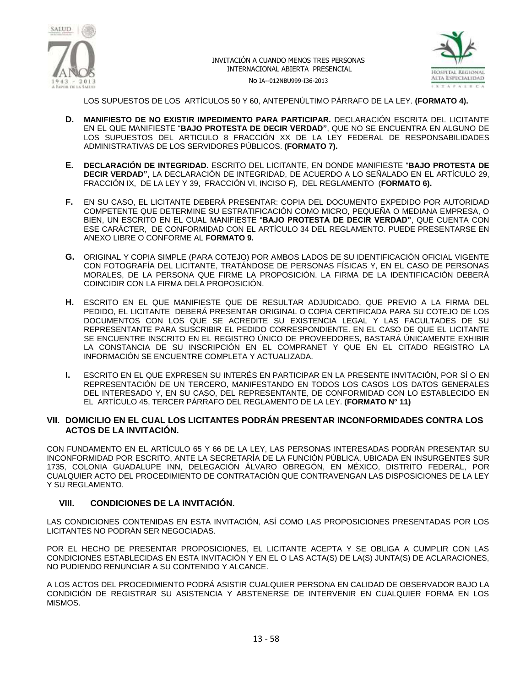



No IA--012NBU999-I36-2013

LOS SUPUESTOS DE LOS ARTÍCULOS 50 Y 60, ANTEPENÚLTIMO PÁRRAFO DE LA LEY. **(FORMATO 4).**

- **D. MANIFIESTO DE NO EXISTIR IMPEDIMENTO PARA PARTICIPAR.** DECLARACIÓN ESCRITA DEL LICITANTE EN EL QUE MANIFIESTE "**BAJO PROTESTA DE DECIR VERDAD"**, QUE NO SE ENCUENTRA EN ALGUNO DE LOS SUPUESTOS DEL ARTICULO 8 FRACCIÓN XX DE LA LEY FEDERAL DE RESPONSABILIDADES ADMINISTRATIVAS DE LOS SERVIDORES PÚBLICOS. **(FORMATO 7).**
- **E. DECLARACIÓN DE INTEGRIDAD.** ESCRITO DEL LICITANTE, EN DONDE MANIFIESTE "**BAJO PROTESTA DE DECIR VERDAD"**, LA DECLARACIÓN DE INTEGRIDAD, DE ACUERDO A LO SEÑALADO EN EL ARTÍCULO 29, FRACCIÓN IX, DE LA LEY Y 39, FRACCIÓN VI, INCISO F), DEL REGLAMENTO (**FORMATO 6).**
- **F.** EN SU CASO, EL LICITANTE DEBERÁ PRESENTAR: COPIA DEL DOCUMENTO EXPEDIDO POR AUTORIDAD COMPETENTE QUE DETERMINE SU ESTRATIFICACIÓN COMO MICRO, PEQUEÑA O MEDIANA EMPRESA, O BIEN, UN ESCRITO EN EL CUAL MANIFIESTE "**BAJO PROTESTA DE DECIR VERDAD"**, QUE CUENTA CON ESE CARÁCTER, DE CONFORMIDAD CON EL ARTÍCULO 34 DEL REGLAMENTO. PUEDE PRESENTARSE EN ANEXO LIBRE O CONFORME AL **FORMATO 9.**
- **G.** ORIGINAL Y COPIA SIMPLE (PARA COTEJO) POR AMBOS LADOS DE SU IDENTIFICACIÓN OFICIAL VIGENTE CON FOTOGRAFÍA DEL LICITANTE, TRATÁNDOSE DE PERSONAS FÍSICAS Y, EN EL CASO DE PERSONAS MORALES, DE LA PERSONA QUE FIRME LA PROPOSICIÓN. LA FIRMA DE LA IDENTIFICACIÓN DEBERÁ COINCIDIR CON LA FIRMA DELA PROPOSICIÓN.
- **H.** ESCRITO EN EL QUE MANIFIESTE QUE DE RESULTAR ADJUDICADO, QUE PREVIO A LA FIRMA DEL PEDIDO, EL LICITANTE DEBERÁ PRESENTAR ORIGINAL O COPIA CERTIFICADA PARA SU COTEJO DE LOS DOCUMENTOS CON LOS QUE SE ACREDITE SU EXISTENCIA LEGAL Y LAS FACULTADES DE SU REPRESENTANTE PARA SUSCRIBIR EL PEDIDO CORRESPONDIENTE. EN EL CASO DE QUE EL LICITANTE SE ENCUENTRE INSCRITO EN EL REGISTRO ÚNICO DE PROVEEDORES, BASTARÁ ÚNICAMENTE EXHIBIR LA CONSTANCIA DE SU INSCRIPCIÓN EN EL COMPRANET Y QUE EN EL CITADO REGISTRO LA INFORMACIÓN SE ENCUENTRE COMPLETA Y ACTUALIZADA.
- **I.** ESCRITO EN EL QUE EXPRESEN SU INTERÉS EN PARTICIPAR EN LA PRESENTE INVITACIÓN, POR SÍ O EN REPRESENTACIÓN DE UN TERCERO, MANIFESTANDO EN TODOS LOS CASOS LOS DATOS GENERALES DEL INTERESADO Y, EN SU CASO, DEL REPRESENTANTE, DE CONFORMIDAD CON LO ESTABLECIDO EN EL ARTÍCULO 45, TERCER PÁRRAFO DEL REGLAMENTO DE LA LEY. **(FORMATO N° 11)**

## **VII. DOMICILIO EN EL CUAL LOS LICITANTES PODRÁN PRESENTAR INCONFORMIDADES CONTRA LOS ACTOS DE LA INVITACIÓN.**

CON FUNDAMENTO EN EL ARTÍCULO 65 Y 66 DE LA LEY, LAS PERSONAS INTERESADAS PODRÁN PRESENTAR SU INCONFORMIDAD POR ESCRITO, ANTE LA SECRETARÍA DE LA FUNCIÓN PÚBLICA, UBICADA EN INSURGENTES SUR 1735, COLONIA GUADALUPE INN, DELEGACIÓN ÁLVARO OBREGÓN, EN MÉXICO, DISTRITO FEDERAL, POR CUALQUIER ACTO DEL PROCEDIMIENTO DE CONTRATACIÓN QUE CONTRAVENGAN LAS DISPOSICIONES DE LA LEY Y SU REGLAMENTO.

## **VIII. CONDICIONES DE LA INVITACIÓN.**

LAS CONDICIONES CONTENIDAS EN ESTA INVITACIÓN, ASÍ COMO LAS PROPOSICIONES PRESENTADAS POR LOS LICITANTES NO PODRÁN SER NEGOCIADAS.

POR EL HECHO DE PRESENTAR PROPOSICIONES, EL LICITANTE ACEPTA Y SE OBLIGA A CUMPLIR CON LAS CONDICIONES ESTABLECIDAS EN ESTA INVITACIÓN Y EN EL O LAS ACTA(S) DE LA(S) JUNTA(S) DE ACLARACIONES, NO PUDIENDO RENUNCIAR A SU CONTENIDO Y ALCANCE.

A LOS ACTOS DEL PROCEDIMIENTO PODRÁ ASISTIR CUALQUIER PERSONA EN CALIDAD DE OBSERVADOR BAJO LA CONDICIÓN DE REGISTRAR SU ASISTENCIA Y ABSTENERSE DE INTERVENIR EN CUALQUIER FORMA EN LOS MISMOS.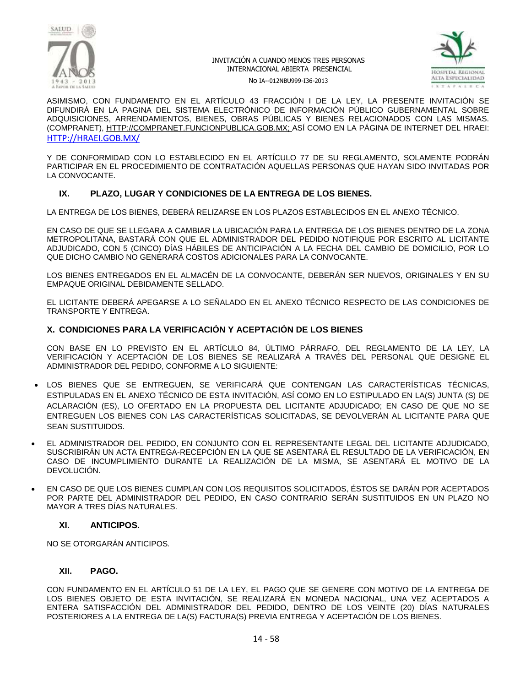



No IA--012NBU999-I36-2013

ASIMISMO, CON FUNDAMENTO EN EL ARTÍCULO 43 FRACCIÓN I DE LA LEY, LA PRESENTE INVITACIÓN SE DIFUNDIRÁ EN LA PAGINA DEL SISTEMA ELECTRÓNICO DE INFORMACIÓN PÚBLICO GUBERNAMENTAL SOBRE ADQUISICIONES, ARRENDAMIENTOS, BIENES, OBRAS PÚBLICAS Y BIENES RELACIONADOS CON LAS MISMAS. (COMPRANET), [HTTP://COMPRANET.FUNCIONPUBLICA.GOB.MX;](http://compranet.funcionpublica.gob.mx/) ASÍ COMO EN LA PÁGINA DE INTERNET DEL HRAEI: [HTTP://HRAEI.GOB.MX/](http://hraei.gob.mx/)

Y DE CONFORMIDAD CON LO ESTABLECIDO EN EL ARTÍCULO 77 DE SU REGLAMENTO, SOLAMENTE PODRÁN PARTICIPAR EN EL PROCEDIMIENTO DE CONTRATACIÓN AQUELLAS PERSONAS QUE HAYAN SIDO INVITADAS POR LA CONVOCANTE.

## **IX. PLAZO, LUGAR Y CONDICIONES DE LA ENTREGA DE LOS BIENES.**

LA ENTREGA DE LOS BIENES, DEBERÁ RELIZARSE EN LOS PLAZOS ESTABLECIDOS EN EL ANEXO TÉCNICO.

EN CASO DE QUE SE LLEGARA A CAMBIAR LA UBICACIÓN PARA LA ENTREGA DE LOS BIENES DENTRO DE LA ZONA METROPOLITANA, BASTARÁ CON QUE EL ADMINISTRADOR DEL PEDIDO NOTIFIQUE POR ESCRITO AL LICITANTE ADJUDICADO, CON 5 (CINCO) DÍAS HÁBILES DE ANTICIPACIÓN A LA FECHA DEL CAMBIO DE DOMICILIO, POR LO QUE DICHO CAMBIO NO GENERARÁ COSTOS ADICIONALES PARA LA CONVOCANTE.

LOS BIENES ENTREGADOS EN EL ALMACÉN DE LA CONVOCANTE, DEBERÁN SER NUEVOS, ORIGINALES Y EN SU EMPAQUE ORIGINAL DEBIDAMENTE SELLADO.

EL LICITANTE DEBERÁ APEGARSE A LO SEÑALADO EN EL ANEXO TÉCNICO RESPECTO DE LAS CONDICIONES DE TRANSPORTE Y ENTREGA.

## **X. CONDICIONES PARA LA VERIFICACIÓN Y ACEPTACIÓN DE LOS BIENES**

CON BASE EN LO PREVISTO EN EL ARTÍCULO 84, ÚLTIMO PÁRRAFO, DEL REGLAMENTO DE LA LEY, LA VERIFICACIÓN Y ACEPTACIÓN DE LOS BIENES SE REALIZARÁ A TRAVÉS DEL PERSONAL QUE DESIGNE EL ADMINISTRADOR DEL PEDIDO, CONFORME A LO SIGUIENTE:

- LOS BIENES QUE SE ENTREGUEN, SE VERIFICARÁ QUE CONTENGAN LAS CARACTERÍSTICAS TÉCNICAS, ESTIPULADAS EN EL ANEXO TÉCNICO DE ESTA INVITACIÓN, ASÍ COMO EN LO ESTIPULADO EN LA(S) JUNTA (S) DE ACLARACIÓN (ES), LO OFERTADO EN LA PROPUESTA DEL LICITANTE ADJUDICADO; EN CASO DE QUE NO SE ENTREGUEN LOS BIENES CON LAS CARACTERÍSTICAS SOLICITADAS, SE DEVOLVERÁN AL LICITANTE PARA QUE SEAN SUSTITUIDOS.
- EL ADMINISTRADOR DEL PEDIDO, EN CONJUNTO CON EL REPRESENTANTE LEGAL DEL LICITANTE ADJUDICADO, SUSCRIBIRÁN UN ACTA ENTREGA-RECEPCIÓN EN LA QUE SE ASENTARÁ EL RESULTADO DE LA VERIFICACIÓN, EN CASO DE INCUMPLIMIENTO DURANTE LA REALIZACIÓN DE LA MISMA, SE ASENTARÁ EL MOTIVO DE LA DEVOLUCIÓN.
- EN CASO DE QUE LOS BIENES CUMPLAN CON LOS REQUISITOS SOLICITADOS, ÉSTOS SE DARÁN POR ACEPTADOS POR PARTE DEL ADMINISTRADOR DEL PEDIDO, EN CASO CONTRARIO SERÁN SUSTITUIDOS EN UN PLAZO NO MAYOR A TRES DÍAS NATURALES.

#### **XI. ANTICIPOS.**

NO SE OTORGARÁN ANTICIPOS*.*

#### **XII. PAGO.**

CON FUNDAMENTO EN EL ARTÍCULO 51 DE LA LEY, EL PAGO QUE SE GENERE CON MOTIVO DE LA ENTREGA DE LOS BIENES OBJETO DE ESTA INVITACIÓN, SE REALIZARÁ EN MONEDA NACIONAL, UNA VEZ ACEPTADOS A ENTERA SATISFACCIÓN DEL ADMINISTRADOR DEL PEDIDO, DENTRO DE LOS VEINTE (20) DÍAS NATURALES POSTERIORES A LA ENTREGA DE LA(S) FACTURA(S) PREVIA ENTREGA Y ACEPTACIÓN DE LOS BIENES.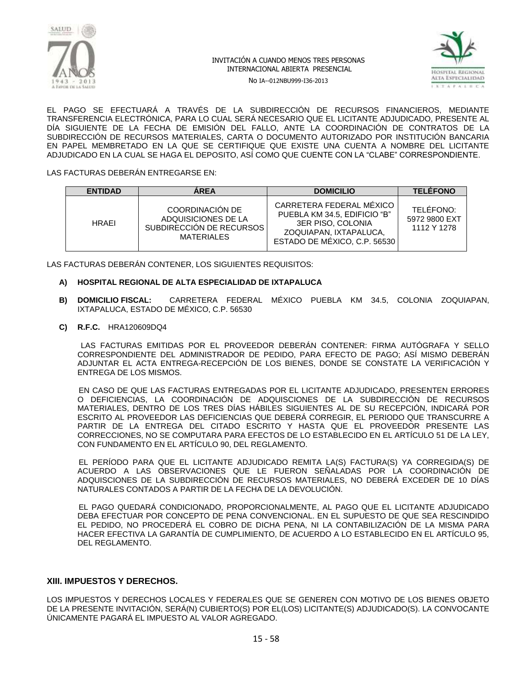



No IA--012NBU999-I36-2013

EL PAGO SE EFECTUARÁ A TRAVÉS DE LA SUBDIRECCIÓN DE RECURSOS FINANCIEROS, MEDIANTE TRANSFERENCIA ELECTRÓNICA, PARA LO CUAL SERÁ NECESARIO QUE EL LICITANTE ADJUDICADO, PRESENTE AL DÍA SIGUIENTE DE LA FECHA DE EMISIÓN DEL FALLO, ANTE LA COORDINACIÓN DE CONTRATOS DE LA SUBDIRECCIÓN DE RECURSOS MATERIALES, CARTA O DOCUMENTO AUTORIZADO POR INSTITUCIÓN BANCARIA EN PAPEL MEMBRETADO EN LA QUE SE CERTIFIQUE QUE EXISTE UNA CUENTA A NOMBRE DEL LICITANTE ADJUDICADO EN LA CUAL SE HAGA EL DEPOSITO, ASÍ COMO QUE CUENTE CON LA "CLABE" CORRESPONDIENTE.

LAS FACTURAS DEBERÁN ENTREGARSE EN:

| <b>ENTIDAD</b> | <b>AREA</b>                                                                             | <b>DOMICILIO</b>                                                                                                                        | <b>TELEFONO</b>                           |
|----------------|-----------------------------------------------------------------------------------------|-----------------------------------------------------------------------------------------------------------------------------------------|-------------------------------------------|
| <b>HRAFI</b>   | COORDINACIÓN DE<br>ADQUISICIONES DE LA<br>SUBDIRECCIÓN DE RECURSOS<br><b>MATERIALES</b> | CARRETERA FEDERAL MÉXICO<br>PUEBLA KM 34.5. EDIFICIO "B"<br>3ER PISO, COLONIA<br>ZOQUIAPAN, IXTAPALUCA.<br>ESTADO DE MÉXICO, C.P. 56530 | TELÉFONO:<br>5972 9800 EXT<br>1112 Y 1278 |

LAS FACTURAS DEBERÁN CONTENER, LOS SIGUIENTES REQUISITOS:

#### **A) HOSPITAL REGIONAL DE ALTA ESPECIALIDAD DE IXTAPALUCA**

- **B) DOMICILIO FISCAL:** CARRETERA FEDERAL MÉXICO PUEBLA KM 34.5, COLONIA ZOQUIAPAN, IXTAPALUCA, ESTADO DE MÉXICO, C.P. 56530
- **C) R.F.C.** HRA120609DQ4

 LAS FACTURAS EMITIDAS POR EL PROVEEDOR DEBERÁN CONTENER: FIRMA AUTÓGRAFA Y SELLO CORRESPONDIENTE DEL ADMINISTRADOR DE PEDIDO, PARA EFECTO DE PAGO; ASÍ MISMO DEBERÁN ADJUNTAR EL ACTA ENTREGA-RECEPCIÓN DE LOS BIENES, DONDE SE CONSTATE LA VERIFICACIÓN Y ENTREGA DE LOS MISMOS.

 EN CASO DE QUE LAS FACTURAS ENTREGADAS POR EL LICITANTE ADJUDICADO, PRESENTEN ERRORES O DEFICIENCIAS, LA COORDINACIÓN DE ADQUISCIONES DE LA SUBDIRECCIÓN DE RECURSOS MATERIALES, DENTRO DE LOS TRES DÍAS HÁBILES SIGUIENTES AL DE SU RECEPCIÓN, INDICARÁ POR ESCRITO AL PROVEEDOR LAS DEFICIENCIAS QUE DEBERÁ CORREGIR, EL PERIODO QUE TRANSCURRE A PARTIR DE LA ENTREGA DEL CITADO ESCRITO Y HASTA QUE EL PROVEEDOR PRESENTE LAS CORRECCIONES, NO SE COMPUTARA PARA EFECTOS DE LO ESTABLECIDO EN EL ARTÍCULO 51 DE LA LEY, CON FUNDAMENTO EN EL ARTÍCULO 90, DEL REGLAMENTO.

 EL PERÍODO PARA QUE EL LICITANTE ADJUDICADO REMITA LA(S) FACTURA(S) YA CORREGIDA(S) DE ACUERDO A LAS OBSERVACIONES QUE LE FUERON SEÑALADAS POR LA COORDINACIÓN DE ADQUISCIONES DE LA SUBDIRECCIÓN DE RECURSOS MATERIALES, NO DEBERÁ EXCEDER DE 10 DÍAS NATURALES CONTADOS A PARTIR DE LA FECHA DE LA DEVOLUCIÓN.

 EL PAGO QUEDARÁ CONDICIONADO, PROPORCIONALMENTE, AL PAGO QUE EL LICITANTE ADJUDICADO DEBA EFECTUAR POR CONCEPTO DE PENA CONVENCIONAL. EN EL SUPUESTO DE QUE SEA RESCINDIDO EL PEDIDO, NO PROCEDERÁ EL COBRO DE DICHA PENA, NI LA CONTABILIZACIÓN DE LA MISMA PARA HACER EFECTIVA LA GARANTÍA DE CUMPLIMIENTO, DE ACUERDO A LO ESTABLECIDO EN EL ARTÍCULO 95, DEL REGLAMENTO.

#### **XIII. IMPUESTOS Y DERECHOS.**

LOS IMPUESTOS Y DERECHOS LOCALES Y FEDERALES QUE SE GENEREN CON MOTIVO DE LOS BIENES OBJETO DE LA PRESENTE INVITACIÓN, SERÁ(N) CUBIERTO(S) POR EL(LOS) LICITANTE(S) ADJUDICADO(S). LA CONVOCANTE ÚNICAMENTE PAGARÁ EL IMPUESTO AL VALOR AGREGADO.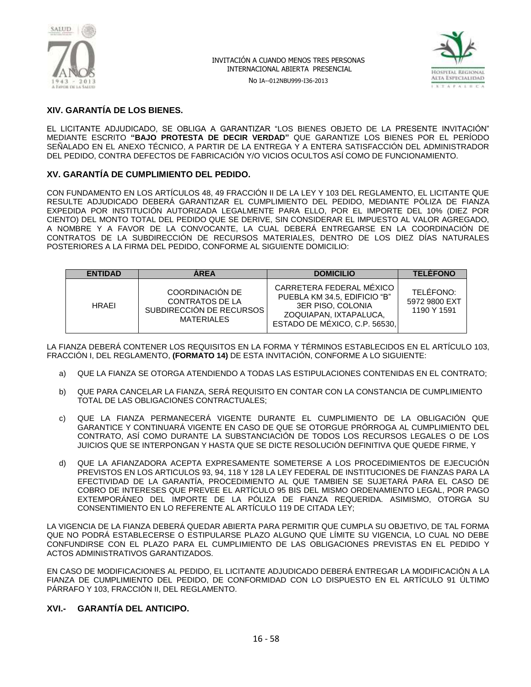

No IA--012NBU999-I36-2013



## **XIV. GARANTÍA DE LOS BIENES.**

EL LICITANTE ADJUDICADO, SE OBLIGA A GARANTIZAR "LOS BIENES OBJETO DE LA PRESENTE INVITACIÓN" MEDIANTE ESCRITO **"BAJO PROTESTA DE DECIR VERDAD"** QUE GARANTIZE LOS BIENES POR EL PERÍODO SEÑALADO EN EL ANEXO TÉCNICO, A PARTIR DE LA ENTREGA Y A ENTERA SATISFACCIÓN DEL ADMINISTRADOR DEL PEDIDO, CONTRA DEFECTOS DE FABRICACIÓN Y/O VICIOS OCULTOS ASÍ COMO DE FUNCIONAMIENTO.

## **XV. GARANTÍA DE CUMPLIMIENTO DEL PEDIDO.**

CON FUNDAMENTO EN LOS ARTÍCULOS 48, 49 FRACCIÓN II DE LA LEY Y 103 DEL REGLAMENTO, EL LICITANTE QUE RESULTE ADJUDICADO DEBERÁ GARANTIZAR EL CUMPLIMIENTO DEL PEDIDO, MEDIANTE PÓLIZA DE FIANZA EXPEDIDA POR INSTITUCIÓN AUTORIZADA LEGALMENTE PARA ELLO, POR EL IMPORTE DEL 10% (DIEZ POR CIENTO) DEL MONTO TOTAL DEL PEDIDO QUE SE DERIVE, SIN CONSIDERAR EL IMPUESTO AL VALOR AGREGADO, A NOMBRE Y A FAVOR DE LA CONVOCANTE, LA CUAL DEBERÁ ENTREGARSE EN LA COORDINACIÓN DE CONTRATOS DE LA SUBDIRECCIÓN DE RECURSOS MATERIALES, DENTRO DE LOS DIEZ DÍAS NATURALES POSTERIORES A LA FIRMA DEL PEDIDO, CONFORME AL SIGUIENTE DOMICILIO:

| <b>ENTIDAD</b> | <b>AREA</b>                                                                                | <b>DOMICILIO</b>                                                                                                                         | <b>TELÉFONO</b>                           |
|----------------|--------------------------------------------------------------------------------------------|------------------------------------------------------------------------------------------------------------------------------------------|-------------------------------------------|
| <b>HRAEI</b>   | COORDINACIÓN DE<br><b>CONTRATOS DE LA</b><br>SUBDIRECCIÓN DE RECURSOS<br><b>MATERIALES</b> | CARRETERA FEDERAL MÉXICO<br>PUEBLA KM 34.5. EDIFICIO "B"<br>3ER PISO, COLONIA<br>ZOQUIAPAN, IXTAPALUCA.<br>ESTADO DE MÉXICO, C.P. 56530, | TELÉFONO:<br>5972 9800 EXT<br>1190 Y 1591 |

LA FIANZA DEBERÁ CONTENER LOS REQUISITOS EN LA FORMA Y TÉRMINOS ESTABLECIDOS EN EL ARTÍCULO 103, FRACCIÓN I, DEL REGLAMENTO, **(FORMATO 14)** DE ESTA INVITACIÓN, CONFORME A LO SIGUIENTE:

- a) QUE LA FIANZA SE OTORGA ATENDIENDO A TODAS LAS ESTIPULACIONES CONTENIDAS EN EL CONTRATO;
- b) QUE PARA CANCELAR LA FIANZA, SERÁ REQUISITO EN CONTAR CON LA CONSTANCIA DE CUMPLIMIENTO TOTAL DE LAS OBLIGACIONES CONTRACTUALES;
- c) QUE LA FIANZA PERMANECERÁ VIGENTE DURANTE EL CUMPLIMIENTO DE LA OBLIGACIÓN QUE GARANTICE Y CONTINUARÁ VIGENTE EN CASO DE QUE SE OTORGUE PRÓRROGA AL CUMPLIMIENTO DEL CONTRATO, ASÍ COMO DURANTE LA SUBSTANCIACIÓN DE TODOS LOS RECURSOS LEGALES O DE LOS JUICIOS QUE SE INTERPONGAN Y HASTA QUE SE DICTE RESOLUCIÓN DEFINITIVA QUE QUEDE FIRME, Y
- d) QUE LA AFIANZADORA ACEPTA EXPRESAMENTE SOMETERSE A LOS PROCEDIMIENTOS DE EJECUCIÓN PREVISTOS EN LOS ARTICULOS 93, 94, 118 Y 128 LA LEY FEDERAL DE INSTITUCIONES DE FIANZAS PARA LA EFECTIVIDAD DE LA GARANTÍA, PROCEDIMIENTO AL QUE TAMBIEN SE SUJETARÁ PARA EL CASO DE COBRO DE INTERESES QUE PREVEE EL ARTÍCULO 95 BIS DEL MISMO ORDENAMIENTO LEGAL, POR PAGO EXTEMPORÁNEO DEL IMPORTE DE LA PÓLIZA DE FIANZA REQUERIDA. ASIMISMO, OTORGA SU CONSENTIMIENTO EN LO REFERENTE AL ARTÍCULO 119 DE CITADA LEY;

LA VIGENCIA DE LA FIANZA DEBERÁ QUEDAR ABIERTA PARA PERMITIR QUE CUMPLA SU OBJETIVO, DE TAL FORMA QUE NO PODRÁ ESTABLECERSE O ESTIPULARSE PLAZO ALGUNO QUE LÍMITE SU VIGENCIA, LO CUAL NO DEBE CONFUNDIRSE CON EL PLAZO PARA EL CUMPLIMIENTO DE LAS OBLIGACIONES PREVISTAS EN EL PEDIDO Y ACTOS ADMINISTRATIVOS GARANTIZADOS.

EN CASO DE MODIFICACIONES AL PEDIDO, EL LICITANTE ADJUDICADO DEBERÁ ENTREGAR LA MODIFICACIÓN A LA FIANZA DE CUMPLIMIENTO DEL PEDIDO, DE CONFORMIDAD CON LO DISPUESTO EN EL ARTÍCULO 91 ÚLTIMO PÁRRAFO Y 103, FRACCIÓN II, DEL REGLAMENTO.

## **XVI.- GARANTÍA DEL ANTICIPO.**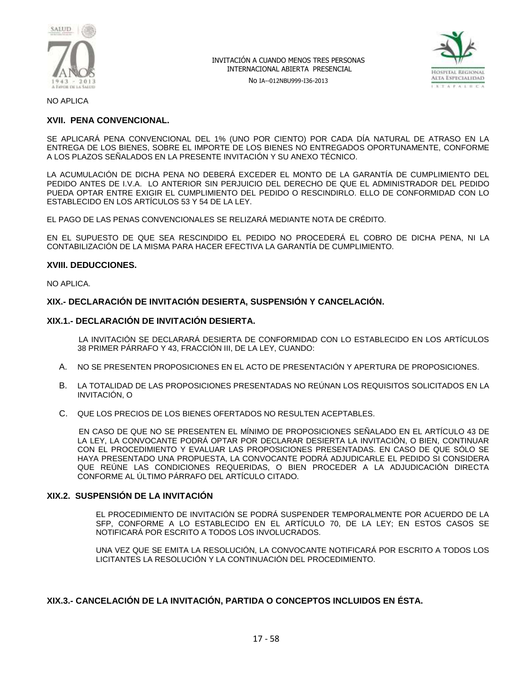

No IA--012NBU999-I36-2013



NO APLICA

## **XVII. PENA CONVENCIONAL.**

SE APLICARÁ PENA CONVENCIONAL DEL 1% (UNO POR CIENTO) POR CADA DÍA NATURAL DE ATRASO EN LA ENTREGA DE LOS BIENES, SOBRE EL IMPORTE DE LOS BIENES NO ENTREGADOS OPORTUNAMENTE, CONFORME A LOS PLAZOS SEÑALADOS EN LA PRESENTE INVITACIÓN Y SU ANEXO TÉCNICO.

LA ACUMULACIÓN DE DICHA PENA NO DEBERÁ EXCEDER EL MONTO DE LA GARANTÍA DE CUMPLIMIENTO DEL PEDIDO ANTES DE I.V.A. LO ANTERIOR SIN PERJUICIO DEL DERECHO DE QUE EL ADMINISTRADOR DEL PEDIDO PUEDA OPTAR ENTRE EXIGIR EL CUMPLIMIENTO DEL PEDIDO O RESCINDIRLO. ELLO DE CONFORMIDAD CON LO ESTABLECIDO EN LOS ARTÍCULOS 53 Y 54 DE LA LEY.

EL PAGO DE LAS PENAS CONVENCIONALES SE RELIZARÁ MEDIANTE NOTA DE CRÉDITO.

EN EL SUPUESTO DE QUE SEA RESCINDIDO EL PEDIDO NO PROCEDERÁ EL COBRO DE DICHA PENA, NI LA CONTABILIZACIÓN DE LA MISMA PARA HACER EFECTIVA LA GARANTÍA DE CUMPLIMIENTO.

#### **XVIII. DEDUCCIONES.**

NO APLICA.

#### **XIX.- DECLARACIÓN DE INVITACIÓN DESIERTA, SUSPENSIÓN Y CANCELACIÓN.**

#### **XIX.1.- DECLARACIÓN DE INVITACIÓN DESIERTA.**

 LA INVITACIÓN SE DECLARARÁ DESIERTA DE CONFORMIDAD CON LO ESTABLECIDO EN LOS ARTÍCULOS 38 PRIMER PÁRRAFO Y 43, FRACCIÓN III, DE LA LEY, CUANDO:

- A. NO SE PRESENTEN PROPOSICIONES EN EL ACTO DE PRESENTACIÓN Y APERTURA DE PROPOSICIONES.
- B. LA TOTALIDAD DE LAS PROPOSICIONES PRESENTADAS NO REÚNAN LOS REQUISITOS SOLICITADOS EN LA INVITACIÓN, O
- C. QUE LOS PRECIOS DE LOS BIENES OFERTADOS NO RESULTEN ACEPTABLES.

 EN CASO DE QUE NO SE PRESENTEN EL MÍNIMO DE PROPOSICIONES SEÑALADO EN EL ARTÍCULO 43 DE LA LEY, LA CONVOCANTE PODRÁ OPTAR POR DECLARAR DESIERTA LA INVITACIÓN, O BIEN, CONTINUAR CON EL PROCEDIMIENTO Y EVALUAR LAS PROPOSICIONES PRESENTADAS. EN CASO DE QUE SÓLO SE HAYA PRESENTADO UNA PROPUESTA, LA CONVOCANTE PODRÁ ADJUDICARLE EL PEDIDO SI CONSIDERA QUE REÚNE LAS CONDICIONES REQUERIDAS, O BIEN PROCEDER A LA ADJUDICACIÓN DIRECTA CONFORME AL ÚLTIMO PÁRRAFO DEL ARTÍCULO CITADO.

#### **XIX.2. SUSPENSIÓN DE LA INVITACIÓN**

EL PROCEDIMIENTO DE INVITACIÓN SE PODRÁ SUSPENDER TEMPORALMENTE POR ACUERDO DE LA SFP, CONFORME A LO ESTABLECIDO EN EL ARTÍCULO 70, DE LA LEY; EN ESTOS CASOS SE NOTIFICARÁ POR ESCRITO A TODOS LOS INVOLUCRADOS.

UNA VEZ QUE SE EMITA LA RESOLUCIÓN, LA CONVOCANTE NOTIFICARÁ POR ESCRITO A TODOS LOS LICITANTES LA RESOLUCIÓN Y LA CONTINUACIÓN DEL PROCEDIMIENTO.

#### **XIX.3.- CANCELACIÓN DE LA INVITACIÓN, PARTIDA O CONCEPTOS INCLUIDOS EN ÉSTA.**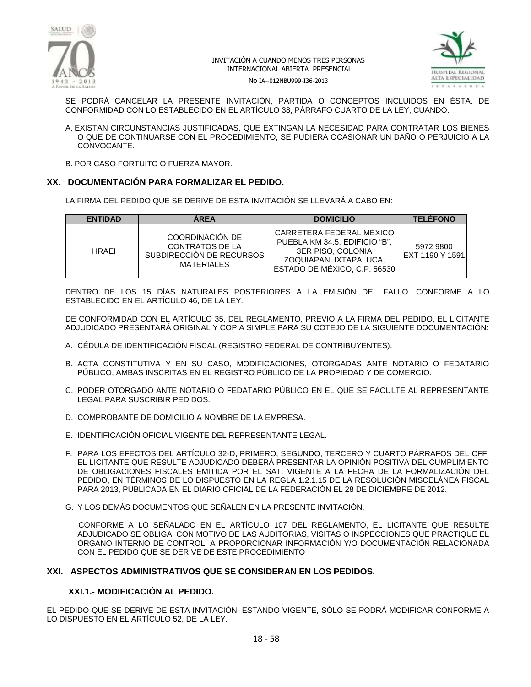



No IA--012NBU999-I36-2013

SE PODRÁ CANCELAR LA PRESENTE INVITACIÓN, PARTIDA O CONCEPTOS INCLUIDOS EN ÉSTA, DE CONFORMIDAD CON LO ESTABLECIDO EN EL ARTÍCULO 38, PÁRRAFO CUARTO DE LA LEY, CUANDO:

A. EXISTAN CIRCUNSTANCIAS JUSTIFICADAS, QUE EXTINGAN LA NECESIDAD PARA CONTRATAR LOS BIENES O QUE DE CONTINUARSE CON EL PROCEDIMIENTO, SE PUDIERA OCASIONAR UN DAÑO O PERJUICIO A LA CONVOCANTE.

B. POR CASO FORTUITO O FUERZA MAYOR.

## **XX. DOCUMENTACIÓN PARA FORMALIZAR EL PEDIDO.**

LA FIRMA DEL PEDIDO QUE SE DERIVE DE ESTA INVITACIÓN SE LLEVARÁ A CABO EN:

| <b>ENTIDAD</b> | <b>AREA</b>                                                                                | <b>DOMICILIO</b>                                                                                                                         | <b>TELÉFONO</b>              |
|----------------|--------------------------------------------------------------------------------------------|------------------------------------------------------------------------------------------------------------------------------------------|------------------------------|
| <b>HRAFI</b>   | COORDINACIÓN DE<br><b>CONTRATOS DE LA</b><br>SUBDIRECCIÓN DE RECURSOS<br><b>MATERIALES</b> | CARRETERA FEDERAL MÉXICO<br>PUEBLA KM 34.5, EDIFICIO "B",<br>3ER PISO, COLONIA<br>ZOQUIAPAN, IXTAPALUCA,<br>ESTADO DE MÉXICO, C.P. 56530 | 5972 9800<br>EXT 1190 Y 1591 |

DENTRO DE LOS 15 DÍAS NATURALES POSTERIORES A LA EMISIÓN DEL FALLO. CONFORME A LO ESTABLECIDO EN EL ARTÍCULO 46, DE LA LEY.

DE CONFORMIDAD CON EL ARTÍCULO 35, DEL REGLAMENTO, PREVIO A LA FIRMA DEL PEDIDO, EL LICITANTE ADJUDICADO PRESENTARÁ ORIGINAL Y COPIA SIMPLE PARA SU COTEJO DE LA SIGUIENTE DOCUMENTACIÓN:

- A. CÉDULA DE IDENTIFICACIÓN FISCAL (REGISTRO FEDERAL DE CONTRIBUYENTES).
- B. ACTA CONSTITUTIVA Y EN SU CASO, MODIFICACIONES, OTORGADAS ANTE NOTARIO O FEDATARIO PÚBLICO, AMBAS INSCRITAS EN EL REGISTRO PÚBLICO DE LA PROPIEDAD Y DE COMERCIO.
- C. PODER OTORGADO ANTE NOTARIO O FEDATARIO PÚBLICO EN EL QUE SE FACULTE AL REPRESENTANTE LEGAL PARA SUSCRIBIR PEDIDOS.
- D. COMPROBANTE DE DOMICILIO A NOMBRE DE LA EMPRESA.
- E. IDENTIFICACIÓN OFICIAL VIGENTE DEL REPRESENTANTE LEGAL.
- F. PARA LOS EFECTOS DEL ARTÍCULO 32-D, PRIMERO, SEGUNDO, TERCERO Y CUARTO PÁRRAFOS DEL CFF, EL LICITANTE QUE RESULTE ADJUDICADO DEBERÁ PRESENTAR LA OPINIÓN POSITIVA DEL CUMPLIMIENTO DE OBLIGACIONES FISCALES EMITIDA POR EL SAT, VIGENTE A LA FECHA DE LA FORMALIZACIÓN DEL PEDIDO, EN TÉRMINOS DE LO DISPUESTO EN LA REGLA 1.2.1.15 DE LA RESOLUCIÓN MISCELÁNEA FISCAL PARA 2013, PUBLICADA EN EL DIARIO OFICIAL DE LA FEDERACIÓN EL 28 DE DICIEMBRE DE 2012.
- G. Y LOS DEMÁS DOCUMENTOS QUE SEÑALEN EN LA PRESENTE INVITACIÓN.

 CONFORME A LO SEÑALADO EN EL ARTÍCULO 107 DEL REGLAMENTO, EL LICITANTE QUE RESULTE ADJUDICADO SE OBLIGA, CON MOTIVO DE LAS AUDITORIAS, VISITAS O INSPECCIONES QUE PRACTIQUE EL ÓRGANO INTERNO DE CONTROL, A PROPORCIONAR INFORMACIÓN Y/O DOCUMENTACIÓN RELACIONADA CON EL PEDIDO QUE SE DERIVE DE ESTE PROCEDIMIENTO

#### **XXI. ASPECTOS ADMINISTRATIVOS QUE SE CONSIDERAN EN LOS PEDIDOS.**

## **XXI.1.- MODIFICACIÓN AL PEDIDO.**

EL PEDIDO QUE SE DERIVE DE ESTA INVITACIÓN, ESTANDO VIGENTE, SÓLO SE PODRÁ MODIFICAR CONFORME A LO DISPUESTO EN EL ARTÍCULO 52, DE LA LEY.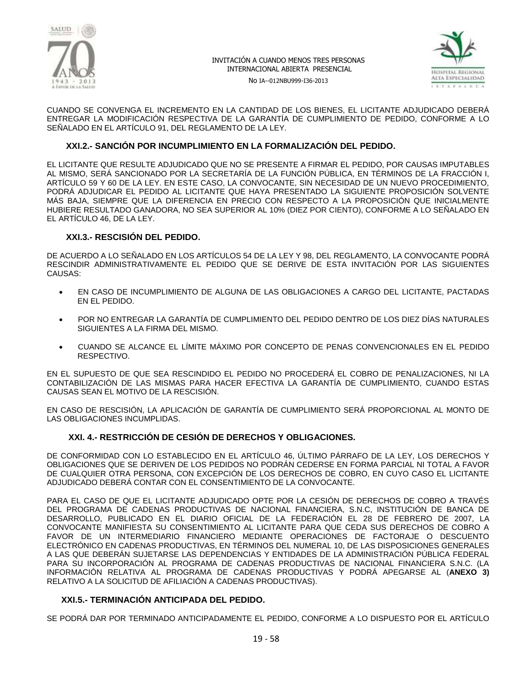



No IA--012NBU999-I36-2013

CUANDO SE CONVENGA EL INCREMENTO EN LA CANTIDAD DE LOS BIENES, EL LICITANTE ADJUDICADO DEBERÁ ENTREGAR LA MODIFICACIÓN RESPECTIVA DE LA GARANTÍA DE CUMPLIMIENTO DE PEDIDO, CONFORME A LO SEÑALADO EN EL ARTÍCULO 91, DEL REGLAMENTO DE LA LEY.

## **XXI.2.- SANCIÓN POR INCUMPLIMIENTO EN LA FORMALIZACIÓN DEL PEDIDO.**

EL LICITANTE QUE RESULTE ADJUDICADO QUE NO SE PRESENTE A FIRMAR EL PEDIDO, POR CAUSAS IMPUTABLES AL MISMO, SERÁ SANCIONADO POR LA SECRETARÍA DE LA FUNCIÓN PÚBLICA, EN TÉRMINOS DE LA FRACCIÓN I, ARTÍCULO 59 Y 60 DE LA LEY. EN ESTE CASO, LA CONVOCANTE, SIN NECESIDAD DE UN NUEVO PROCEDIMIENTO, PODRÁ ADJUDICAR EL PEDIDO AL LICITANTE QUE HAYA PRESENTADO LA SIGUIENTE PROPOSICIÓN SOLVENTE MÁS BAJA, SIEMPRE QUE LA DIFERENCIA EN PRECIO CON RESPECTO A LA PROPOSICIÓN QUE INICIALMENTE HUBIERE RESULTADO GANADORA, NO SEA SUPERIOR AL 10% (DIEZ POR CIENTO), CONFORME A LO SEÑALADO EN EL ARTÍCULO 46, DE LA LEY.

## **XXI.3.- RESCISIÓN DEL PEDIDO.**

DE ACUERDO A LO SEÑALADO EN LOS ARTÍCULOS 54 DE LA LEY Y 98, DEL REGLAMENTO, LA CONVOCANTE PODRÁ RESCINDIR ADMINISTRATIVAMENTE EL PEDIDO QUE SE DERIVE DE ESTA INVITACIÓN POR LAS SIGUIENTES CAUSAS:

- EN CASO DE INCUMPLIMIENTO DE ALGUNA DE LAS OBLIGACIONES A CARGO DEL LICITANTE, PACTADAS EN EL PEDIDO.
- POR NO ENTREGAR LA GARANTÍA DE CUMPLIMIENTO DEL PEDIDO DENTRO DE LOS DIEZ DÍAS NATURALES SIGUIENTES A LA FIRMA DEL MISMO.
- CUANDO SE ALCANCE EL LÍMITE MÁXIMO POR CONCEPTO DE PENAS CONVENCIONALES EN EL PEDIDO RESPECTIVO.

EN EL SUPUESTO DE QUE SEA RESCINDIDO EL PEDIDO NO PROCEDERÁ EL COBRO DE PENALIZACIONES, NI LA CONTABILIZACIÓN DE LAS MISMAS PARA HACER EFECTIVA LA GARANTÍA DE CUMPLIMIENTO, CUANDO ESTAS CAUSAS SEAN EL MOTIVO DE LA RESCISIÓN.

EN CASO DE RESCISIÓN, LA APLICACIÓN DE GARANTÍA DE CUMPLIMIENTO SERÁ PROPORCIONAL AL MONTO DE LAS OBLIGACIONES INCUMPLIDAS.

## **XXI. 4.- RESTRICCIÓN DE CESIÓN DE DERECHOS Y OBLIGACIONES.**

DE CONFORMIDAD CON LO ESTABLECIDO EN EL ARTÍCULO 46, ÚLTIMO PÁRRAFO DE LA LEY, LOS DERECHOS Y OBLIGACIONES QUE SE DERIVEN DE LOS PEDIDOS NO PODRÁN CEDERSE EN FORMA PARCIAL NI TOTAL A FAVOR DE CUALQUIER OTRA PERSONA, CON EXCEPCIÓN DE LOS DERECHOS DE COBRO, EN CUYO CASO EL LICITANTE ADJUDICADO DEBERÁ CONTAR CON EL CONSENTIMIENTO DE LA CONVOCANTE.

PARA EL CASO DE QUE EL LICITANTE ADJUDICADO OPTE POR LA CESIÓN DE DERECHOS DE COBRO A TRAVÉS DEL PROGRAMA DE CADENAS PRODUCTIVAS DE NACIONAL FINANCIERA, S.N.C, INSTITUCIÓN DE BANCA DE DESARROLLO, PUBLICADO EN EL DIARIO OFICIAL DE LA FEDERACIÓN EL 28 DE FEBRERO DE 2007, LA CONVOCANTE MANIFIESTA SU CONSENTIMIENTO AL LICITANTE PARA QUE CEDA SUS DERECHOS DE COBRO A FAVOR DE UN INTERMEDIARIO FINANCIERO MEDIANTE OPERACIONES DE FACTORAJE O DESCUENTO ELECTRÓNICO EN CADENAS PRODUCTIVAS, EN TÉRMINOS DEL NUMERAL 10, DE LAS DISPOSICIONES GENERALES A LAS QUE DEBERÁN SUJETARSE LAS DEPENDENCIAS Y ENTIDADES DE LA ADMINISTRACIÓN PÚBLICA FEDERAL PARA SU INCORPORACIÓN AL PROGRAMA DE CADENAS PRODUCTIVAS DE NACIONAL FINANCIERA S.N.C. (LA INFORMACIÓN RELATIVA AL PROGRAMA DE CADENAS PRODUCTIVAS Y PODRÁ APEGARSE AL (**ANEXO 3)** RELATIVO A LA SOLICITUD DE AFILIACIÓN A CADENAS PRODUCTIVAS).

#### **XXI.5.- TERMINACIÓN ANTICIPADA DEL PEDIDO.**

SE PODRÁ DAR POR TERMINADO ANTICIPADAMENTE EL PEDIDO, CONFORME A LO DISPUESTO POR EL ARTÍCULO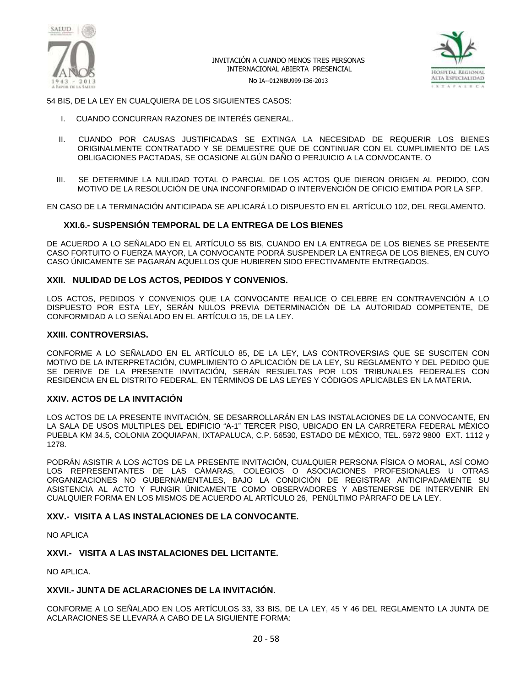

No IA--012NBU999-I36-2013



54 BIS, DE LA LEY EN CUALQUIERA DE LOS SIGUIENTES CASOS:

- I. CUANDO CONCURRAN RAZONES DE INTERÉS GENERAL.
- II. CUANDO POR CAUSAS JUSTIFICADAS SE EXTINGA LA NECESIDAD DE REQUERIR LOS BIENES ORIGINALMENTE CONTRATADO Y SE DEMUESTRE QUE DE CONTINUAR CON EL CUMPLIMIENTO DE LAS OBLIGACIONES PACTADAS, SE OCASIONE ALGÚN DAÑO O PERJUICIO A LA CONVOCANTE. O
- III. SE DETERMINE LA NULIDAD TOTAL O PARCIAL DE LOS ACTOS QUE DIERON ORIGEN AL PEDIDO, CON MOTIVO DE LA RESOLUCIÓN DE UNA INCONFORMIDAD O INTERVENCIÓN DE OFICIO EMITIDA POR LA SFP.

EN CASO DE LA TERMINACIÓN ANTICIPADA SE APLICARÁ LO DISPUESTO EN EL ARTÍCULO 102, DEL REGLAMENTO.

#### **XXI.6.- SUSPENSIÓN TEMPORAL DE LA ENTREGA DE LOS BIENES**

DE ACUERDO A LO SEÑALADO EN EL ARTÍCULO 55 BIS, CUANDO EN LA ENTREGA DE LOS BIENES SE PRESENTE CASO FORTUITO O FUERZA MAYOR, LA CONVOCANTE PODRÁ SUSPENDER LA ENTREGA DE LOS BIENES, EN CUYO CASO ÚNICAMENTE SE PAGARÁN AQUELLOS QUE HUBIEREN SIDO EFECTIVAMENTE ENTREGADOS.

## **XXII. NULIDAD DE LOS ACTOS, PEDIDOS Y CONVENIOS.**

LOS ACTOS, PEDIDOS Y CONVENIOS QUE LA CONVOCANTE REALICE O CELEBRE EN CONTRAVENCIÓN A LO DISPUESTO POR ESTA LEY, SERÁN NULOS PREVIA DETERMINACIÓN DE LA AUTORIDAD COMPETENTE, DE CONFORMIDAD A LO SEÑALADO EN EL ARTÍCULO 15, DE LA LEY.

#### **XXIII. CONTROVERSIAS.**

CONFORME A LO SEÑALADO EN EL ARTÍCULO 85, DE LA LEY, LAS CONTROVERSIAS QUE SE SUSCITEN CON MOTIVO DE LA INTERPRETACIÓN, CUMPLIMIENTO O APLICACIÓN DE LA LEY, SU REGLAMENTO Y DEL PEDIDO QUE SE DERIVE DE LA PRESENTE INVITACIÓN, SERÁN RESUELTAS POR LOS TRIBUNALES FEDERALES CON RESIDENCIA EN EL DISTRITO FEDERAL, EN TÉRMINOS DE LAS LEYES Y CÓDIGOS APLICABLES EN LA MATERIA.

#### **XXIV. ACTOS DE LA INVITACIÓN**

LOS ACTOS DE LA PRESENTE INVITACIÓN, SE DESARROLLARÁN EN LAS INSTALACIONES DE LA CONVOCANTE, EN LA SALA DE USOS MULTIPLES DEL EDIFICIO "A-1" TERCER PISO, UBICADO EN LA CARRETERA FEDERAL MÉXICO PUEBLA KM 34.5, COLONIA ZOQUIAPAN, IXTAPALUCA, C.P. 56530, ESTADO DE MÉXICO, TEL. 5972 9800 EXT. 1112 y 1278.

PODRÁN ASISTIR A LOS ACTOS DE LA PRESENTE INVITACIÓN, CUALQUIER PERSONA FÍSICA O MORAL, ASÍ COMO LOS REPRESENTANTES DE LAS CÁMARAS, COLEGIOS O ASOCIACIONES PROFESIONALES U OTRAS ORGANIZACIONES NO GUBERNAMENTALES, BAJO LA CONDICIÓN DE REGISTRAR ANTICIPADAMENTE SU ASISTENCIA AL ACTO Y FUNGIR ÚNICAMENTE COMO OBSERVADORES Y ABSTENERSE DE INTERVENIR EN CUALQUIER FORMA EN LOS MISMOS DE ACUERDO AL ARTÍCULO 26, PENÚLTIMO PÁRRAFO DE LA LEY.

#### **XXV.- VISITA A LAS INSTALACIONES DE LA CONVOCANTE.**

NO APLICA

## **XXVI.- VISITA A LAS INSTALACIONES DEL LICITANTE.**

NO APLICA.

#### **XXVII.- JUNTA DE ACLARACIONES DE LA INVITACIÓN.**

CONFORME A LO SEÑALADO EN LOS ARTÍCULOS 33, 33 BIS, DE LA LEY, 45 Y 46 DEL REGLAMENTO LA JUNTA DE ACLARACIONES SE LLEVARÁ A CABO DE LA SIGUIENTE FORMA: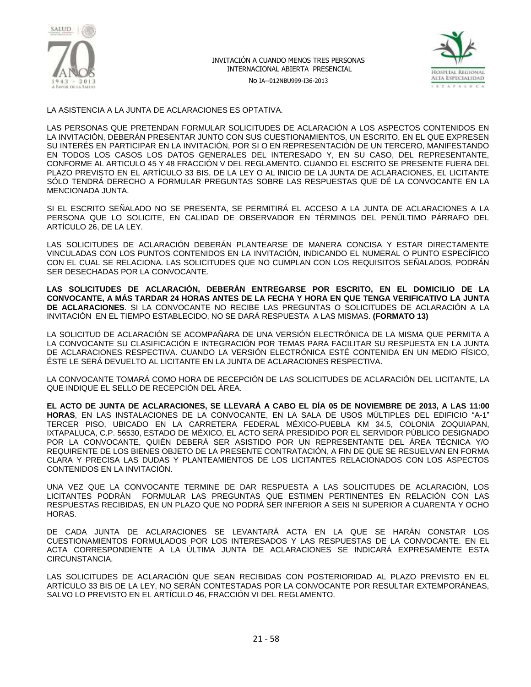

No IA--012NBU999-I36-2013



LA ASISTENCIA A LA JUNTA DE ACLARACIONES ES OPTATIVA.

LAS PERSONAS QUE PRETENDAN FORMULAR SOLICITUDES DE ACLARACIÓN A LOS ASPECTOS CONTENIDOS EN LA INVITACIÓN, DEBERÁN PRESENTAR JUNTO CON SUS CUESTIONAMIENTOS, UN ESCRITO, EN EL QUE EXPRESEN SU INTERÉS EN PARTICIPAR EN LA INVITACIÓN, POR SI O EN REPRESENTACIÓN DE UN TERCERO, MANIFESTANDO EN TODOS LOS CASOS LOS DATOS GENERALES DEL INTERESADO Y, EN SU CASO, DEL REPRESENTANTE, CONFORME AL ARTICULO 45 Y 48 FRACCIÓN V DEL REGLAMENTO. CUANDO EL ESCRITO SE PRESENTE FUERA DEL PLAZO PREVISTO EN EL ARTÍCULO 33 BIS, DE LA LEY O AL INICIO DE LA JUNTA DE ACLARACIONES, EL LICITANTE SÓLO TENDRÁ DERECHO A FORMULAR PREGUNTAS SOBRE LAS RESPUESTAS QUE DÉ LA CONVOCANTE EN LA MENCIONADA JUNTA.

SI EL ESCRITO SEÑALADO NO SE PRESENTA, SE PERMITIRÁ EL ACCESO A LA JUNTA DE ACLARACIONES A LA PERSONA QUE LO SOLICITE, EN CALIDAD DE OBSERVADOR EN TÉRMINOS DEL PENÚLTIMO PÁRRAFO DEL ARTÍCULO 26, DE LA LEY.

LAS SOLICITUDES DE ACLARACIÓN DEBERÁN PLANTEARSE DE MANERA CONCISA Y ESTAR DIRECTAMENTE VINCULADAS CON LOS PUNTOS CONTENIDOS EN LA INVITACIÓN, INDICANDO EL NUMERAL O PUNTO ESPECÍFICO CON EL CUAL SE RELACIONA. LAS SOLICITUDES QUE NO CUMPLAN CON LOS REQUISITOS SEÑALADOS, PODRÁN SER DESECHADAS POR LA CONVOCANTE.

**LAS SOLICITUDES DE ACLARACIÓN, DEBERÁN ENTREGARSE POR ESCRITO, EN EL DOMICILIO DE LA CONVOCANTE, A MÁS TARDAR 24 HORAS ANTES DE LA FECHA Y HORA EN QUE TENGA VERIFICATIVO LA JUNTA DE ACLARACIONES**. SI LA CONVOCANTE NO RECIBE LAS PREGUNTAS O SOLICITUDES DE ACLARACIÓN A LA INVITACIÓN EN EL TIEMPO ESTABLECIDO, NO SE DARÁ RESPUESTA A LAS MISMAS. **(FORMATO 13)**

LA SOLICITUD DE ACLARACIÓN SE ACOMPAÑARA DE UNA VERSIÓN ELECTRÓNICA DE LA MISMA QUE PERMITA A LA CONVOCANTE SU CLASIFICACIÓN E INTEGRACIÓN POR TEMAS PARA FACILITAR SU RESPUESTA EN LA JUNTA DE ACLARACIONES RESPECTIVA. CUANDO LA VERSIÓN ELECTRÓNICA ESTÉ CONTENIDA EN UN MEDIO FÍSICO, ÉSTE LE SERÁ DEVUELTO AL LICITANTE EN LA JUNTA DE ACLARACIONES RESPECTIVA.

LA CONVOCANTE TOMARÁ COMO HORA DE RECEPCIÓN DE LAS SOLICITUDES DE ACLARACIÓN DEL LICITANTE, LA QUE INDIQUE EL SELLO DE RECEPCIÓN DEL ÁREA.

**EL ACTO DE JUNTA DE ACLARACIONES, SE LLEVARÁ A CABO EL DÍA 05 DE NOVIEMBRE DE 2013, A LAS 11:00 HORAS**, EN LAS INSTALACIONES DE LA CONVOCANTE, EN LA SALA DE USOS MÚLTIPLES DEL EDIFICIO "A-1" TERCER PISO, UBICADO EN LA CARRETERA FEDERAL MÉXICO-PUEBLA KM 34.5, COLONIA ZOQUIAPAN, IXTAPALUCA, C.P. 56530, ESTADO DE MÉXICO, EL ACTO SERÁ PRESIDIDO POR EL SERVIDOR PÚBLICO DESIGNADO POR LA CONVOCANTE, QUIÉN DEBERÁ SER ASISTIDO POR UN REPRESENTANTE DEL ÁREA TÉCNICA Y/O REQUIRENTE DE LOS BIENES OBJETO DE LA PRESENTE CONTRATACIÓN, A FIN DE QUE SE RESUELVAN EN FORMA CLARA Y PRECISA LAS DUDAS Y PLANTEAMIENTOS DE LOS LICITANTES RELACIONADOS CON LOS ASPECTOS CONTENIDOS EN LA INVITACIÓN.

UNA VEZ QUE LA CONVOCANTE TERMINE DE DAR RESPUESTA A LAS SOLICITUDES DE ACLARACIÓN, LOS LICITANTES PODRÁN FORMULAR LAS PREGUNTAS QUE ESTIMEN PERTINENTES EN RELACIÓN CON LAS RESPUESTAS RECIBIDAS, EN UN PLAZO QUE NO PODRÁ SER INFERIOR A SEIS NI SUPERIOR A CUARENTA Y OCHO HORAS.

DE CADA JUNTA DE ACLARACIONES SE LEVANTARÁ ACTA EN LA QUE SE HARÁN CONSTAR LOS CUESTIONAMIENTOS FORMULADOS POR LOS INTERESADOS Y LAS RESPUESTAS DE LA CONVOCANTE. EN EL ACTA CORRESPONDIENTE A LA ÚLTIMA JUNTA DE ACLARACIONES SE INDICARÁ EXPRESAMENTE ESTA CIRCUNSTANCIA.

LAS SOLICITUDES DE ACLARACIÓN QUE SEAN RECIBIDAS CON POSTERIORIDAD AL PLAZO PREVISTO EN EL ARTÍCULO 33 BIS DE LA LEY, NO SERÁN CONTESTADAS POR LA CONVOCANTE POR RESULTAR EXTEMPORÁNEAS, SALVO LO PREVISTO EN EL ARTÍCULO 46, FRACCIÓN VI DEL REGLAMENTO.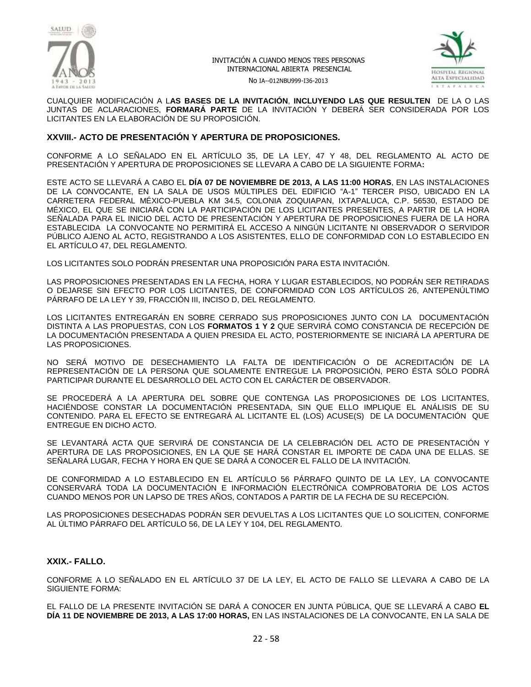



No IA--012NBU999-I36-2013

CUALQUIER MODIFICACIÓN A L**AS BASES DE LA INVITACIÓN**, **INCLUYENDO LAS QUE RESULTEN** DE LA O LAS JUNTAS DE ACLARACIONES, **FORMARÁ PARTE** DE LA INVITACIÓN Y DEBERÁ SER CONSIDERADA POR LOS LICITANTES EN LA ELABORACIÓN DE SU PROPOSICIÓN.

## **XXVIII.- ACTO DE PRESENTACIÓN Y APERTURA DE PROPOSICIONES.**

CONFORME A LO SEÑALADO EN EL ARTÍCULO 35, DE LA LEY, 47 Y 48, DEL REGLAMENTO AL ACTO DE PRESENTACIÓN Y APERTURA DE PROPOSICIONES SE LLEVARA A CABO DE LA SIGUIENTE FORMA**:**

ESTE ACTO SE LLEVARÁ A CABO EL **DÍA 07 DE NOVIEMBRE DE 2013, A LAS 11:00 HORAS**, EN LAS INSTALACIONES DE LA CONVOCANTE, EN LA SALA DE USOS MÚLTIPLES DEL EDIFICIO "A-1" TERCER PISO, UBICADO EN LA CARRETERA FEDERAL MÉXICO-PUEBLA KM 34.5, COLONIA ZOQUIAPAN, IXTAPALUCA, C.P. 56530, ESTADO DE MÉXICO, EL QUE SE INICIARÁ CON LA PARTICIPACIÓN DE LOS LICITANTES PRESENTES, A PARTIR DE LA HORA SEÑALADA PARA EL INICIO DEL ACTO DE PRESENTACIÓN Y APERTURA DE PROPOSICIONES FUERA DE LA HORA ESTABLECIDA LA CONVOCANTE NO PERMITIRÁ EL ACCESO A NINGÚN LICITANTE NI OBSERVADOR O SERVIDOR PÚBLICO AJENO AL ACTO, REGISTRANDO A LOS ASISTENTES, ELLO DE CONFORMIDAD CON LO ESTABLECIDO EN EL ARTÍCULO 47, DEL REGLAMENTO.

LOS LICITANTES SOLO PODRÁN PRESENTAR UNA PROPOSICIÓN PARA ESTA INVITACIÓN.

LAS PROPOSICIONES PRESENTADAS EN LA FECHA, HORA Y LUGAR ESTABLECIDOS, NO PODRÁN SER RETIRADAS O DEJARSE SIN EFECTO POR LOS LICITANTES, DE CONFORMIDAD CON LOS ARTÍCULOS 26, ANTEPENÚLTIMO PÁRRAFO DE LA LEY Y 39, FRACCIÓN III, INCISO D, DEL REGLAMENTO.

LOS LICITANTES ENTREGARÁN EN SOBRE CERRADO SUS PROPOSICIONES JUNTO CON LA DOCUMENTACIÓN DISTINTA A LAS PROPUESTAS, CON LOS **FORMATOS 1 Y 2** QUE SERVIRÁ COMO CONSTANCIA DE RECEPCIÓN DE LA DOCUMENTACIÓN PRESENTADA A QUIEN PRESIDA EL ACTO, POSTERIORMENTE SE INICIARÁ LA APERTURA DE LAS PROPOSICIONES.

NO SERÁ MOTIVO DE DESECHAMIENTO LA FALTA DE IDENTIFICACIÓN O DE ACREDITACIÓN DE LA REPRESENTACIÓN DE LA PERSONA QUE SOLAMENTE ENTREGUE LA PROPOSICIÓN, PERO ÉSTA SÓLO PODRÁ PARTICIPAR DURANTE EL DESARROLLO DEL ACTO CON EL CARÁCTER DE OBSERVADOR.

SE PROCEDERÁ A LA APERTURA DEL SOBRE QUE CONTENGA LAS PROPOSICIONES DE LOS LICITANTES, HACIÉNDOSE CONSTAR LA DOCUMENTACIÓN PRESENTADA, SIN QUE ELLO IMPLIQUE EL ANÁLISIS DE SU CONTENIDO. PARA EL EFECTO SE ENTREGARÁ AL LICITANTE EL (LOS) ACUSE(S) DE LA DOCUMENTACIÓN QUE ENTREGUE EN DICHO ACTO.

SE LEVANTARÁ ACTA QUE SERVIRÁ DE CONSTANCIA DE LA CELEBRACIÓN DEL ACTO DE PRESENTACIÓN Y APERTURA DE LAS PROPOSICIONES, EN LA QUE SE HARÁ CONSTAR EL IMPORTE DE CADA UNA DE ELLAS. SE SEÑALARÁ LUGAR, FECHA Y HORA EN QUE SE DARÁ A CONOCER EL FALLO DE LA INVITACIÓN.

DE CONFORMIDAD A LO ESTABLECIDO EN EL ARTÍCULO 56 PÁRRAFO QUINTO DE LA LEY, LA CONVOCANTE CONSERVARÁ TODA LA DOCUMENTACIÓN E INFORMACIÓN ELECTRÓNICA COMPROBATORIA DE LOS ACTOS CUANDO MENOS POR UN LAPSO DE TRES AÑOS, CONTADOS A PARTIR DE LA FECHA DE SU RECEPCIÓN.

LAS PROPOSICIONES DESECHADAS PODRÁN SER DEVUELTAS A LOS LICITANTES QUE LO SOLICITEN, CONFORME AL ÚLTIMO PÁRRAFO DEL ARTÍCULO 56, DE LA LEY Y 104, DEL REGLAMENTO.

## **XXIX.- FALLO.**

CONFORME A LO SEÑALADO EN EL ARTÍCULO 37 DE LA LEY, EL ACTO DE FALLO SE LLEVARA A CABO DE LA SIGUIENTE FORMA:

EL FALLO DE LA PRESENTE INVITACIÓN SE DARÁ A CONOCER EN JUNTA PÚBLICA, QUE SE LLEVARÁ A CABO **EL DÍA 11 DE NOVIEMBRE DE 2013, A LAS 17:00 HORAS,** EN LAS INSTALACIONES DE LA CONVOCANTE, EN LA SALA DE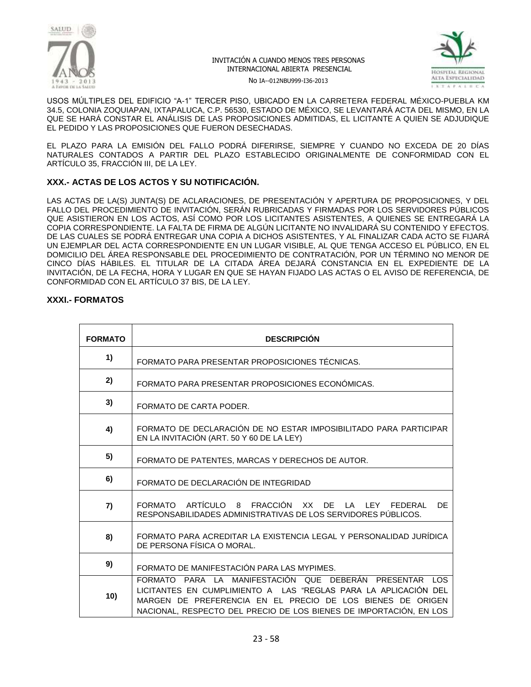



No IA--012NBU999-I36-2013

USOS MÚLTIPLES DEL EDIFICIO "A-1" TERCER PISO, UBICADO EN LA CARRETERA FEDERAL MÉXICO-PUEBLA KM 34.5, COLONIA ZOQUIAPAN, IXTAPALUCA, C.P. 56530, ESTADO DE MÉXICO, SE LEVANTARÁ ACTA DEL MISMO, EN LA QUE SE HARÁ CONSTAR EL ANÁLISIS DE LAS PROPOSICIONES ADMITIDAS, EL LICITANTE A QUIEN SE ADJUDIQUE EL PEDIDO Y LAS PROPOSICIONES QUE FUERON DESECHADAS.

EL PLAZO PARA LA EMISIÓN DEL FALLO PODRÁ DIFERIRSE, SIEMPRE Y CUANDO NO EXCEDA DE 20 DÍAS NATURALES CONTADOS A PARTIR DEL PLAZO ESTABLECIDO ORIGINALMENTE DE CONFORMIDAD CON EL ARTÍCULO 35, FRACCIÓN III, DE LA LEY.

## **XXX.- ACTAS DE LOS ACTOS Y SU NOTIFICACIÓN.**

LAS ACTAS DE LA(S) JUNTA(S) DE ACLARACIONES, DE PRESENTACIÓN Y APERTURA DE PROPOSICIONES, Y DEL FALLO DEL PROCEDIMIENTO DE INVITACIÓN, SERÁN RUBRICADAS Y FIRMADAS POR LOS SERVIDORES PÚBLICOS QUE ASISTIERON EN LOS ACTOS, ASÍ COMO POR LOS LICITANTES ASISTENTES, A QUIENES SE ENTREGARÁ LA COPIA CORRESPONDIENTE. LA FALTA DE FIRMA DE ALGÚN LICITANTE NO INVALIDARÁ SU CONTENIDO Y EFECTOS. DE LAS CUALES SE PODRÁ ENTREGAR UNA COPIA A DICHOS ASISTENTES, Y AL FINALIZAR CADA ACTO SE FIJARÁ UN EJEMPLAR DEL ACTA CORRESPONDIENTE EN UN LUGAR VISIBLE, AL QUE TENGA ACCESO EL PÚBLICO, EN EL DOMICILIO DEL ÁREA RESPONSABLE DEL PROCEDIMIENTO DE CONTRATACIÓN, POR UN TÉRMINO NO MENOR DE CINCO DÍAS HÁBILES. EL TITULAR DE LA CITADA ÁREA DEJARÁ CONSTANCIA EN EL EXPEDIENTE DE LA INVITACIÓN, DE LA FECHA, HORA Y LUGAR EN QUE SE HAYAN FIJADO LAS ACTAS O EL AVISO DE REFERENCIA, DE CONFORMIDAD CON EL ARTÍCULO 37 BIS, DE LA LEY.

## **XXXI.- FORMATOS**

| <b>FORMATO</b> | <b>DESCRIPCIÓN</b>                                                                                                                                                                                                                                             |
|----------------|----------------------------------------------------------------------------------------------------------------------------------------------------------------------------------------------------------------------------------------------------------------|
| 1)             | FORMATO PARA PRESENTAR PROPOSICIONES TÉCNICAS.                                                                                                                                                                                                                 |
| 2)             | FORMATO PARA PRESENTAR PROPOSICIONES ECONÓMICAS.                                                                                                                                                                                                               |
| 3)             | FORMATO DE CARTA PODER.                                                                                                                                                                                                                                        |
| 4)             | FORMATO DE DECLARACIÓN DE NO ESTAR IMPOSIBILITADO PARA PARTICIPAR<br>EN LA INVITACIÓN (ART. 50 Y 60 DE LA LEY)                                                                                                                                                 |
| 5)             | FORMATO DE PATENTES, MARCAS Y DERECHOS DE AUTOR.                                                                                                                                                                                                               |
| 6)             | FORMATO DE DECLARACIÓN DE INTEGRIDAD                                                                                                                                                                                                                           |
| 7)             | FORMATO ARTÍCULO 8 FRACCIÓN XX<br>DE.<br>LA LEY<br>DF<br>FFDFRAL<br>RESPONSABILIDADES ADMINISTRATIVAS DE LOS SERVIDORES PÚBLICOS.                                                                                                                              |
| 8)             | FORMATO PARA ACREDITAR LA EXISTENCIA LEGAL Y PERSONALIDAD JURÍDICA<br>DE PERSONA FÍSICA O MORAL.                                                                                                                                                               |
| 9)             | FORMATO DE MANIFESTACIÓN PARA LAS MYPIMES.                                                                                                                                                                                                                     |
| 10)            | FORMATO PARA LA MANIFESTACIÓN QUE DEBERÁN PRESENTAR LOS<br>LICITANTES EN CUMPLIMIENTO A LAS "REGLAS PARA LA APLICACIÓN DEL<br>MARGEN DE PREFERENCIA EN EL PRECIO DE LOS BIENES DE ORIGEN<br>NACIONAL, RESPECTO DEL PRECIO DE LOS BIENES DE IMPORTACIÓN, EN LOS |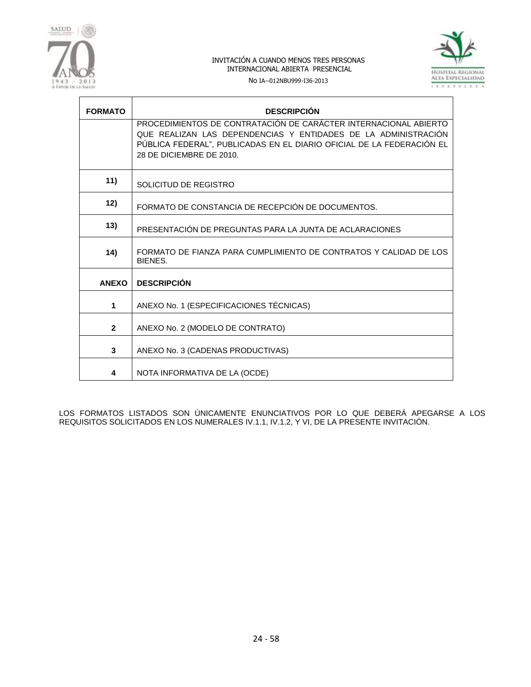



No IA--012NBU999-I36-2013

| <b>FORMATO</b> | <b>DESCRIPCIÓN</b>                                                                                                                                                                                                                      |
|----------------|-----------------------------------------------------------------------------------------------------------------------------------------------------------------------------------------------------------------------------------------|
|                | PROCEDIMIENTOS DE CONTRATACIÓN DE CARÁCTER INTERNACIONAL ABIERTO<br>QUE REALIZAN LAS DEPENDENCIAS Y ENTIDADES DE LA ADMINISTRACIÓN<br>PÚBLICA FEDERAL", PUBLICADAS EN EL DIARIO OFICIAL DE LA FEDERACIÓN EL<br>28 DE DICIEMBRE DE 2010. |
| 11)            | SOLICITUD DE REGISTRO                                                                                                                                                                                                                   |
| 12)            | FORMATO DE CONSTANCIA DE RECEPCIÓN DE DOCUMENTOS.                                                                                                                                                                                       |
| 13)            | PRESENTACIÓN DE PREGUNTAS PARA LA JUNTA DE ACLARACIONES                                                                                                                                                                                 |
| 14)            | FORMATO DE FIANZA PARA CUMPLIMIENTO DE CONTRATOS Y CALIDAD DE LOS<br>BIENES.                                                                                                                                                            |
| <b>ANEXO</b>   | <b>DESCRIPCIÓN</b>                                                                                                                                                                                                                      |
| 1              | ANEXO No. 1 (ESPECIFICACIONES TÉCNICAS)                                                                                                                                                                                                 |
| $\overline{2}$ | ANEXO No. 2 (MODELO DE CONTRATO)                                                                                                                                                                                                        |
| 3              | ANEXO No. 3 (CADENAS PRODUCTIVAS)                                                                                                                                                                                                       |
| 4              | NOTA INFORMATIVA DE LA (OCDE)                                                                                                                                                                                                           |

LOS FORMATOS LISTADOS SON ÚNICAMENTE ENUNCIATIVOS POR LO QUE DEBERÁ APEGARSE A LOS REQUISITOS SOLICITADOS EN LOS NUMERALES IV.1.1, IV.1.2, Y VI, DE LA PRESENTE INVITACIÓN.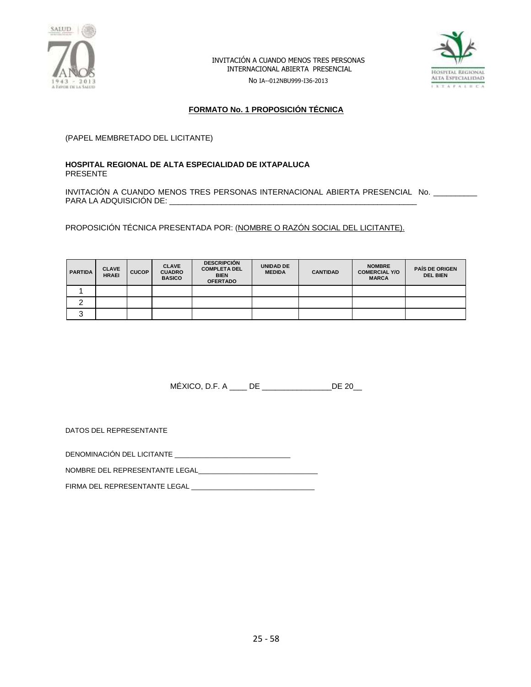

No IA--012NBU999-I36-2013



## **FORMATO No. 1 PROPOSICIÓN TÉCNICA**

(PAPEL MEMBRETADO DEL LICITANTE)

#### **HOSPITAL REGIONAL DE ALTA ESPECIALIDAD DE IXTAPALUCA** PRESENTE

INVITACIÓN A CUANDO MENOS TRES PERSONAS INTERNACIONAL ABIERTA PRESENCIAL No. \_\_\_\_\_\_\_\_\_\_ PARA LA ADQUISICIÓN DE: \_\_\_\_\_\_\_\_\_\_\_\_\_\_\_\_\_\_\_\_\_\_\_\_\_\_\_\_\_\_\_\_\_\_\_\_\_\_\_\_\_\_\_\_\_\_\_\_\_\_\_\_\_\_\_\_\_

PROPOSICIÓN TÉCNICA PRESENTADA POR: (NOMBRE O RAZÓN SOCIAL DEL LICITANTE).

| <b>PARTIDA</b> | <b>CLAVE</b><br><b>HRAEI</b> | <b>CUCOP</b> | <b>CLAVE</b><br><b>CUADRO</b><br><b>BASICO</b> | <b>DESCRIPCIÓN</b><br><b>COMPLETA DEL</b><br><b>BIEN</b><br><b>OFERTADO</b> | <b>UNIDAD DE</b><br><b>MEDIDA</b> | <b>CANTIDAD</b> | <b>NOMBRE</b><br><b>COMERCIAL Y/O</b><br><b>MARCA</b> | <b>PAIS DE ORIGEN</b><br><b>DEL BIEN</b> |
|----------------|------------------------------|--------------|------------------------------------------------|-----------------------------------------------------------------------------|-----------------------------------|-----------------|-------------------------------------------------------|------------------------------------------|
|                |                              |              |                                                |                                                                             |                                   |                 |                                                       |                                          |
|                |                              |              |                                                |                                                                             |                                   |                 |                                                       |                                          |
| ື              |                              |              |                                                |                                                                             |                                   |                 |                                                       |                                          |

MÉXICO, D.F. A \_\_\_\_ DE \_\_\_\_\_\_\_\_\_\_\_\_\_\_\_\_DE 20\_\_

DATOS DEL REPRESENTANTE

DENOMINACIÓN DEL LICITANTE \_\_\_\_\_\_\_\_\_\_\_\_\_\_\_\_\_\_\_\_\_\_\_\_\_\_\_\_\_\_

NOMBRE DEL REPRESENTANTE LEGAL\_\_\_\_\_\_\_\_\_\_\_\_\_\_\_\_\_\_\_\_\_\_\_\_\_\_\_\_\_\_\_

FIRMA DEL REPRESENTANTE LEGAL \_\_\_\_\_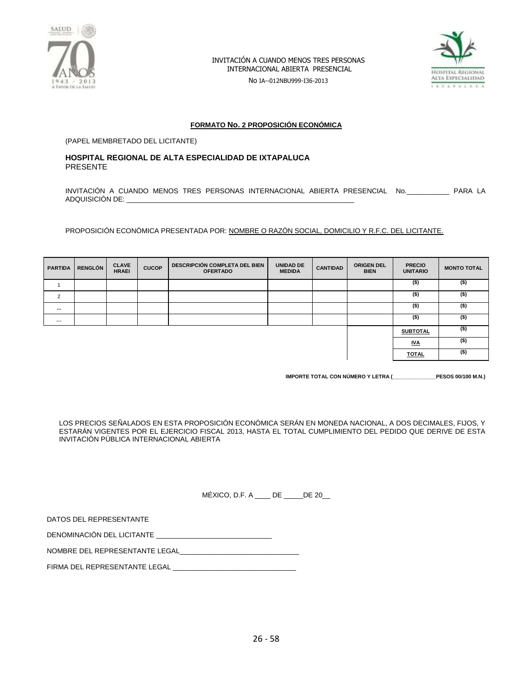

No IA--012NBU999-I36-2013



#### **FORMATO No. 2 PROPOSICIÓN ECONÓMICA**

(PAPEL MEMBRETADO DEL LICITANTE)

#### **HOSPITAL REGIONAL DE ALTA ESPECIALIDAD DE IXTAPALUCA** PRESENTE

INVITACIÓN A CUANDO MENOS TRES PERSONAS INTERNACIONAL ABIERTA PRESENCIAL No.\_\_\_\_\_\_\_\_\_\_\_ PARA LA ADQUISICIÓN DE:

PROPOSICIÓN ECONÓMICA PRESENTADA POR: NOMBRE O RAZÓN SOCIAL, DOMICILIO Y R.F.C. DEL LICITANTE.

| <b>PARTIDA</b> | <b>RENGLÓN</b> | <b>CLAVE</b><br><b>HRAEI</b> | <b>CUCOP</b> | <b>DESCRIPCIÓN COMPLETA DEL BIEN</b><br><b>OFERTADO</b> | <b>UNIDAD DE</b><br><b>MEDIDA</b> | <b>CANTIDAD</b> | <b>ORIGEN DEL</b><br><b>BIEN</b> | <b>PRECIO</b><br><b>UNITARIO</b> | <b>MONTO TOTAL</b> |
|----------------|----------------|------------------------------|--------------|---------------------------------------------------------|-----------------------------------|-----------------|----------------------------------|----------------------------------|--------------------|
|                |                |                              |              |                                                         |                                   |                 |                                  | $($ \$)                          | $($ \$)            |
| $\overline{2}$ |                |                              |              |                                                         |                                   |                 |                                  | $($ \$)                          | $($ \$)            |
| $\cdots$       |                |                              |              |                                                         |                                   |                 |                                  | $($ \$)                          | (\$)               |
| $\cdots$       |                |                              |              |                                                         |                                   |                 |                                  | $($ \$)                          | (\$)               |
|                |                |                              |              |                                                         |                                   |                 |                                  | <b>SUBTOTAL</b>                  | $($ \$)            |
|                |                |                              |              |                                                         |                                   |                 |                                  | <u>IVA</u>                       | (\$)               |
|                |                |                              |              |                                                         |                                   |                 |                                  | <b>TOTAL</b>                     | (\$)               |

**IMPORTE TOTAL CON NÚMERO Y LETRA (\_\_\_\_\_\_\_\_\_\_\_\_\_\_\_PESOS 00/100 M.N.)**

LOS PRECIOS SEÑALADOS EN ESTA PROPOSICIÓN ECONÓMICA SERÁN EN MONEDA NACIONAL, A DOS DECIMALES, FIJOS, Y ESTARÁN VIGENTES POR EL EJERCICIO FISCAL 2013, HASTA EL TOTAL CUMPLIMIENTO DEL PEDIDO QUE DERIVE DE ESTA INVITACIÓN PÚBLICA INTERNACIONAL ABIERTA

MÉXICO, D.F. A \_\_\_\_ DE \_\_\_\_\_DE 20\_\_

| DATOS DEL REPRESENTANTE |
|-------------------------|
|-------------------------|

DENOMINACIÓN DEL LICITANTE \_\_\_\_\_\_\_\_\_\_\_\_\_\_\_\_\_\_\_\_\_\_\_\_\_\_\_\_\_\_

NOMBRE DEL REPRESENTANTE LEGAL

FIRMA DEL REPRESENTANTE LEGAL \_\_\_\_\_\_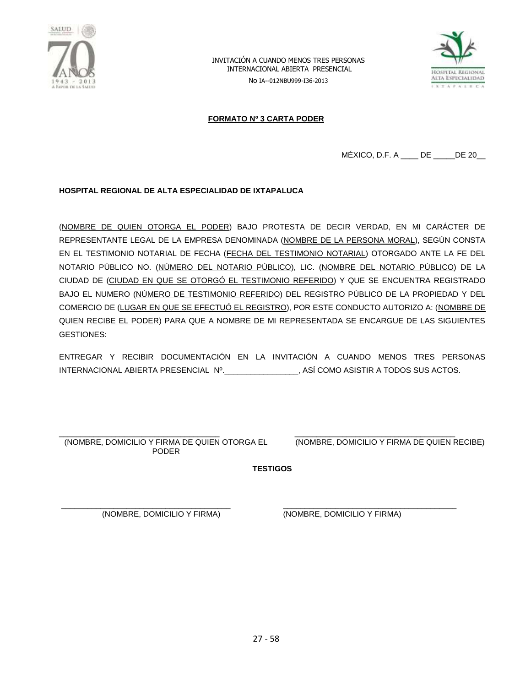

INVITACIÓN A CUANDO MENOS TRES PERSONAS INTERNACIONAL ABIERTA PRESENCIAL No IA--012NBU999-I36-2013



## **FORMATO Nº 3 CARTA PODER**

MÉXICO, D.F. A \_\_\_\_ DE \_\_\_\_\_DE 20\_\_

#### **HOSPITAL REGIONAL DE ALTA ESPECIALIDAD DE IXTAPALUCA**

(NOMBRE DE QUIEN OTORGA EL PODER) BAJO PROTESTA DE DECIR VERDAD, EN MI CARÁCTER DE REPRESENTANTE LEGAL DE LA EMPRESA DENOMINADA (NOMBRE DE LA PERSONA MORAL), SEGÚN CONSTA EN EL TESTIMONIO NOTARIAL DE FECHA (FECHA DEL TESTIMONIO NOTARIAL) OTORGADO ANTE LA FE DEL NOTARIO PÚBLICO NO. (NÚMERO DEL NOTARIO PÚBLICO), LIC. (NOMBRE DEL NOTARIO PÚBLICO) DE LA CIUDAD DE (CIUDAD EN QUE SE OTORGÓ EL TESTIMONIO REFERIDO) Y QUE SE ENCUENTRA REGISTRADO BAJO EL NUMERO (NÚMERO DE TESTIMONIO REFERIDO) DEL REGISTRO PÚBLICO DE LA PROPIEDAD Y DEL COMERCIO DE (LUGAR EN QUE SE EFECTUÓ EL REGISTRO), POR ESTE CONDUCTO AUTORIZO A: (NOMBRE DE QUIEN RECIBE EL PODER) PARA QUE A NOMBRE DE MI REPRESENTADA SE ENCARGUE DE LAS SIGUIENTES GESTIONES:

ENTREGAR Y RECIBIR DOCUMENTACIÓN EN LA INVITACIÓN A CUANDO MENOS TRES PERSONAS INTERNACIONAL ABIERTA PRESENCIAL Nº.\_\_\_\_\_\_\_\_\_\_\_\_\_\_\_\_\_, ASÍ COMO ASISTIR A TODOS SUS ACTOS.

\_\_\_\_\_\_\_\_\_\_\_\_\_\_\_\_\_\_\_\_\_\_\_\_\_\_\_\_\_\_\_\_\_\_\_\_\_ (NOMBRE, DOMICILIO Y FIRMA DE QUIEN OTORGA EL PODER

\_\_\_\_\_\_\_\_\_\_\_\_\_\_\_\_\_\_\_\_\_\_\_\_\_\_\_\_\_\_\_\_\_\_\_\_\_ (NOMBRE, DOMICILIO Y FIRMA DE QUIEN RECIBE)

**TESTIGOS**

\_\_\_\_\_\_\_\_\_\_\_\_\_\_\_\_\_\_\_\_\_\_\_\_\_\_\_\_\_\_\_\_\_\_\_\_\_\_\_ (NOMBRE, DOMICILIO Y FIRMA)

\_\_\_\_\_\_\_\_\_\_\_\_\_\_\_\_\_\_\_\_\_\_\_\_\_\_\_\_\_\_\_\_\_\_\_\_\_\_\_\_ (NOMBRE, DOMICILIO Y FIRMA)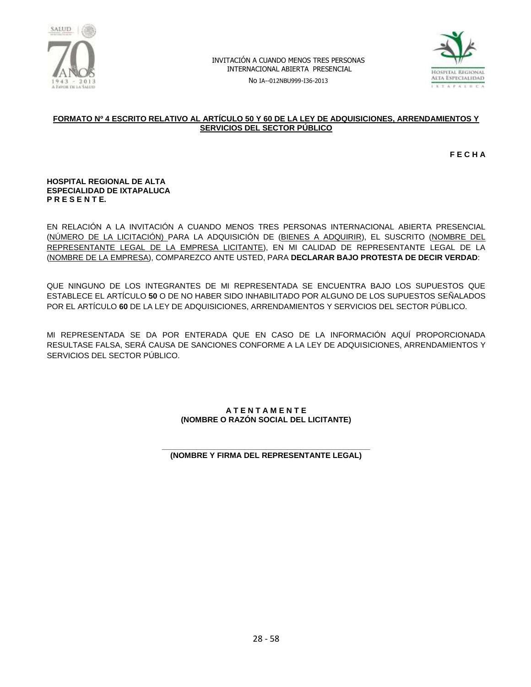

No IA--012NBU999-I36-2013



#### **FORMATO Nº 4 ESCRITO RELATIVO AL ARTÍCULO 50 Y 60 DE LA LEY DE ADQUISICIONES, ARRENDAMIENTOS Y SERVICIOS DEL SECTOR PÚBLICO**

**F E C H A**

#### **HOSPITAL REGIONAL DE ALTA ESPECIALIDAD DE IXTAPALUCA P R E S E N T E.**

EN RELACIÓN A LA INVITACIÓN A CUANDO MENOS TRES PERSONAS INTERNACIONAL ABIERTA PRESENCIAL (NÚMERO DE LA LICITACIÓN) PARA LA ADQUISICIÓN DE (BIENES A ADQUIRIR), EL SUSCRITO (NOMBRE DEL REPRESENTANTE LEGAL DE LA EMPRESA LICITANTE), EN MI CALIDAD DE REPRESENTANTE LEGAL DE LA (NOMBRE DE LA EMPRESA), COMPAREZCO ANTE USTED, PARA **DECLARAR BAJO PROTESTA DE DECIR VERDAD**:

QUE NINGUNO DE LOS INTEGRANTES DE MI REPRESENTADA SE ENCUENTRA BAJO LOS SUPUESTOS QUE ESTABLECE EL ARTÍCULO **50** O DE NO HABER SIDO INHABILITADO POR ALGUNO DE LOS SUPUESTOS SEÑALADOS POR EL ARTÍCULO **60** DE LA LEY DE ADQUISICIONES, ARRENDAMIENTOS Y SERVICIOS DEL SECTOR PÚBLICO.

MI REPRESENTADA SE DA POR ENTERADA QUE EN CASO DE LA INFORMACIÓN AQUÍ PROPORCIONADA RESULTASE FALSA, SERÁ CAUSA DE SANCIONES CONFORME A LA LEY DE ADQUISICIONES, ARRENDAMIENTOS Y SERVICIOS DEL SECTOR PÚBLICO.

#### **A T E N T A M E N T E (NOMBRE O RAZÓN SOCIAL DEL LICITANTE)**

#### **\_\_\_\_\_\_\_\_\_\_\_\_\_\_\_\_\_\_\_\_\_\_\_\_\_\_\_\_\_\_\_\_\_\_\_\_\_\_\_\_\_\_\_\_\_\_\_\_ (NOMBRE Y FIRMA DEL REPRESENTANTE LEGAL)**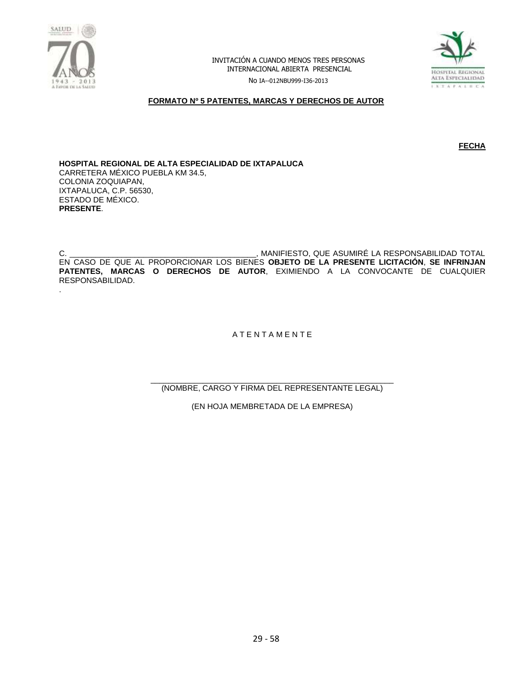



No IA--012NBU999-I36-2013

#### **FORMATO Nº 5 PATENTES, MARCAS Y DERECHOS DE AUTOR**

**FECHA** 

**HOSPITAL REGIONAL DE ALTA ESPECIALIDAD DE IXTAPALUCA** CARRETERA MÉXICO PUEBLA KM 34.5, COLONIA ZOQUIAPAN, IXTAPALUCA, C.P. 56530, ESTADO DE MÉXICO. **PRESENTE**.

C. \_\_\_\_\_\_\_\_\_\_\_\_\_\_\_\_\_\_\_\_\_\_\_\_\_\_\_\_\_\_\_\_\_\_\_\_\_\_\_\_\_\_\_, MANIFIESTO, QUE ASUMIRÉ LA RESPONSABILIDAD TOTAL EN CASO DE QUE AL PROPORCIONAR LOS BIENES **OBJETO DE LA PRESENTE LICITACIÓN**, **SE INFRINJAN PATENTES, MARCAS O DERECHOS DE AUTOR**, EXIMIENDO A LA CONVOCANTE DE CUALQUIER RESPONSABILIDAD. .

A T E N T A M E N T E

\_\_\_\_\_\_\_\_\_\_\_\_\_\_\_\_\_\_\_\_\_\_\_\_\_\_\_\_\_\_\_\_\_\_\_\_\_\_\_\_\_\_\_\_\_\_\_\_\_\_\_\_\_\_\_\_ (NOMBRE, CARGO Y FIRMA DEL REPRESENTANTE LEGAL)

(EN HOJA MEMBRETADA DE LA EMPRESA)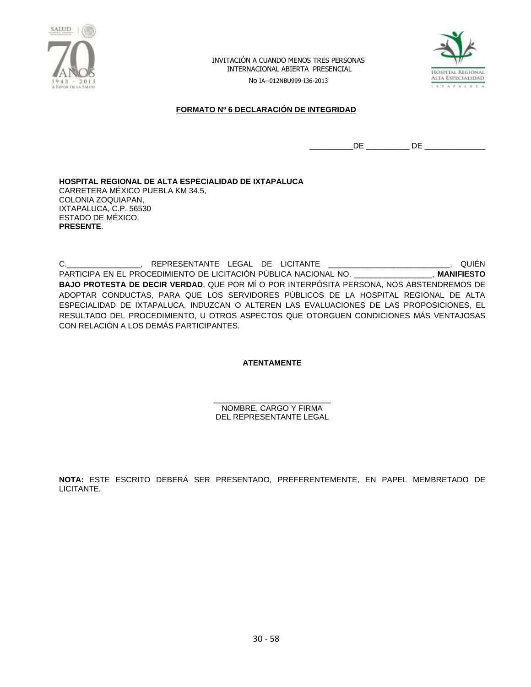

No IA--012NBU999-I36-2013



## **FORMATO Nº 6 DECLARACIÓN DE INTEGRIDAD**

 $\hbox{DE}$   $\hbox{DE}$   $\hbox{DE}$   $\hbox{DE}$   $\hbox{DE}$   $\hbox{DE}$   $\hbox{DE}$   $\hbox{DE}$   $\hbox{DE}$   $\hbox{DE}$   $\hbox{DE}$   $\hbox{DE}$   $\hbox{DE}$   $\hbox{DE}$   $\hbox{DE}$   $\hbox{DE}$   $\hbox{DE}$   $\hbox{DE}$   $\hbox{DE}$   $\hbox{DE}$   $\hbox{DE}$   $\hbox{DE}$   $\hbox{DE}$   $\hbox{DE}$   $\hbox{$ 

**HOSPITAL REGIONAL DE ALTA ESPECIALIDAD DE IXTAPALUCA** CARRETERA MÉXICO PUEBLA KM 34.5, COLONIA ZOQUIAPAN, IXTAPALUCA, C.P. 56530 ESTADO DE MÉXICO. **PRESENTE**.

C.\_\_\_\_\_\_\_\_\_\_\_\_\_\_\_\_\_, REPRESENTANTE LEGAL DE LICITANTE \_\_\_\_\_\_\_\_\_\_\_\_\_\_\_\_\_\_\_\_\_\_\_\_\_\_\_, QUIÉN PARTICIPA EN EL PROCEDIMIENTO DE LICITACIÓN PÚBLICA NACIONAL NO. \_\_\_\_\_\_\_\_\_\_\_\_\_\_\_\_\_\_, **MANIFIESTO BAJO PROTESTA DE DECIR VERDAD**, QUE POR MÍ O POR INTERPÓSITA PERSONA, NOS ABSTENDREMOS DE ADOPTAR CONDUCTAS, PARA QUE LOS SERVIDORES PÚBLICOS DE LA HOSPITAL REGIONAL DE ALTA ESPECIALIDAD DE IXTAPALUCA, INDUZCAN O ALTEREN LAS EVALUACIONES DE LAS PROPOSICIONES, EL RESULTADO DEL PROCEDIMIENTO, U OTROS ASPECTOS QUE OTORGUEN CONDICIONES MÁS VENTAJOSAS CON RELACIÓN A LOS DEMÁS PARTICIPANTES.

**ATENTAMENTE**

\_\_\_\_\_\_\_\_\_\_\_\_\_\_\_\_\_\_\_\_\_\_\_\_\_\_\_ NOMBRE, CARGO Y FIRMA DEL REPRESENTANTE LEGAL

**NOTA:** ESTE ESCRITO DEBERÁ SER PRESENTADO, PREFERENTEMENTE, EN PAPEL MEMBRETADO DE LICITANTE.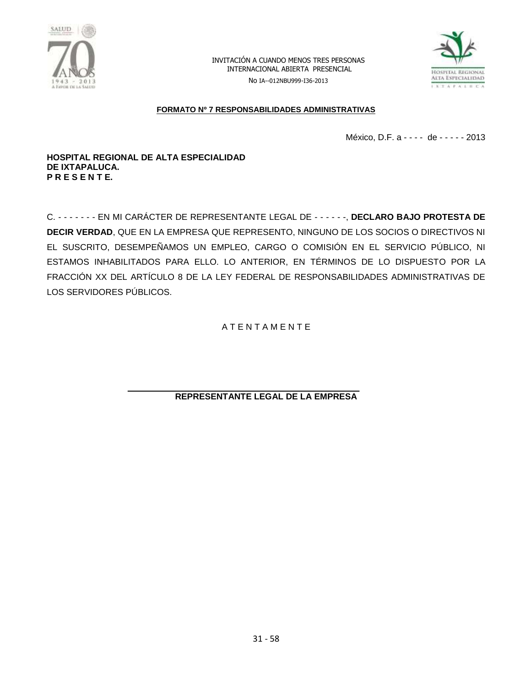



No IA--012NBU999-I36-2013

## **FORMATO Nº 7 RESPONSABILIDADES ADMINISTRATIVAS**

México, D.F. a - - - - de - - - - - 2013

#### **HOSPITAL REGIONAL DE ALTA ESPECIALIDAD DE IXTAPALUCA. P R E S E N T E.**

C. - - - - - - - EN MI CARÁCTER DE REPRESENTANTE LEGAL DE - - - - - -, **DECLARO BAJO PROTESTA DE DECIR VERDAD**, QUE EN LA EMPRESA QUE REPRESENTO, NINGUNO DE LOS SOCIOS O DIRECTIVOS NI EL SUSCRITO, DESEMPEÑAMOS UN EMPLEO, CARGO O COMISIÓN EN EL SERVICIO PÚBLICO, NI ESTAMOS INHABILITADOS PARA ELLO. LO ANTERIOR, EN TÉRMINOS DE LO DISPUESTO POR LA FRACCIÓN XX DEL ARTÍCULO 8 DE LA LEY FEDERAL DE RESPONSABILIDADES ADMINISTRATIVAS DE LOS SERVIDORES PÚBLICOS.

A T E N T A M E N T E

**REPRESENTANTE LEGAL DE LA EMPRESA**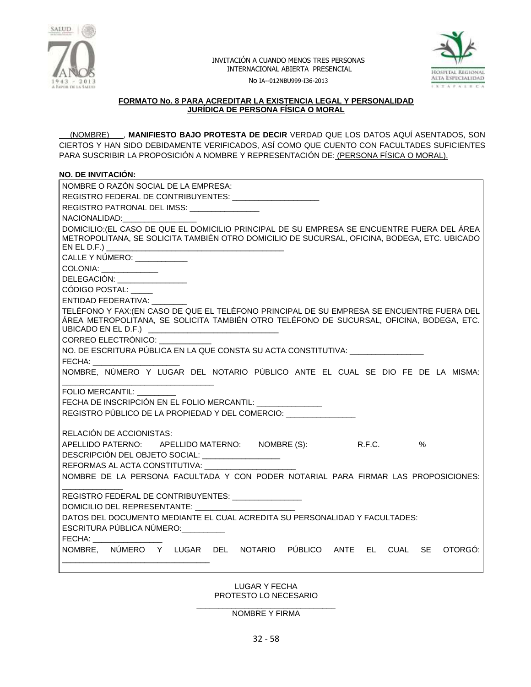



No IA--012NBU999-I36-2013

#### **FORMATO No. 8 PARA ACREDITAR LA EXISTENCIA LEGAL Y PERSONALIDAD JURÍDICA DE PERSONA FÍSICA O MORAL**

 (NOMBRE) , **MANIFIESTO BAJO PROTESTA DE DECIR** VERDAD QUE LOS DATOS AQUÍ ASENTADOS, SON CIERTOS Y HAN SIDO DEBIDAMENTE VERIFICADOS, ASÍ COMO QUE CUENTO CON FACULTADES SUFICIENTES PARA SUSCRIBIR LA PROPOSICIÓN A NOMBRE Y REPRESENTACIÓN DE: (PERSONA FÍSICA O MORAL).

## **NO. DE INVITACIÓN:**

| NOMBRE O RAZÓN SOCIAL DE LA EMPRESA:                                                                                                                                                                                                            |
|-------------------------------------------------------------------------------------------------------------------------------------------------------------------------------------------------------------------------------------------------|
| REGISTRO FEDERAL DE CONTRIBUYENTES: ____________________                                                                                                                                                                                        |
| REGISTRO PATRONAL DEL IMSS:                                                                                                                                                                                                                     |
| NACIONALIDAD: NACIONALIDAD:                                                                                                                                                                                                                     |
| DOMICILIO: (EL CASO DE QUE EL DOMICILIO PRINCIPAL DE SU EMPRESA SE ENCUENTRE FUERA DEL ÁREA<br>METROPOLITANA, SE SOLICITA TAMBIÉN OTRO DOMICILIO DE SUCURSAL, OFICINA, BODEGA, ETC. UBICADO                                                     |
| CALLE Y NÚMERO: ___________                                                                                                                                                                                                                     |
| COLONIA: _____________                                                                                                                                                                                                                          |
| DELEGACIÓN: __________________                                                                                                                                                                                                                  |
| CÓDIGO POSTAL:                                                                                                                                                                                                                                  |
| ENTIDAD FEDERATIVA:                                                                                                                                                                                                                             |
| TELÉFONO Y FAX: (EN CASO DE QUE EL TELÉFONO PRINCIPAL DE SU EMPRESA SE ENCUENTRE FUERA DEL<br>ÁREA METROPOLITANA, SE SOLICITA TAMBIÉN OTRO TELÉFONO DE SUCURSAL, OFICINA, BODEGA, ETC.<br>UBICADO EN EL D.F.) _________________________________ |
| CORREO ELECTRÓNICO:                                                                                                                                                                                                                             |
| NO. DE ESCRITURA PÚBLICA EN LA QUE CONSTA SU ACTA CONSTITUTIVA: ________________                                                                                                                                                                |
| FECHA: The Contract of the Contract of the Contract of the Contract of the Contract of the Contract of the Contract of the Contract of the Contract of the Contract of the Contract of the Contract of the Contract of the Con                  |
| NOMBRE, NÚMERO Y LUGAR DEL NOTARIO PÚBLICO ANTE EL CUAL SE DIO FE DE LA MISMA:                                                                                                                                                                  |
| FOLIO MERCANTIL:                                                                                                                                                                                                                                |
| FECHA DE INSCRIPCIÓN EN EL FOLIO MERCANTIL: ________________                                                                                                                                                                                    |
|                                                                                                                                                                                                                                                 |
|                                                                                                                                                                                                                                                 |
| REGISTRO PÚBLICO DE LA PROPIEDAD Y DEL COMERCIO:                                                                                                                                                                                                |
| RELACIÓN DE ACCIONISTAS:                                                                                                                                                                                                                        |
| APELLIDO PATERNO: APELLIDO MATERNO: NOMBRE (S): R.F.C.<br>$\%$                                                                                                                                                                                  |
| DESCRIPCIÓN DEL OBJETO SOCIAL: __________________                                                                                                                                                                                               |
| REFORMAS AL ACTA CONSTITUTIVA: __________                                                                                                                                                                                                       |
| NOMBRE DE LA PERSONA FACULTADA Y CON PODER NOTARIAL PARA FIRMAR LAS PROPOSICIONES:                                                                                                                                                              |
|                                                                                                                                                                                                                                                 |
| REGISTRO FEDERAL DE CONTRIBUYENTES: _________________                                                                                                                                                                                           |
| DOMICILIO DEL REPRESENTANTE:                                                                                                                                                                                                                    |
| DATOS DEL DOCUMENTO MEDIANTE EL CUAL ACREDITA SU PERSONALIDAD Y FACULTADES:                                                                                                                                                                     |
| ESCRITURA PÚBLICA NÚMERO: _________                                                                                                                                                                                                             |
| FECHA:                                                                                                                                                                                                                                          |
| NOMBRE, NÚMERO Y LUGAR DEL NOTARIO PÚBLICO ANTE EL CUAL<br>SE -<br>OTORGO:                                                                                                                                                                      |

LUGAR Y FECHA PROTESTO LO NECESARIO

\_\_\_\_\_\_\_\_\_\_\_\_\_\_\_\_\_\_\_\_\_\_\_\_\_\_\_\_\_\_\_\_ NOMBRE Y FIRMA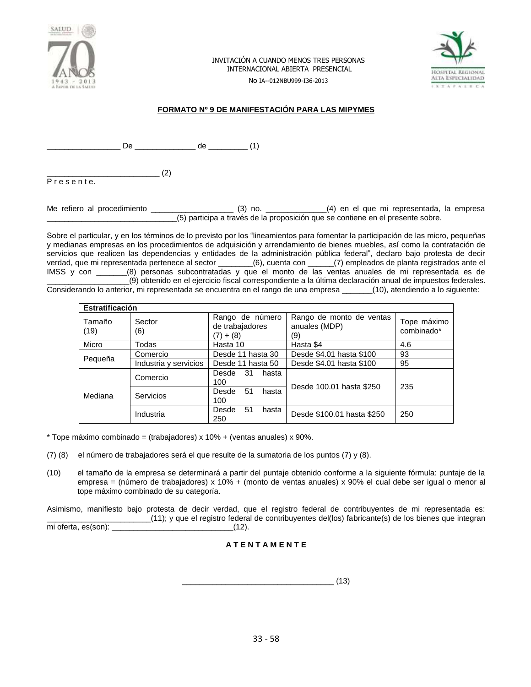



No IA--012NBU999-I36-2013

## **FORMATO Nº 9 DE MANIFESTACIÓN PARA LAS MIPYMES**

\_\_ De \_\_\_\_\_\_\_\_\_\_\_\_\_ de \_\_\_\_\_\_\_\_\_ (1)

 $\qquad \qquad (2)$ P r e s e n t e.

Me refiero al procedimiento \_\_\_\_\_\_\_\_\_\_\_\_\_\_\_\_\_\_\_ (3) no. \_\_\_\_\_\_\_\_\_\_\_\_\_\_(4) en el que mi representada, la empresa \_\_\_\_\_\_\_\_\_\_\_\_\_\_\_\_\_\_\_\_\_\_\_\_\_\_\_\_\_\_(5) participa a través de la proposición que se contiene en el presente sobre.

Sobre el particular, y en los términos de lo previsto por los "lineamientos para fomentar la participación de las micro, pequeñas y medianas empresas en los procedimientos de adquisición y arrendamiento de bienes muebles, así como la contratación de servicios que realicen las dependencias y entidades de la administración pública federal", declaro bajo protesta de decir verdad, que mi representada pertenece al sector \_\_\_\_\_\_\_\_(6), cuenta con \_\_\_\_\_\_(7) empleados de planta registrados ante el IMSS y con \_\_\_\_\_\_\_(8) personas subcontratadas y que el monto de las ventas anuales de mi representada es de \_\_\_\_\_\_\_\_\_\_\_\_\_\_\_\_\_\_\_(9) obtenido en el ejercicio fiscal correspondiente a la última declaración anual de impuestos federales. Considerando lo anterior, mi representada se encuentra en el rango de una empresa \_\_\_\_\_\_\_(10), atendiendo a lo siguiente:

| <b>Estratificación</b> |                       |                                                   |                                                  |                           |  |  |
|------------------------|-----------------------|---------------------------------------------------|--------------------------------------------------|---------------------------|--|--|
| Tamaño<br>(19)         | Sector<br>(6)         | Rango de número<br>de trabajadores<br>$(7) + (8)$ | Rango de monto de ventas<br>anuales (MDP)<br>(9) | Tope máximo<br>combinado* |  |  |
| Micro                  | Todas                 | Hasta 10                                          | Hasta \$4                                        | 4.6                       |  |  |
|                        | Comercio              | Desde 11 hasta 30                                 | Desde \$4.01 hasta \$100                         | 93                        |  |  |
| Pequeña                | Industria y servicios | Desde 11 hasta 50                                 | Desde \$4.01 hasta \$100                         | 95                        |  |  |
| Mediana                | Comercio              | Desde<br>-31<br>hasta<br>100                      | Desde 100.01 hasta \$250                         | 235                       |  |  |
|                        | <b>Servicios</b>      | 51<br>hasta<br>Desde<br>100                       |                                                  |                           |  |  |
|                        | Industria             | 51<br>Desde<br>hasta<br>250                       | Desde \$100.01 hasta \$250                       | 250                       |  |  |

 $*$  Tope máximo combinado = (trabajadores) x 10% + (ventas anuales) x 90%.

- (7) (8) el número de trabajadores será el que resulte de la sumatoria de los puntos (7) y (8).
- (10) el tamaño de la empresa se determinará a partir del puntaje obtenido conforme a la siguiente fórmula: puntaje de la empresa = (número de trabajadores) x 10% + (monto de ventas anuales) x 90% el cual debe ser igual o menor al tope máximo combinado de su categoría.

Asimismo, manifiesto bajo protesta de decir verdad, que el registro federal de contribuyentes de mi representada es: \_\_\_\_\_\_\_\_\_\_\_\_\_\_\_\_\_\_\_\_\_\_\_\_(11); y que el registro federal de contribuyentes del(los) fabricante(s) de los bienes que integran mi oferta, es(son):  $(12)$ .

## **A T E N T A M E N T E**

\_\_\_\_\_\_\_\_\_\_\_\_\_\_\_\_\_\_\_\_\_\_\_\_\_\_\_\_\_\_\_\_\_\_\_ (13)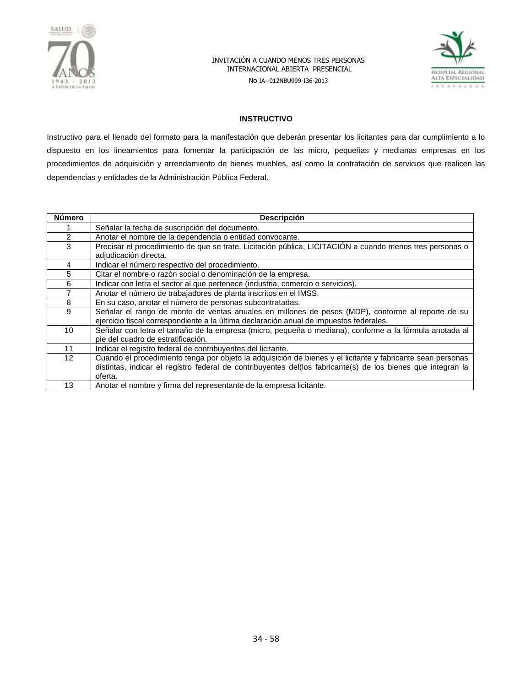

No IA--012NBU999-I36-2013



#### **INSTRUCTIVO**

Instructivo para el llenado del formato para la manifestación que deberán presentar los licitantes para dar cumplimiento a lo dispuesto en los lineamientos para fomentar la participación de las micro, pequeñas y medianas empresas en los procedimientos de adquisición y arrendamiento de bienes muebles, así como la contratación de servicios que realicen las dependencias y entidades de la Administración Pública Federal.

| <b>Número</b>   | <b>Descripción</b>                                                                                                                                                                          |
|-----------------|---------------------------------------------------------------------------------------------------------------------------------------------------------------------------------------------|
|                 | Señalar la fecha de suscripción del documento.                                                                                                                                              |
| 2               | Anotar el nombre de la dependencia o entidad convocante.                                                                                                                                    |
| 3               | Precisar el procedimiento de que se trate, Licitación pública, LICITACIÓN a cuando menos tres personas o<br>adjudicación directa.                                                           |
| 4               | Indicar el número respectivo del procedimiento.                                                                                                                                             |
| 5               | Citar el nombre o razón social o denominación de la empresa.                                                                                                                                |
| 6               | Indicar con letra el sector al que pertenece (industria, comercio o servicios).                                                                                                             |
|                 | Anotar el número de trabajadores de planta inscritos en el IMSS.                                                                                                                            |
| 8               | En su caso, anotar el número de personas subcontratadas.                                                                                                                                    |
| 9               | Señalar el rango de monto de ventas anuales en millones de pesos (MDP), conforme al reporte de su<br>ejercicio fiscal correspondiente a la última declaración anual de impuestos federales. |
| 10              | Señalar con letra el tamaño de la empresa (micro, pequeña o mediana), conforme a la fórmula anotada al<br>pie del cuadro de estratificación.                                                |
| 11              | Indicar el registro federal de contribuyentes del licitante.                                                                                                                                |
| 12 <sup>2</sup> | Cuando el procedimiento tenga por objeto la adquisición de bienes y el licitante y fabricante sean personas                                                                                 |
|                 | distintas, indicar el registro federal de contribuyentes del(los fabricante(s) de los bienes que integran la                                                                                |
|                 | oferta.                                                                                                                                                                                     |
| 13              | Anotar el nombre y firma del representante de la empresa licitante.                                                                                                                         |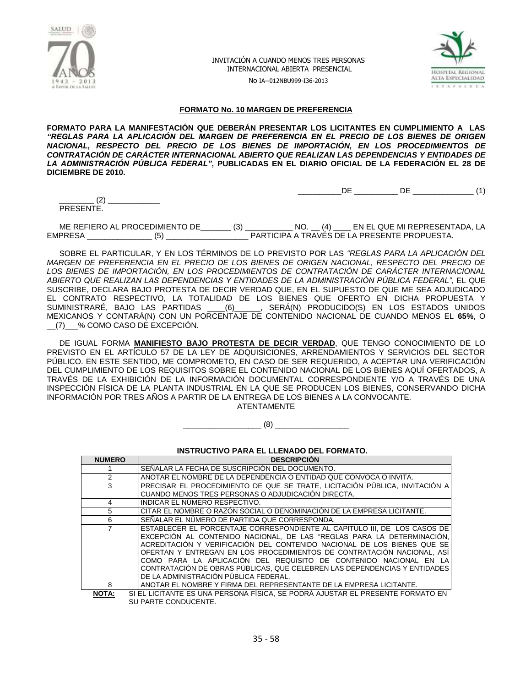



\_\_\_\_\_\_\_\_\_\_DE \_\_\_\_\_\_\_\_\_\_ DE \_\_\_\_\_\_\_\_\_\_\_\_\_\_ (1)

No IA--012NBU999-I36-2013

#### **FORMATO No. 10 MARGEN DE PREFERENCIA**

**FORMATO PARA LA MANIFESTACIÓN QUE DEBERÁN PRESENTAR LOS LICITANTES EN CUMPLIMIENTO A LAS**  *"REGLAS PARA LA APLICACIÓN DEL MARGEN DE PREFERENCIA EN EL PRECIO DE LOS BIENES DE ORIGEN NACIONAL, RESPECTO DEL PRECIO DE LOS BIENES DE IMPORTACIÓN, EN LOS PROCEDIMIENTOS DE CONTRATACIÓN DE CARÁCTER INTERNACIONAL ABIERTO QUE REALIZAN LAS DEPENDENCIAS Y ENTIDADES DE LA ADMINISTRACIÓN PÚBLICA FEDERAL"***, PUBLICADAS EN EL DIARIO OFICIAL DE LA FEDERACIÓN EL 28 DE DICIEMBRE DE 2010.**

 $(2)$ PRESENTE.

ME REFIERO AL PROCEDIMIENTO DE\_\_\_\_\_\_\_ (3) \_\_\_\_\_\_\_\_\_\_\_ NO. \_\_ (4) \_\_\_\_ EN EL QUE MI REPRESENTADA, LA EMPRESA \_\_\_\_\_\_\_\_\_\_\_\_\_\_\_ (5) \_\_\_\_\_\_\_\_\_\_\_\_\_\_\_\_\_\_\_ PARTICIPA A TRAVÉS DE LA PRESENTE PROPUESTA.

SOBRE EL PARTICULAR, Y EN LOS TÉRMINOS DE LO PREVISTO POR LAS *"REGLAS PARA LA APLICACIÓN DEL MARGEN DE PREFERENCIA EN EL PRECIO DE LOS BIENES DE ORIGEN NACIONAL, RESPECTO DEL PRECIO DE LOS BIENES DE IMPORTACIÓN, EN LOS PROCEDIMIENTOS DE CONTRATACIÓN DE CARÁCTER INTERNACIONAL ABIERTO QUE REALIZAN LAS DEPENDENCIAS Y ENTIDADES DE LA ADMINISTRACIÓN PÚBLICA FEDERAL"*, EL QUE SUSCRIBE, DECLARA BAJO PROTESTA DE DECIR VERDAD QUE, EN EL SUPUESTO DE QUE ME SEA ADJUDICADO EL CONTRATO RESPECTIVO, LA TOTALIDAD DE LOS BIENES QUE OFERTO EN DICHA PROPUESTA Y SUMINISTRARÉ, BAJO LAS PARTIDAS \_\_\_\_(6)\_\_\_\_\_\_, SERÁ(N) PRODUCIDO(S) EN LOS ESTADOS UNIDOS MEXICANOS Y CONTARÁ(N) CON UN PORCENTAJE DE CONTENIDO NACIONAL DE CUANDO MENOS EL **65%**, O \_\_(7)\_\_\_% COMO CASO DE EXCEPCIÓN.

DE IGUAL FORMA **MANIFIESTO BAJO PROTESTA DE DECIR VERDAD**, QUE TENGO CONOCIMIENTO DE LO PREVISTO EN EL ARTÍCULO 57 DE LA LEY DE ADQUISICIONES, ARRENDAMIENTOS Y SERVICIOS DEL SECTOR PÚBLICO. EN ESTE SENTIDO, ME COMPROMETO, EN CASO DE SER REQUERIDO, A ACEPTAR UNA VERIFICACIÓN DEL CUMPLIMIENTO DE LOS REQUISITOS SOBRE EL CONTENIDO NACIONAL DE LOS BIENES AQUÍ OFERTADOS, A TRAVÉS DE LA EXHIBICIÓN DE LA INFORMACIÓN DOCUMENTAL CORRESPONDIENTE Y/O A TRAVÉS DE UNA INSPECCIÓN FÍSICA DE LA PLANTA INDUSTRIAL EN LA QUE SE PRODUCEN LOS BIENES, CONSERVANDO DICHA INFORMACIÓN POR TRES AÑOS A PARTIR DE LA ENTREGA DE LOS BIENES A LA CONVOCANTE. ATENTAMENTE

 $(8)$ 

#### **INSTRUCTIVO PARA EL LLENADO DEL FORMATO.**

| <b>NUMERO</b>          | <b>DESCRIPCIÓN</b>                                                                                                                                                                                                                                                                                                                                                                                                                                                                                  |
|------------------------|-----------------------------------------------------------------------------------------------------------------------------------------------------------------------------------------------------------------------------------------------------------------------------------------------------------------------------------------------------------------------------------------------------------------------------------------------------------------------------------------------------|
|                        | SEÑALAR LA FECHA DE SUSCRIPCIÓN DEL DOCUMENTO.                                                                                                                                                                                                                                                                                                                                                                                                                                                      |
| 2                      | ANOTAR EL NOMBRE DE LA DEPENDENCIA O ENTIDAD QUE CONVOCA O INVITA.                                                                                                                                                                                                                                                                                                                                                                                                                                  |
| 3                      | PRECISAR EL PROCEDIMIENTO DE QUE SE TRATE, LICITACIÓN PÚBLICA, INVITACIÓN A                                                                                                                                                                                                                                                                                                                                                                                                                         |
|                        | CUANDO MENOS TRES PERSONAS O ADJUDICACIÓN DIRECTA.                                                                                                                                                                                                                                                                                                                                                                                                                                                  |
| 4                      | INDICAR EL NÚMERO RESPECTIVO.                                                                                                                                                                                                                                                                                                                                                                                                                                                                       |
| 5                      | CITAR EL NOMBRE O RAZON SOCIAL O DENOMINACION DE LA EMPRESA LICITANTE.                                                                                                                                                                                                                                                                                                                                                                                                                              |
| 6                      | SEÑALAR EL NUMERO DE PARTIDA QUE CORRESPONDA.                                                                                                                                                                                                                                                                                                                                                                                                                                                       |
|                        | ESTABLECER EL PORCENTAJE CORRESPONDIENTE AL CAPITULO III, DE LOS CASOS DE<br>EXCEPCIÓN AL CONTENIDO NACIONAL, DE LAS "REGLAS PARA LA DETERMINACIÓN,<br>ACREDITACIÓN Y VERIFICACIÓN DEL CONTENIDO NACIONAL DE LOS BIENES QUE SE<br>OFERTAN Y ENTREGAN EN LOS PROCEDIMIENTOS DE CONTRATACIÓN NACIONAL. ASÍ<br>COMO PARA LA APLICACIÓN DEL REQUISITO DE CONTENIDO NACIONAL EN LA<br>CONTRATACIÓN DE OBRAS PÚBLICAS, QUE CELEBREN LAS DEPENDENCIAS Y ENTIDADES<br>DE LA ADMINISTRACIÓN PÚBLICA FEDERAL. |
| 8<br>$\cdots$ $\cdots$ | ANOTAR EL NOMBRE Y FIRMA DEL REPRESENTANTE DE LA EMPRESA LICITANTE.                                                                                                                                                                                                                                                                                                                                                                                                                                 |

**NOTA:** SI EL LICITANTE ES UNA PERSONA FÍSICA, SE PODRÁ AJUSTAR EL PRESENTE FORMATO EN SU PARTE CONDUCENTE.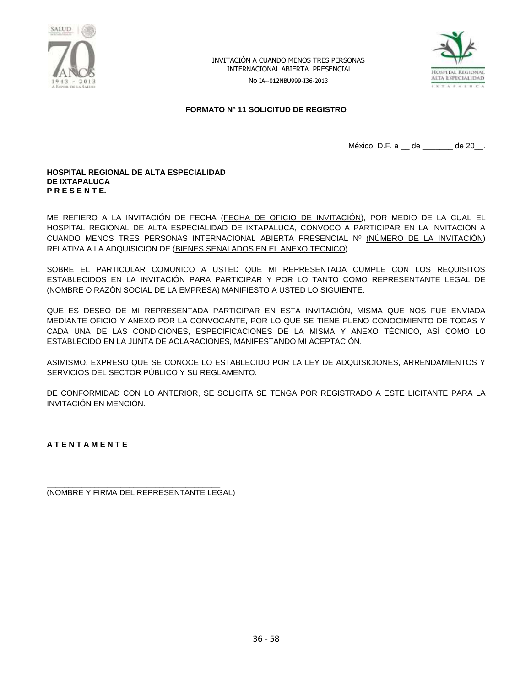

No IA--012NBU999-I36-2013



#### **FORMATO Nº 11 SOLICITUD DE REGISTRO**

México, D.F. a \_\_ de \_\_\_\_\_\_\_ de 20\_\_.

#### **HOSPITAL REGIONAL DE ALTA ESPECIALIDAD DE IXTAPALUCA P R E S E N T E.**

ME REFIERO A LA INVITACIÓN DE FECHA (FECHA DE OFICIO DE INVITACIÓN), POR MEDIO DE LA CUAL EL HOSPITAL REGIONAL DE ALTA ESPECIALIDAD DE IXTAPALUCA, CONVOCÓ A PARTICIPAR EN LA INVITACIÓN A CUANDO MENOS TRES PERSONAS INTERNACIONAL ABIERTA PRESENCIAL Nº (NÚMERO DE LA INVITACIÓN) RELATIVA A LA ADQUISICIÓN DE (BIENES SEÑALADOS EN EL ANEXO TÉCNICO).

SOBRE EL PARTICULAR COMUNICO A USTED QUE MI REPRESENTADA CUMPLE CON LOS REQUISITOS ESTABLECIDOS EN LA INVITACIÓN PARA PARTICIPAR Y POR LO TANTO COMO REPRESENTANTE LEGAL DE (NOMBRE O RAZÓN SOCIAL DE LA EMPRESA) MANIFIESTO A USTED LO SIGUIENTE:

QUE ES DESEO DE MI REPRESENTADA PARTICIPAR EN ESTA INVITACIÓN, MISMA QUE NOS FUE ENVIADA MEDIANTE OFICIO Y ANEXO POR LA CONVOCANTE, POR LO QUE SE TIENE PLENO CONOCIMIENTO DE TODAS Y CADA UNA DE LAS CONDICIONES, ESPECIFICACIONES DE LA MISMA Y ANEXO TÉCNICO, ASÍ COMO LO ESTABLECIDO EN LA JUNTA DE ACLARACIONES, MANIFESTANDO MI ACEPTACIÓN.

ASIMISMO, EXPRESO QUE SE CONOCE LO ESTABLECIDO POR LA LEY DE ADQUISICIONES, ARRENDAMIENTOS Y SERVICIOS DEL SECTOR PÚBLICO Y SU REGLAMENTO.

DE CONFORMIDAD CON LO ANTERIOR, SE SOLICITA SE TENGA POR REGISTRADO A ESTE LICITANTE PARA LA INVITACIÓN EN MENCIÓN.

**A T E N T A M E N T E**

\_\_\_\_\_\_\_\_\_\_\_\_\_\_\_\_\_\_\_\_\_\_\_\_\_\_\_\_\_\_\_\_\_\_\_\_\_\_\_\_ (NOMBRE Y FIRMA DEL REPRESENTANTE LEGAL)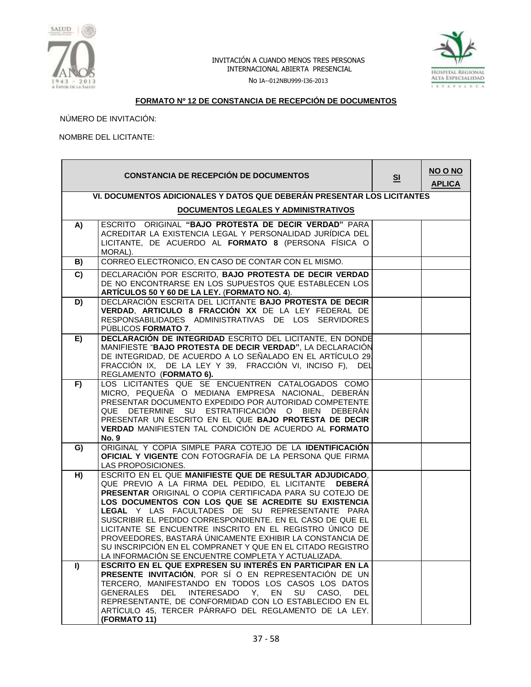



No IA--012NBU999-I36-2013

## **FORMATO Nº 12 DE CONSTANCIA DE RECEPCIÓN DE DOCUMENTOS**

NÚMERO DE INVITACIÓN:

NOMBRE DEL LICITANTE:

|                | <b>CONSTANCIA DE RECEPCIÓN DE DOCUMENTOS</b>                                                                                                                                                                                                                                                                                                                                                                                                                                                                                                                                                      | S <sub>1</sub> | NO O NO<br><b>APLICA</b> |  |  |  |  |
|----------------|---------------------------------------------------------------------------------------------------------------------------------------------------------------------------------------------------------------------------------------------------------------------------------------------------------------------------------------------------------------------------------------------------------------------------------------------------------------------------------------------------------------------------------------------------------------------------------------------------|----------------|--------------------------|--|--|--|--|
|                | VI. DOCUMENTOS ADICIONALES Y DATOS QUE DEBERÁN PRESENTAR LOS LICITANTES                                                                                                                                                                                                                                                                                                                                                                                                                                                                                                                           |                |                          |  |  |  |  |
|                | <b>DOCUMENTOS LEGALES Y ADMINISTRATIVOS</b>                                                                                                                                                                                                                                                                                                                                                                                                                                                                                                                                                       |                |                          |  |  |  |  |
| A)             | ESCRITO ORIGINAL "BAJO PROTESTA DE DECIR VERDAD" PARA<br>ACREDITAR LA EXISTENCIA LEGAL Y PERSONALIDAD JURÍDICA DEL<br>LICITANTE, DE ACUERDO AL FORMATO 8 (PERSONA FÍSICA O<br>MORAL).                                                                                                                                                                                                                                                                                                                                                                                                             |                |                          |  |  |  |  |
| B)             | CORREO ELECTRONICO, EN CASO DE CONTAR CON EL MISMO.                                                                                                                                                                                                                                                                                                                                                                                                                                                                                                                                               |                |                          |  |  |  |  |
| $\overline{c}$ | DECLARACIÓN POR ESCRITO, BAJO PROTESTA DE DECIR VERDAD<br>DE NO ENCONTRARSE EN LOS SUPUESTOS QUE ESTABLECEN LOS<br>ARTÍCULOS 50 Y 60 DE LA LEY. (FORMATO NO. 4).                                                                                                                                                                                                                                                                                                                                                                                                                                  |                |                          |  |  |  |  |
| D)             | DECLARACIÓN ESCRITA DEL LICITANTE BAJO PROTESTA DE DECIR<br>VERDAD, ARTICULO 8 FRACCIÓN XX DE LA LEY FEDERAL DE<br>RESPONSABILIDADES ADMINISTRATIVAS DE LOS SERVIDORES<br>PUBLICOS FORMATO 7.                                                                                                                                                                                                                                                                                                                                                                                                     |                |                          |  |  |  |  |
| E)             | DECLARACIÓN DE INTEGRIDAD ESCRITO DEL LICITANTE, EN DONDE<br>MANIFIESTE "BAJO PROTESTA DE DECIR VERDAD", LA DECLARACIÓN<br>DE INTEGRIDAD, DE ACUERDO A LO SEÑALADO EN EL ARTÍCULO 29.<br>FRACCIÓN IX, DE LA LEY Y 39, FRACCIÓN VI, INCISO F), DEL<br>REGLAMENTO (FORMATO 6).                                                                                                                                                                                                                                                                                                                      |                |                          |  |  |  |  |
| F)             | LOS LICITANTES QUE SE ENCUENTREN CATALOGADOS COMO<br>MICRO, PEQUEÑA O MEDIANA EMPRESA NACIONAL, DEBERÁN<br>PRESENTAR DOCUMENTO EXPEDIDO POR AUTORIDAD COMPETENTE<br>DETERMINE SU ESTRATIFICACIÓN O BIEN DEBERÁN<br><b>QUE</b><br>PRESENTAR UN ESCRITO EN EL QUE BAJO PROTESTA DE DECIR<br>VERDAD MANIFIESTEN TAL CONDICIÓN DE ACUERDO AL FORMATO<br><b>No. 9</b>                                                                                                                                                                                                                                  |                |                          |  |  |  |  |
| G)             | ORIGINAL Y COPIA SIMPLE PARA COTEJO DE LA IDENTIFICACIÓN<br>OFICIAL Y VIGENTE CON FOTOGRAFÍA DE LA PERSONA QUE FIRMA<br>LAS PROPOSICIONES.                                                                                                                                                                                                                                                                                                                                                                                                                                                        |                |                          |  |  |  |  |
| H)             | ESCRITO EN EL QUE MANIFIESTE QUE DE RESULTAR ADJUDICADO,<br>QUE PREVIO A LA FIRMA DEL PEDIDO, EL LICITANTE DEBERÁ<br>PRESENTAR ORIGINAL O COPIA CERTIFICADA PARA SU COTEJO DE<br>LOS DOCUMENTOS CON LOS QUE SE ACREDITE SU EXISTENCIA<br>LEGAL Y LAS FACULTADES DE SU REPRESENTANTE PARA<br>SUSCRIBIR EL PEDIDO CORRESPONDIENTE. EN EL CASO DE QUE EL<br>LICITANTE SE ENCUENTRE INSCRITO EN EL REGISTRO ÚNICO DE<br>PROVEEDORES, BASTARÁ ÚNICAMENTE EXHIBIR LA CONSTANCIA DE<br>SU INSCRIPCIÓN EN EL COMPRANET Y QUE EN EL CITADO REGISTRO<br>LA INFORMACIÓN SE ENCUENTRE COMPLETA Y ACTUALIZADA. |                |                          |  |  |  |  |
| I)             | ESCRITO EN EL QUE EXPRESEN SU INTERÉS EN PARTICIPAR EN LA<br>PRESENTE INVITACIÓN, POR SÍ O EN REPRESENTACIÓN DE UN<br>TERCERO, MANIFESTANDO EN TODOS LOS CASOS LOS DATOS<br>INTERESADO Y, EN SU CASO, DEL<br>GENERALES<br>DEL<br>REPRESENTANTE, DE CONFORMIDAD CON LO ESTABLECIDO EN EL<br>ARTÍCULO 45, TERCER PÁRRAFO DEL REGLAMENTO DE LA LEY.<br>(FORMATO 11)                                                                                                                                                                                                                                  |                |                          |  |  |  |  |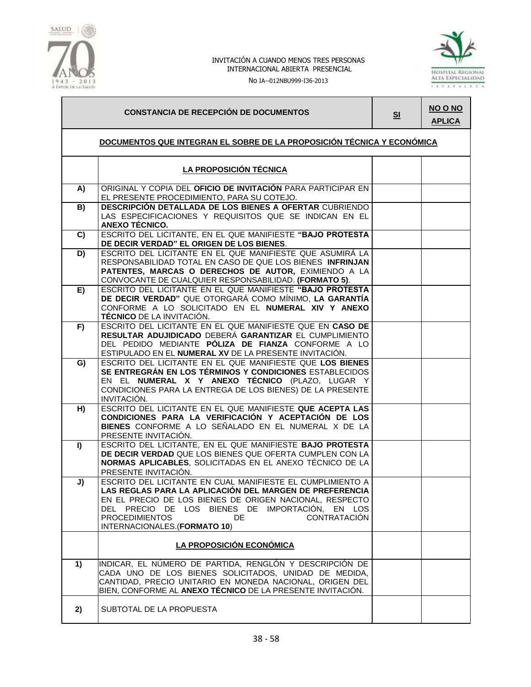

No IA--012NBU999-I36-2013



# **CONSTANCIA DE RECEPCIÓN DE DOCUMENTOS SI**

**NO O NO APLICA**

## **DOCUMENTOS QUE INTEGRAN EL SOBRE DE LA PROPOSICIÓN TÉCNICA Y ECONÓMICA**

|    | LA PROPOSICIÓN TÉCNICA                                                                                                                                                                                                                                                                                                     |  |
|----|----------------------------------------------------------------------------------------------------------------------------------------------------------------------------------------------------------------------------------------------------------------------------------------------------------------------------|--|
| A) | ORIGINAL Y COPIA DEL OFICIO DE INVITACIÓN PARA PARTICIPAR EN<br>EL PRESENTE PROCEDIMIENTO, PARA SU COTEJO.                                                                                                                                                                                                                 |  |
| B) | DESCRIPCIÓN DETALLADA DE LOS BIENES A OFERTAR CUBRIENDO<br>LAS ESPECIFICACIONES Y REQUISITOS QUE SE INDICAN EN EL<br>ANEXO TÉCNICO.                                                                                                                                                                                        |  |
| C) | ESCRITO DEL LICITANTE, EN EL QUE MANIFIESTE "BAJO PROTESTA<br>DE DECIR VERDAD" EL ORIGEN DE LOS BIENES.                                                                                                                                                                                                                    |  |
| D) | ESCRITO DEL LICITANTE EN EL QUE MANIFIESTE QUE ASUMIRÁ LA<br>RESPONSABILIDAD TOTAL EN CASO DE QUE LOS BIENES INFRINJAN<br>PATENTES, MARCAS O DERECHOS DE AUTOR, EXIMIENDO A LA<br>CONVOCANTE DE CUALQUIER RESPONSABILIDAD. (FORMATO 5).                                                                                    |  |
| E) | ESCRITO DEL LICITANTE EN EL QUE MANIFIESTE "BAJO PROTESTA<br>DE DECIR VERDAD" QUE OTORGARÁ COMO MÍNIMO, LA GARANTÍA<br>CONFORME A LO SOLICITADO EN EL NUMERAL XIV Y ANEXO<br><b>TÉCNICO</b> DE LA INVITACIÓN.                                                                                                              |  |
| F) | ESCRITO DEL LICITANTE EN EL QUE MANIFIESTE QUE EN CASO DE<br>RESULTAR ADUJIDICADO DEBERÁ GARANTIZAR EL CUMPLIMIENTO<br>DEL PEDIDO MEDIANTE PÓLIZA DE FIANZA CONFORME A LO<br>ESTIPULADO EN EL NUMERAL XV DE LA PRESENTE INVITACIÓN.                                                                                        |  |
| G) | ESCRITO DEL LICITANTE EN EL QUE MANIFIESTE QUE LOS BIENES<br>SE ENTREGRÁN EN LOS TÉRMINOS Y CONDICIONES ESTABLECIDOS<br>EN EL NUMERAL X Y ANEXO TÉCNICO (PLAZO, LUGAR Y<br>CONDICIONES PARA LA ENTREGA DE LOS BIENES) DE LA PRESENTE<br>INVITACIÓN.                                                                        |  |
| H) | ESCRITO DEL LICITANTE EN EL QUE MANIFIESTE QUE ACEPTA LAS<br>CONDICIONES PARA LA VERIFICACIÓN Y ACEPTACIÓN DE LOS<br>BIENES CONFORME A LO SEÑALADO EN EL NUMERAL X DE LA<br>PRESENTE INVITACIÓN.                                                                                                                           |  |
| I) | ESCRITO DEL LICITANTE, EN EL QUE MANIFIESTE BAJO PROTESTA<br>DE DECIR VERDAD QUE LOS BIENES QUE OFERTA CUMPLEN CON LA<br>NORMAS APLICABLES, SOLICITADAS EN EL ANEXO TÉCNICO DE LA<br>PRESENTE INVITACIÓN.                                                                                                                  |  |
| J) | ESCRITO DEL LICITANTE EN CUAL MANIFIESTE EL CUMPLIMIENTO A<br>LAS REGLAS PARA LA APLICACIÓN DEL MARGEN DE PREFERENCIA<br>EN EL PRECIO DE LOS BIENES DE ORIGEN NACIONAL, RESPECTO<br>DEL PRECIO DE LOS BIENES DE IMPORTACIÓN, EN LOS<br><b>PROCEDIMIENTOS</b><br>DE.<br><b>CONTRATACIÓN</b><br>INTERNACIONALES.(FORMATO 10) |  |
|    | LA PROPOSICIÓN ECONÓMICA                                                                                                                                                                                                                                                                                                   |  |
| 1) | INDICAR, EL NÚMERO DE PARTIDA, RENGLÓN Y DESCRIPCIÓN DE<br>CADA UNO DE LOS BIENES SOLICITADOS, UNIDAD DE MEDIDA,<br>CANTIDAD, PRECIO UNITARIO EN MONEDA NACIONAL, ORIGEN DEL<br>BIEN, CONFORME AL <b>ANEXO TÉCNICO</b> DE LA PRESENTE INVITACIÓN.                                                                          |  |
| 2) | SUBTOTAL DE LA PROPUESTA                                                                                                                                                                                                                                                                                                   |  |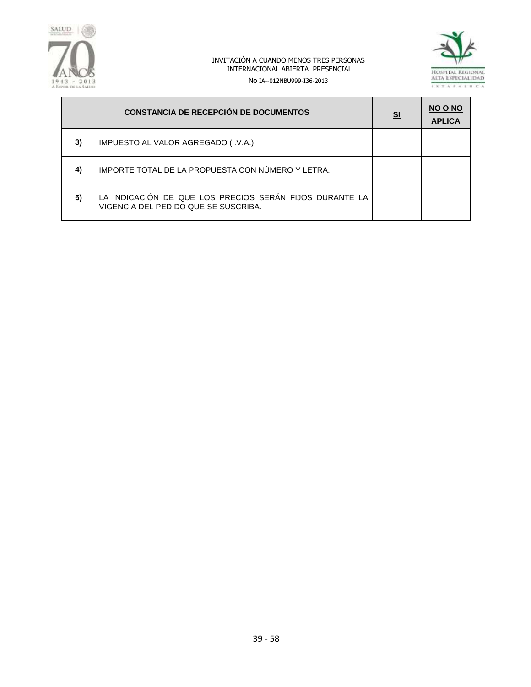



No IA--012NBU999-I36-2013

|    | <b>CONSTANCIA DE RECEPCIÓN DE DOCUMENTOS</b>                                                    | S <sub>1</sub> | <b>NO O NO</b><br><b>APLICA</b> |
|----|-------------------------------------------------------------------------------------------------|----------------|---------------------------------|
| 3) | IMPUESTO AL VALOR AGREGADO (I.V.A.)                                                             |                |                                 |
| 4) | IMPORTE TOTAL DE LA PROPUESTA CON NÚMERO Y LETRA.                                               |                |                                 |
| 5) | LA INDICACIÓN DE QUE LOS PRECIOS SERÁN FIJOS DURANTE LA<br>VIGENCIA DEL PEDIDO QUE SE SUSCRIBA. |                |                                 |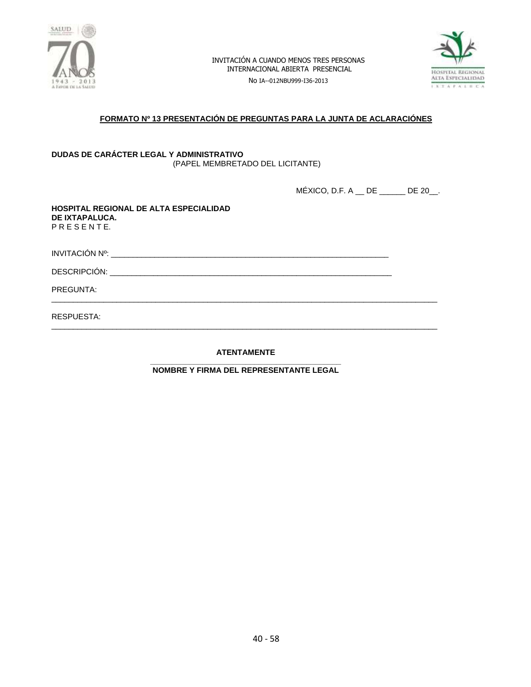

No IA--012NBU999-I36-2013



## **FORMATO Nº 13 PRESENTACIÓN DE PREGUNTAS PARA LA JUNTA DE ACLARACIÓNES**

#### **DUDAS DE CARÁCTER LEGAL Y ADMINISTRATIVO** (PAPEL MEMBRETADO DEL LICITANTE)

MÉXICO, D.F. A \_\_ DE \_\_\_\_\_\_ DE 20\_\_.

**HOSPITAL REGIONAL DE ALTA ESPECIALIDAD DE IXTAPALUCA.** P R E S E N T E.

INVITACIÓN Nº: \_\_\_\_\_\_\_\_\_\_\_\_\_\_\_\_\_\_\_\_\_\_\_\_\_\_\_\_\_\_\_\_\_\_\_\_\_\_\_\_\_\_\_\_\_\_\_\_\_\_\_\_\_\_\_\_\_\_\_\_\_\_\_\_

DESCRIPCIÓN: \_\_\_\_\_\_\_\_\_\_\_\_\_\_\_\_\_\_\_\_\_\_\_\_\_\_\_\_\_\_\_\_\_\_\_\_\_\_\_\_\_\_\_\_\_\_\_\_\_\_\_\_\_\_\_\_\_\_\_\_\_\_\_\_\_

PREGUNTA:

RESPUESTA:

**ATENTAMENTE**

\_\_\_\_\_\_\_\_\_\_\_\_\_\_\_\_\_\_\_\_\_\_\_\_\_\_\_\_\_\_\_\_\_\_\_\_\_\_\_\_\_\_\_\_\_\_\_\_\_\_\_\_\_\_\_\_\_\_\_\_\_\_\_\_\_\_\_\_\_\_\_\_\_\_\_\_\_\_\_\_\_\_\_\_\_\_\_\_\_

\_\_\_\_\_\_\_\_\_\_\_\_\_\_\_\_\_\_\_\_\_\_\_\_\_\_\_\_\_\_\_\_\_\_\_\_\_\_\_\_\_\_\_\_\_\_\_\_\_\_\_\_\_\_\_\_\_\_\_\_\_\_\_\_\_\_\_\_\_\_\_\_\_\_\_\_\_\_\_\_\_\_\_\_\_\_\_\_\_

**\_\_\_\_\_\_\_\_\_\_\_\_\_\_\_\_\_\_\_\_\_\_\_\_\_\_\_\_\_\_\_\_\_\_\_\_\_\_\_\_\_\_\_\_ NOMBRE Y FIRMA DEL REPRESENTANTE LEGAL**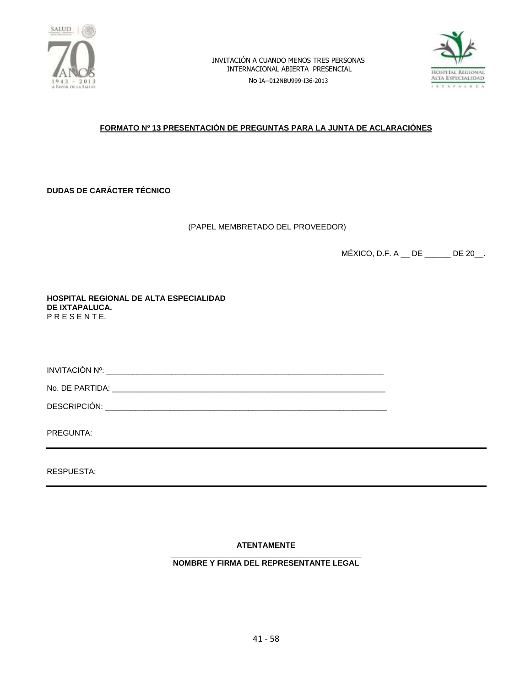

No IA--012NBU999-I36-2013



## **FORMATO Nº 13 PRESENTACIÓN DE PREGUNTAS PARA LA JUNTA DE ACLARACIÓNES**

**DUDAS DE CARÁCTER TÉCNICO**

(PAPEL MEMBRETADO DEL PROVEEDOR)

MÉXICO, D.F. A \_\_ DE \_\_\_\_\_\_ DE 20\_\_.

**HOSPITAL REGIONAL DE ALTA ESPECIALIDAD DE IXTAPALUCA.** P R E S E N T E.

INVITACIÓN Nº: \_\_\_\_\_\_\_\_\_\_\_\_\_\_\_\_\_\_\_\_\_\_\_\_\_\_\_\_\_\_\_\_\_\_\_\_\_\_\_\_\_\_\_\_\_\_\_\_\_\_\_\_\_\_\_\_\_\_\_\_\_\_\_\_

No. DE PARTIDA: \_\_\_\_\_\_\_\_\_\_\_\_\_\_\_\_\_\_\_\_\_\_\_\_\_\_\_\_\_\_\_\_\_\_\_\_\_\_\_\_\_\_\_\_\_\_\_\_\_\_\_\_\_\_\_\_\_\_\_\_\_\_\_

DESCRIPCIÓN: \_\_\_\_\_\_\_\_\_\_\_\_\_\_\_\_\_\_\_\_\_\_\_\_\_\_\_\_\_\_\_\_\_\_\_\_\_\_\_\_\_\_\_\_\_\_\_\_\_\_\_\_\_\_\_\_\_\_\_\_\_\_\_\_\_

PREGUNTA:

RESPUESTA:

**ATENTAMENTE**

**\_\_\_\_\_\_\_\_\_\_\_\_\_\_\_\_\_\_\_\_\_\_\_\_\_\_\_\_\_\_\_\_\_\_\_\_\_\_\_\_\_\_\_\_ NOMBRE Y FIRMA DEL REPRESENTANTE LEGAL**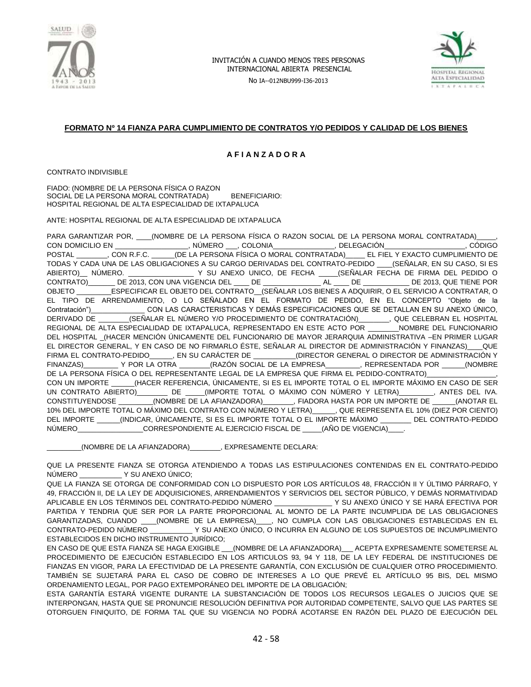

No IA--012NBU999-I36-2013



## **FORMATO Nº 14 FIANZA PARA CUMPLIMIENTO DE CONTRATOS Y/O PEDIDOS Y CALIDAD DE LOS BIENES**

#### **A F I A N Z A D O R A**

CONTRATO INDIVISIBLE

FIADO: (NOMBRE DE LA PERSONA FÍSICA O RAZON SOCIAL DE LA PERSONA MORAL CONTRATADA) BENEFICIARIO: HOSPITAL REGIONAL DE ALTA ESPECIALIDAD DE IXTAPALUCA

ANTE: HOSPITAL REGIONAL DE ALTA ESPECIALIDAD DE IXTAPALUCA

PARA GARANTIZAR POR, \_\_\_\_\_(NOMBRE DE LA PERSONA FÍSICA O RAZON SOCIAL DE LA PERSONA MORAL CONTRATADA) CON DOMICILIO EN \_\_\_\_\_\_\_\_\_\_\_\_\_\_\_\_\_\_\_, NÚMERO \_\_\_, COLONIA\_\_\_\_\_\_\_\_\_\_\_\_\_\_\_\_, DELEGACIÓN\_\_\_\_\_\_\_\_\_\_\_\_\_\_\_\_\_\_\_\_\_, CÓDIGO POSTAL \_\_\_\_\_\_\_\_, CON R.F.C. \_\_\_\_\_\_(DE LA PERSONA FÍSICA O MORAL CONTRATADA)\_\_\_\_\_ EL FIEL Y EXACTO CUMPLIMIENTO DE TODAS Y CADA UNA DE LAS OBLIGACIONES A SU CARGO DERIVADAS DEL CONTRATO-PEDIDO \_\_\_\_(SEÑALAR, EN SU CASO, SI ES ABIERTO)\_\_ NÚMERO. \_\_\_\_\_\_\_\_\_\_\_\_\_\_\_\_\_ Y SU ANEXO UNICO, DE FECHA \_\_\_\_\_(SEÑALAR FECHA DE FIRMA DEL PEDIDO O CONTRATO)\_\_\_\_\_\_\_ DE 2013, CON UNA VIGENCIA DEL \_\_\_\_ DE \_\_\_\_\_\_\_\_\_\_\_\_\_\_\_ AL \_\_\_\_ DE \_\_\_\_\_\_\_\_\_\_\_\_ DE 2013, QUE TIENE POR OBJETO \_\_\_\_\_\_\_\_\_ESPECIFICAR EL OBJETO DEL CONTRATO\_\_(SEÑALAR LOS BIENES A ADQUIRIR, O EL SERVICIO A CONTRATAR, O EL TIPO DE ARRENDAMIENTO, O LO SEÑALADO EN EL FORMATO DE PEDIDO, EN EL CONCEPTO "Objeto de la Contratación")\_\_\_\_\_\_\_\_\_\_\_\_\_\_ CON LAS CARACTERISTICAS Y DEMÁS ESPECIFICACIONES QUE SE DETALLAN EN SU ANEXO ÚNICO, DERIVADO DE \_\_\_\_\_\_\_\_(SEÑALAR EL NÚMERO Y/O PROCEDIMIENTO DE CONTRATACIÓN)\_\_\_\_\_\_\_\_, QUE CELEBRAN EL HOSPITAL REGIONAL DE ALTA ESPECIALIDAD DE IXTAPALUCA, REPRESENTADO EN ESTE ACTO POR \_\_\_\_\_\_\_\_NOMBRE DEL FUNCIONARIO DEL HOSPITAL \_(HACER MENCIÓN ÚNICAMENTE DEL FUNCIONARIO DE MAYOR JERARQUIA ADMINISTRATIVA –EN PRIMER LUGAR EL DIRECTOR GENERAL, Y EN CASO DE NO FIRMARLO ÉSTE, SEÑALAR AL DIRECTOR DE ADMINISTRACIÓN Y FINANZAS)\_\_\_\_QUE FIRMA EL CONTRATO-PEDIDO\_\_\_\_\_, EN SU CARÁCTER DE \_\_\_\_\_\_\_\_\_\_(DIRECTOR GENERAL O DIRECTOR DE ADMINISTRACIÓN Y<br>FINANZAS) Y POR LA OTRA (RAZÓN SOCIAL DE LA EMPRESA REPRESENTADA POR FINANZAS)\_\_\_\_\_\_\_\_\_ Y POR LA OTRA \_\_\_\_\_\_\_\_(RAZÓN SOCIAL DE LA EMPRESA\_\_\_\_\_\_\_\_\_, REPRESENTADA POR \_\_\_\_\_\_(NOMBRE DE LA PERSONA FÍSICA O DEL REPRESENTANTE LEGAL DE LA EMPRESA QUE FIRMA EL PEDIDO-CONTRATO) CON UN IMPORTE \_\_\_\_\_\_(HACER REFERENCIA, ÚNICAMENTE, SI ES EL IMPORTE TOTAL O EL IMPORTE MÁXIMO EN CASO DE SER UN CONTRATO ABIERTO)\_\_\_\_\_\_\_\_ DE \_\_\_\_\_(IMPORTE TOTAL O MÁXIMO CON NÚMERO Y LETRA)\_\_\_\_\_\_\_\_\_, ANTES DEL IVA. CONSTITUYENDOSE \_\_\_\_\_\_\_\_\_(NOMBRE DE LA AFIANZADORA)\_\_\_\_\_\_\_\_, FIADORA HASTA POR UN IMPORTE DE \_\_\_\_\_\_(ANOTAR EL 10% DEL IMPORTE TOTAL O MÁXIMO DEL CONTRATO CON NÚMERO Y LETRA)\_\_\_\_\_\_, QUE REPRESENTA EL 10% (DIEZ POR CIENTO) DEL IMPORTE \_\_\_\_\_\_(INDICAR, ÚNICAMENTE, SI ES EL IMPORTE TOTAL O EL IMPORTE MÁXIMO \_\_\_\_\_\_\_\_ DEL CONTRATO-PEDIDO NÚMERO\_\_\_\_\_\_\_\_\_\_\_\_\_\_\_\_\_\_CORRESPONDIENTE AL EJERCICIO FISCAL DE \_\_\_\_\_(AÑO DE VIGENCIA)\_

\_\_\_\_\_\_\_\_\_(NOMBRE DE LA AFIANZADORA)\_\_\_\_\_\_\_\_, EXPRESAMENTE DECLARA:

QUE LA PRESENTE FIANZA SE OTORGA ATENDIENDO A TODAS LAS ESTIPULACIONES CONTENIDAS EN EL CONTRATO-PEDIDO NÚMERO \_\_\_\_\_\_\_\_\_\_\_ Y SU ANEXO ÚNICO;

QUE LA FIANZA SE OTORGA DE CONFORMIDAD CON LO DISPUESTO POR LOS ARTÍCULOS 48, FRACCIÓN II Y ÚLTIMO PÁRRAFO, Y 49, FRACCIÓN II, DE LA LEY DE ADQUISICIONES, ARRENDAMIENTOS Y SERVICIOS DEL SECTOR PÚBLICO, Y DEMÁS NORMATIVIDAD APLICABLE EN LOS TÉRMINOS DEL CONTRATO-PEDIDO NÚMERO \_\_\_\_\_\_\_\_\_\_\_\_\_\_\_ Y SU ANEXO ÚNICO Y SE HARÁ EFECTIVA POR PARTIDA Y TENDRIA QUE SER POR LA PARTE PROPORCIONAL AL MONTO DE LA PARTE INCUMPLIDA DE LAS OBLIGACIONES GARANTIZADAS, CUANDO \_\_\_\_(NOMBRE DE LA EMPRESA)\_\_\_\_, NO CUMPLA CON LAS OBLIGACIONES ESTABLECIDAS EN EL CONTRATO-PEDIDO NÚMERO \_\_\_\_\_\_\_\_\_\_\_ Y SU ANEXO ÚNICO, O INCURRA EN ALGUNO DE LOS SUPUESTOS DE INCUMPLIMIENTO ESTABLECIDOS EN DICHO INSTRUMENTO JURÍDICO;

EN CASO DE QUE ESTA FIANZA SE HAGA EXIGIBLE \_\_\_(NOMBRE DE LA AFIANZADORA)\_\_\_ ACEPTA EXPRESAMENTE SOMETERSE AL PROCEDIMIENTO DE EJECUCIÓN ESTABLECIDO EN LOS ARTICULOS 93, 94 Y 118, DE LA LEY FEDERAL DE INSTITUCIONES DE FIANZAS EN VIGOR, PARA LA EFECTIVIDAD DE LA PRESENTE GARANTÍA, CON EXCLUSIÓN DE CUALQUIER OTRO PROCEDIMIENTO. TAMBIÉN SE SUJETARÁ PARA EL CASO DE COBRO DE INTERESES A LO QUE PREVÉ EL ARTÍCULO 95 BIS, DEL MISMO ORDENAMIENTO LEGAL, POR PAGO EXTEMPORÁNEO DEL IMPORTE DE LA OBLIGACIÓN;

ESTA GARANTÍA ESTARÁ VIGENTE DURANTE LA SUBSTANCIACIÓN DE TODOS LOS RECURSOS LEGALES O JUICIOS QUE SE INTERPONGAN, HASTA QUE SE PRONUNCIE RESOLUCIÓN DEFINITIVA POR AUTORIDAD COMPETENTE, SALVO QUE LAS PARTES SE OTORGUEN FINIQUITO, DE FORMA TAL QUE SU VIGENCIA NO PODRÁ ACOTARSE EN RAZÓN DEL PLAZO DE EJECUCIÓN DEL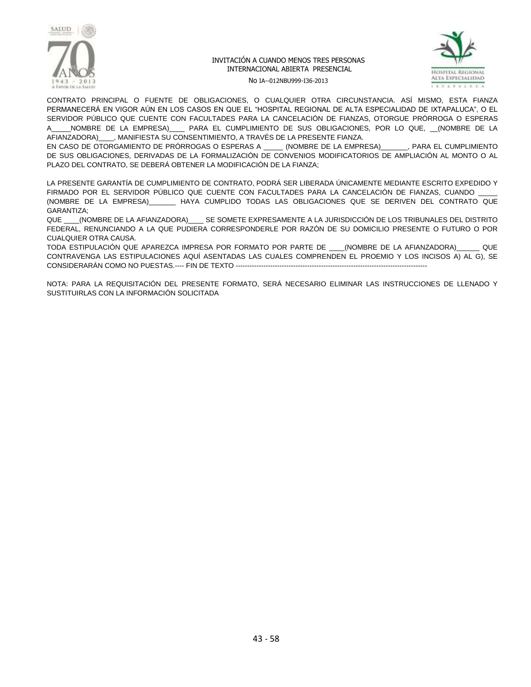



No IA--012NBU999-I36-2013

CONTRATO PRINCIPAL O FUENTE DE OBLIGACIONES, O CUALQUIER OTRA CIRCUNSTANCIA. ASÍ MISMO, ESTA FIANZA PERMANECERÁ EN VIGOR AÚN EN LOS CASOS EN QUE EL "HOSPITAL REGIONAL DE ALTA ESPECIALIDAD DE IXTAPALUCA", O EL SERVIDOR PÚBLICO QUE CUENTE CON FACULTADES PARA LA CANCELACIÓN DE FIANZAS, OTORGUE PRÓRROGA O ESPERAS A\_\_\_\_\_NOMBRE DE LA EMPRESA)\_\_\_\_ PARA EL CUMPLIMIENTO DE SUS OBLIGACIONES, POR LO QUE, \_\_(NOMBRE DE LA AFIANZADORA)\_\_\_\_, MANIFIESTA SU CONSENTIMIENTO, A TRAVÉS DE LA PRESENTE FIANZA.

EN CASO DE OTORGAMIENTO DE PRÓRROGAS O ESPERAS A \_\_\_\_\_ (NOMBRE DE LA EMPRESA)\_\_\_\_\_\_\_, PARA EL CUMPLIMIENTO DE SUS OBLIGACIONES, DERIVADAS DE LA FORMALIZACIÓN DE CONVENIOS MODIFICATORIOS DE AMPLIACIÓN AL MONTO O AL PLAZO DEL CONTRATO, SE DEBERÁ OBTENER LA MODIFICACIÓN DE LA FIANZA;

LA PRESENTE GARANTÍA DE CUMPLIMIENTO DE CONTRATO, PODRÁ SER LIBERADA ÚNICAMENTE MEDIANTE ESCRITO EXPEDIDO Y FIRMADO POR EL SERVIDOR PÚBLICO QUE CUENTE CON FACULTADES PARA LA CANCELACIÓN DE FIANZAS, CUANDO (NOMBRE DE LA EMPRESA)\_\_\_\_\_\_\_ HAYA CUMPLIDO TODAS LAS OBLIGACIONES QUE SE DERIVEN DEL CONTRATO QUE GARANTIZA;

QUE \_\_\_\_(NOMBRE DE LA AFIANZADORA)\_\_\_\_ SE SOMETE EXPRESAMENTE A LA JURISDICCIÓN DE LOS TRIBUNALES DEL DISTRITO FEDERAL, RENUNCIANDO A LA QUE PUDIERA CORRESPONDERLE POR RAZÓN DE SU DOMICILIO PRESENTE O FUTURO O POR CUALQUIER OTRA CAUSA.

TODA ESTIPULACIÓN QUE APAREZCA IMPRESA POR FORMATO POR PARTE DE \_\_\_\_(NOMBRE DE LA AFIANZADORA)\_\_\_\_\_\_ QUE CONTRAVENGA LAS ESTIPULACIONES AQUÍ ASENTADAS LAS CUALES COMPRENDEN EL PROEMIO Y LOS INCISOS A) AL G), SE CONSIDERARÁN COMO NO PUESTAS.---- FIN DE TEXTO -----------------------------------------------------------------------------------

NOTA: PARA LA REQUISITACIÓN DEL PRESENTE FORMATO, SERÁ NECESARIO ELIMINAR LAS INSTRUCCIONES DE LLENADO Y SUSTITUIRLAS CON LA INFORMACIÓN SOLICITADA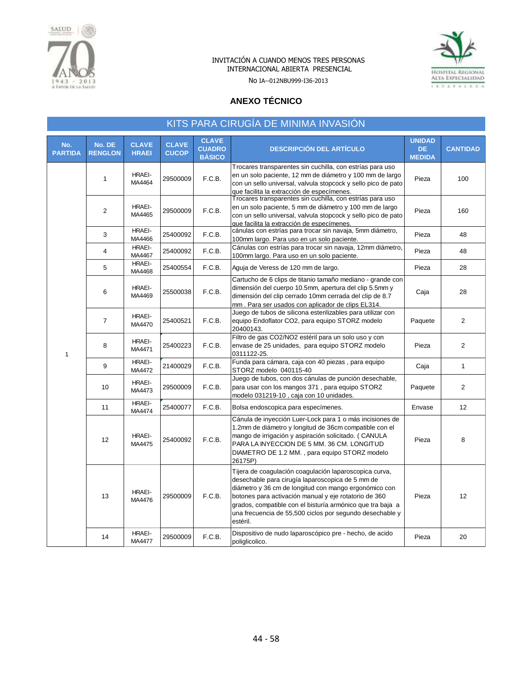



No IA--012NBU999-I36-2013

## **ANEXO TÉCNICO**

|                       | KITS PARA CIRUGÍA DE MINIMA INVASIÓN |                              |                              |                                                |                                                                                                                                                                                                                                                                                                                                                                    |                                       |                 |  |
|-----------------------|--------------------------------------|------------------------------|------------------------------|------------------------------------------------|--------------------------------------------------------------------------------------------------------------------------------------------------------------------------------------------------------------------------------------------------------------------------------------------------------------------------------------------------------------------|---------------------------------------|-----------------|--|
| No.<br><b>PARTIDA</b> | No. DE<br><b>RENGLON</b>             | <b>CLAVE</b><br><b>HRAEI</b> | <b>CLAVE</b><br><b>CUCOP</b> | <b>CLAVE</b><br><b>CUADRO</b><br><b>BÁSICO</b> | <b>DESCRIPCIÓN DEL ARTÍCULO</b>                                                                                                                                                                                                                                                                                                                                    | <b>UNIDAD</b><br>DE.<br><b>MEDIDA</b> | <b>CANTIDAD</b> |  |
|                       | $\mathbf{1}$                         | <b>HRAEI-</b><br>MA4464      | 29500009                     | F.C.B.                                         | Trocares transparentes sin cuchilla, con estrías para uso<br>en un solo paciente, 12 mm de diámetro y 100 mm de largo<br>con un sello universal, valvula stopcock y sello pico de pato<br>que facilita la extracción de especímenes.                                                                                                                               | Pieza                                 | 100             |  |
|                       | $\overline{2}$                       | HRAEI-<br>MA4465             | 29500009                     | F.C.B.                                         | Trocares transparentes sin cuchilla, con estrías para uso<br>en un solo paciente, 5 mm de diámetro y 100 mm de largo<br>con un sello universal, valvula stopcock y sello pico de pato<br>que facilita la extracción de especímenes.                                                                                                                                | Pieza                                 | 160             |  |
|                       | 3                                    | HRAEI-<br>MA4466             | 25400092                     | F.C.B.                                         | cánulas con estrías para trocar sin navaja, 5mm diámetro,<br>100mm largo. Para uso en un solo paciente.                                                                                                                                                                                                                                                            | Pieza                                 | 48              |  |
|                       | $\overline{4}$                       | HRAEI-<br>MA4467             | 25400092                     | F.C.B.                                         | Cánulas con estrías para trocar sin navaja, 12mm diámetro,<br>100mm largo. Para uso en un solo paciente.                                                                                                                                                                                                                                                           | Pieza                                 | 48              |  |
|                       | 5                                    | <b>HRAEI-</b><br>MA4468      | 25400554                     | F.C.B.                                         | Aguja de Veress de 120 mm de largo.                                                                                                                                                                                                                                                                                                                                | Pieza                                 | 28              |  |
|                       | 6                                    | HRAEI-<br>MA4469             | 25500038                     | F.C.B.                                         | Cartucho de 6 clips de titanio tamaño mediano - grande con<br>dimensión del cuerpo 10.5mm, apertura del clip 5.5mm y<br>dimensión del clip cerrado 10mm cerrada del clip de 8.7<br>mm. Para ser usados con aplicador de clips EL314.                                                                                                                               | Caja                                  | 28              |  |
|                       | $\overline{7}$                       | HRAEI-<br>MA4470             | 25400521                     | F.C.B.                                         | Juego de tubos de silicona esterilizables para utilizar con<br>equipo Endoflator CO2, para equipo STORZ modelo<br>20400143.                                                                                                                                                                                                                                        | Paquete                               | 2               |  |
| 1                     | 8                                    | HRAEI-<br>MA4471             | 25400223                     | F.C.B.                                         | Filtro de gas CO2/NO2 estéril para un solo uso y con<br>envase de 25 unidades, para equipo STORZ modelo<br>0311122-25.                                                                                                                                                                                                                                             | Pieza                                 | 2               |  |
|                       | 9                                    | HRAEI-<br>MA4472             | 21400029                     | F.C.B.                                         | Funda para cámara, caja con 40 piezas, para equipo<br>STORZ modelo 040115-40                                                                                                                                                                                                                                                                                       | Caja                                  | $\mathbf{1}$    |  |
|                       | 10                                   | <b>HRAEI-</b><br>MA4473      | 29500009                     | F.C.B.                                         | Juego de tubos, con dos cánulas de punción desechable,<br>para usar con los mangos 371, para equipo STORZ<br>modelo 031219-10, caja con 10 unidades.                                                                                                                                                                                                               | Paquete                               | $\overline{2}$  |  |
|                       | 11                                   | HRAEI-<br>MA4474             | 25400077                     | F.C.B.                                         | Bolsa endoscopica para especímenes.                                                                                                                                                                                                                                                                                                                                | Envase                                | 12              |  |
|                       | 12                                   | HRAEI-<br>MA4475             | 25400092                     | F.C.B.                                         | Cánula de inyección Luer-Lock para 1 o más incisiones de<br>1.2mm de diámetro y longitud de 36cm compatible con el<br>mango de irrigación y aspiración solicitado. (CANULA<br>PARA LA INYECCION DE 5 MM. 36 CM. LONGITUD<br>DIAMETRO DE 1.2 MM., para equipo STORZ modelo<br>26175P)                                                                               | Pieza                                 | 8               |  |
|                       | 13                                   | HRAEI-<br>MA4476             | 29500009                     | F.C.B.                                         | Tijera de coagulación coagulación laparoscopica curva,<br>desechable para cirugía laparoscopica de 5 mm de<br>diámetro y 36 cm de longitud con mango ergonómico con<br>botones para activación manual y eje rotatorio de 360<br>grados, compatible con el bisturía armónico que tra baja a<br>una frecuencia de 55,500 ciclos por segundo desechable y<br>estéril. | Pieza                                 | 12              |  |
|                       | 14                                   | HRAEI-<br>MA4477             | 29500009                     | F.C.B.                                         | Dispositivo de nudo laparoscópico pre - hecho, de acido<br>poliglicolico.                                                                                                                                                                                                                                                                                          | Pieza                                 | 20              |  |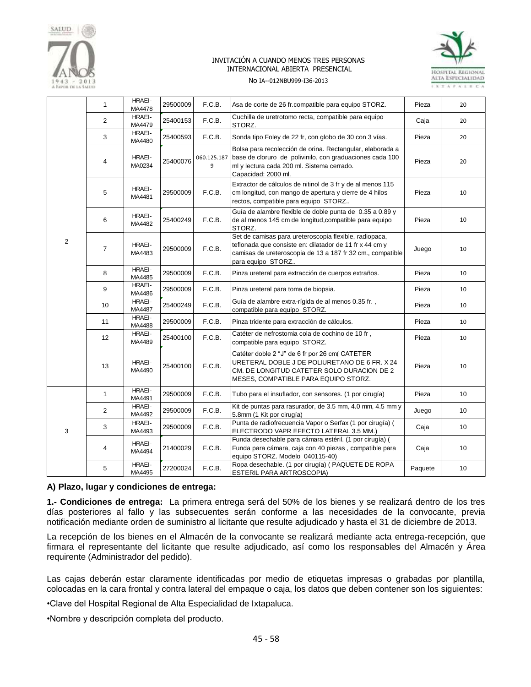



#### No IA--012NBU999-I36-2013

|                | $\mathbf{1}$   | HRAEI-<br>MA4478        | 29500009 | F.C.B.           | Asa de corte de 26 fr.compatible para equipo STORZ.                                                                                                                                                  | Pieza   | 20 |
|----------------|----------------|-------------------------|----------|------------------|------------------------------------------------------------------------------------------------------------------------------------------------------------------------------------------------------|---------|----|
|                | $\overline{2}$ | HRAEI-<br>MA4479        | 25400153 | F.C.B.           | Cuchilla de uretrotomo recta, compatible para equipo<br>STORZ.                                                                                                                                       | Caja    | 20 |
|                | 3              | HRAEI-<br>MA4480        | 25400593 | F.C.B.           | Sonda tipo Foley de 22 fr, con globo de 30 con 3 vías.                                                                                                                                               | Pieza   | 20 |
|                | $\overline{4}$ | HRAEI-<br>MA0234        | 25400076 | 060.125.187<br>9 | Bolsa para recolección de orina. Rectangular, elaborada a<br>base de cloruro de polivinilo, con graduaciones cada 100<br>ml y lectura cada 200 ml. Sistema cerrado.<br>Capacidad: 2000 ml.           | Pieza   | 20 |
|                | 5              | <b>HRAEI-</b><br>MA4481 | 29500009 | F.C.B.           | Extractor de cálculos de nitinol de 3 fr y de al menos 115<br>cm longitud, con mango de apertura y cierre de 4 hilos<br>rectos, compatible para equipo STORZ                                         | Pieza   | 10 |
|                | 6              | <b>HRAEI-</b><br>MA4482 | 25400249 | F.C.B.           | Guía de alambre flexible de doble punta de 0.35 a 0.89 y<br>de al menos 145 cm de longitud, compatible para equipo<br>STORZ.                                                                         | Pieza   | 10 |
| $\overline{2}$ | $\overline{7}$ | HRAEI-<br>MA4483        | 29500009 | F.C.B.           | Set de camisas para ureteroscopia flexible, radiopaca,<br>teflonada que consiste en: dilatador de 11 fr x 44 cm y<br>camisas de ureteroscopia de 13 a 187 fr 32 cm., compatible<br>para equipo STORZ | Juego   | 10 |
|                | 8              | <b>HRAEI-</b><br>MA4485 | 29500009 | F.C.B.           | Pinza ureteral para extracción de cuerpos extraños.                                                                                                                                                  | Pieza   | 10 |
|                | 9              | HRAEI-<br>MA4486        | 29500009 | F.C.B.           | Pinza ureteral para toma de biopsia.                                                                                                                                                                 | Pieza   | 10 |
|                | 10             | HRAEI-<br>MA4487        | 25400249 | F.C.B.           | Guía de alambre extra-rígida de al menos 0.35 fr.,<br>compatible para equipo STORZ.                                                                                                                  | Pieza   | 10 |
|                | 11             | <b>HRAEI-</b><br>MA4488 | 29500009 | F.C.B.           | Pinza tridente para extracción de cálculos.                                                                                                                                                          | Pieza   | 10 |
|                | 12             | <b>HRAEI-</b><br>MA4489 | 25400100 | F.C.B.           | Catéter de nefrostomia cola de cochino de 10 fr,<br>compatible para equipo STORZ.                                                                                                                    | Pieza   | 10 |
|                | 13             | HRAEI-<br>MA4490        | 25400100 | F.C.B.           | Catéter doble 2 "J" de 6 fr por 26 cm( CATETER<br>URETERAL DOBLE J DE POLIURETANO DE 6 FR. X 24<br>CM. DE LONGITUD CATETER SOLO DURACION DE 2<br>MESES, COMPATIBLE PARA EQUIPO STORZ.                | Pieza   | 10 |
|                | $\mathbf{1}$   | HRAEI-<br>MA4491        | 29500009 | F.C.B.           | Tubo para el insuflador, con sensores. (1 por cirugía)                                                                                                                                               | Pieza   | 10 |
|                | $\overline{2}$ | HRAEI-<br>MA4492        | 29500009 | F.C.B.           | Kit de puntas para rasurador, de 3.5 mm, 4.0 mm, 4.5 mm y<br>5.8mm (1 Kit por cirugía)                                                                                                               | Juego   | 10 |
| 3              | 3              | HRAEI-<br>MA4493        | 29500009 | F.C.B.           | Punta de radiofrecuencia Vapor o Serfax (1 por cirugía) (<br>ELECTRODO VAPR EFECTO LATERAL 3.5 MM.)                                                                                                  | Caja    | 10 |
|                | $\overline{4}$ | HRAEI-<br>MA4494        | 21400029 | F.C.B.           | Funda desechable para cámara estéril. (1 por cirugía) (<br>Funda para cámara, caja con 40 piezas, compatible para<br>equipo STORZ. Modelo 040115-40)                                                 | Caja    | 10 |
|                | 5              | <b>HRAEI-</b><br>MA4495 | 27200024 | F.C.B.           | Ropa desechable. (1 por cirugía) (PAQUETE DE ROPA<br>ESTERIL PARA ARTROSCOPIA)                                                                                                                       | Paquete | 10 |

#### **A) Plazo, lugar y condiciones de entrega:**

**1.- Condiciones de entrega:** La primera entrega será del 50% de los bienes y se realizará dentro de los tres días posteriores al fallo y las subsecuentes serán conforme a las necesidades de la convocante, previa notificación mediante orden de suministro al licitante que resulte adjudicado y hasta el 31 de diciembre de 2013.

La recepción de los bienes en el Almacén de la convocante se realizará mediante acta entrega-recepción, que firmara el representante del licitante que resulte adjudicado, así como los responsables del Almacén y Área requirente (Administrador del pedido).

Las cajas deberán estar claramente identificadas por medio de etiquetas impresas o grabadas por plantilla, colocadas en la cara frontal y contra lateral del empaque o caja, los datos que deben contener son los siguientes:

•Clave del Hospital Regional de Alta Especialidad de Ixtapaluca.

•Nombre y descripción completa del producto.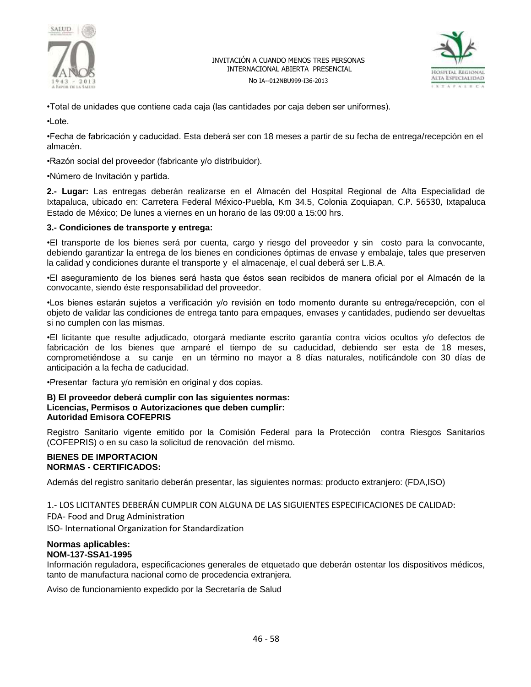



No IA--012NBU999-I36-2013

•Total de unidades que contiene cada caja (las cantidades por caja deben ser uniformes).

•Lote.

•Fecha de fabricación y caducidad. Esta deberá ser con 18 meses a partir de su fecha de entrega/recepción en el almacén.

•Razón social del proveedor (fabricante y/o distribuidor).

•Número de Invitación y partida.

**2.- Lugar:** Las entregas deberán realizarse en el Almacén del Hospital Regional de Alta Especialidad de Ixtapaluca, ubicado en: Carretera Federal México-Puebla, Km 34.5, Colonia Zoquiapan, C.P. 56530, Ixtapaluca Estado de México; De lunes a viernes en un horario de las 09:00 a 15:00 hrs.

## **3.- Condiciones de transporte y entrega:**

•El transporte de los bienes será por cuenta, cargo y riesgo del proveedor y sin costo para la convocante, debiendo garantizar la entrega de los bienes en condiciones óptimas de envase y embalaje, tales que preserven la calidad y condiciones durante el transporte y el almacenaje, el cual deberá ser L.B.A.

•El aseguramiento de los bienes será hasta que éstos sean recibidos de manera oficial por el Almacén de la convocante, siendo éste responsabilidad del proveedor.

•Los bienes estarán sujetos a verificación y/o revisión en todo momento durante su entrega/recepción, con el objeto de validar las condiciones de entrega tanto para empaques, envases y cantidades, pudiendo ser devueltas si no cumplen con las mismas.

•El licitante que resulte adjudicado, otorgará mediante escrito garantía contra vicios ocultos y/o defectos de fabricación de los bienes que amparé el tiempo de su caducidad, debiendo ser esta de 18 meses, comprometiéndose a su canje en un término no mayor a 8 días naturales, notificándole con 30 días de anticipación a la fecha de caducidad.

•Presentar factura y/o remisión en original y dos copias.

#### **B) El proveedor deberá cumplir con las siguientes normas: Licencias, Permisos o Autorizaciones que deben cumplir: Autoridad Emisora COFEPRIS**

Registro Sanitario vigente emitido por la Comisión Federal para la Protección contra Riesgos Sanitarios (COFEPRIS) o en su caso la solicitud de renovación del mismo.

## **BIENES DE IMPORTACION NORMAS - CERTIFICADOS:**

Además del registro sanitario deberán presentar, las siguientes normas: producto extranjero: (FDA,ISO)

1.- LOS LICITANTES DEBERÁN CUMPLIR CON ALGUNA DE LAS SIGUIENTES ESPECIFICACIONES DE CALIDAD:

FDA- Food and Drug Administration

ISO- International Organization for Standardization

#### **Normas aplicables: NOM-137-SSA1-1995**

Información reguladora, especificaciones generales de etquetado que deberán ostentar los dispositivos médicos, tanto de manufactura nacional como de procedencia extranjera.

Aviso de funcionamiento expedido por la Secretaría de Salud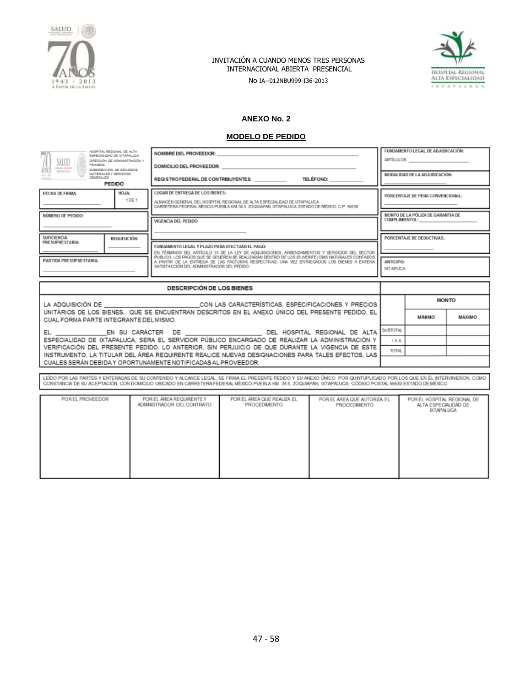

No IA--012NBU999-I36-2013



## **ANEXO No. 2**

## **MODELO DE PEDIDO**

| HOSPITAL REGIONAL, DE ALTA<br>SALUD<br>FINANZAS<br>SUBDIRECCIÓN DE RECURSOS<br><b>RODGERIGS</b><br>MATERIALES Y SERVICIOS<br>$194 - 305$<br>GENERAL ES<br><b>CONTRACTOR</b><br>PEDIDO                                                                                                                                                 | ESPECIALIDAD DE INTAPALUCA<br>DIRECCIÓN DE ADMINISTRACIÓN Y                                                                                                                                                                                                                                                                                                                              | NOMBRE DEL PROVEEDOR:<br>DOMICILIO DEL PROVEEDOR:<br>REGISTRO FEDERAL DE CONTRIBUYENTES: TELÉFONO: |                       | FUNDAMENTO LEGAL DE ADJUDICACIÓN:<br><b>ARTÍCULOS</b><br>MODALIDAD DE LA ADJUDICACIÓN: |                           |  |
|---------------------------------------------------------------------------------------------------------------------------------------------------------------------------------------------------------------------------------------------------------------------------------------------------------------------------------------|------------------------------------------------------------------------------------------------------------------------------------------------------------------------------------------------------------------------------------------------------------------------------------------------------------------------------------------------------------------------------------------|----------------------------------------------------------------------------------------------------|-----------------------|----------------------------------------------------------------------------------------|---------------------------|--|
| FECHA DE FIRMA:                                                                                                                                                                                                                                                                                                                       | LUGAR DE ENTREGA DE LOS BIENES:<br>HOJA:<br>1 DE 1<br>ALMACEN GENERAL DEL HOSPITAL REGIONAL DE ALTA ESPECIALIDAD DE IXTAPALUCA<br>CARRETERA FEDERAL MÉXICO PUEBLA KM, 34.5, ZOQUIAPAN, IXTAPALUCA, ESTADO DE MÉXICO, C.P. 56530                                                                                                                                                          |                                                                                                    |                       | PORCENTAJE DE PENA CONVENCIONAL:                                                       |                           |  |
| NÚMERO DE PEDIDO:                                                                                                                                                                                                                                                                                                                     |                                                                                                                                                                                                                                                                                                                                                                                          | VIGENCIA DEL PEDIDO:                                                                               | <b>CUMPLIMIENTOL:</b> | MONTO DE LA PÓLIZA DE GARANTIA DE                                                      |                           |  |
| PRESUPUESTARIA:<br>PARTIDA PRESUPUESTARIA:                                                                                                                                                                                                                                                                                            | <b>SUFICIENCIA</b><br>REQUISICIÓN:<br>FUNDAMENTO LEGAL Y PLAZO PARA EFECTUAR EL PAGO:<br>EN TÉRMINOS DEL ARTÍCULO 51 DE LA LEY DE ADQUISICIONES, ARRENDAMIENTOS Y SERVICIOS DEL SECTOR<br>PÚBLICO, LOS PAGOS QUE SE GENEREN SE REALIZARAN DENTRO DE LOS 20 (VENTE) DÍAS NATURALES CONTADOS<br>A PARTIR DE LA ENTREGA DE LAS FACTURAS RESPECTIVAS. UNA VEZ ENTREGADOS LOS BIENES A ENTERA |                                                                                                    |                       |                                                                                        | PORCENTAJE DE DEDUCTIVAS: |  |
|                                                                                                                                                                                                                                                                                                                                       | <b>ANTICIPO:</b><br>NO APLICA                                                                                                                                                                                                                                                                                                                                                            |                                                                                                    |                       |                                                                                        |                           |  |
|                                                                                                                                                                                                                                                                                                                                       |                                                                                                                                                                                                                                                                                                                                                                                          | <b>DESCRIPCIÓN DE LOS BIENES</b>                                                                   |                       |                                                                                        |                           |  |
|                                                                                                                                                                                                                                                                                                                                       |                                                                                                                                                                                                                                                                                                                                                                                          | LA ADQUISICIÓN DE CON LAS CARACTERÍSTICAS, ESPECIFICACIONES Y PRECIOS                              |                       | <b>MONTO</b>                                                                           |                           |  |
|                                                                                                                                                                                                                                                                                                                                       | UNITARIOS DE LOS BIENES. QUE SE ENCUENTRAN DESCRITOS EN EL ANEXO ÚNICO DEL PRESENTE PEDIDO. EL<br>мінімо<br><b>MÁXIMO</b><br>CUAL FORMA PARTE INTEGRANTE DEL MISMO.                                                                                                                                                                                                                      |                                                                                                    |                       |                                                                                        |                           |  |
|                                                                                                                                                                                                                                                                                                                                       | SUBTOTAL<br>EL _________________EN SU CARÁCTER DE ___________________________DEL HOSPITAL REGIONAL DE ALTA                                                                                                                                                                                                                                                                               |                                                                                                    |                       |                                                                                        |                           |  |
| ESPECIALIDAD DE IXTAPALUCA. SERA EL SERVIDOR PÚBLICO ENCARGADO DE REALIZAR LA ADMINISTRACIÓN Y                                                                                                                                                                                                                                        | LVA                                                                                                                                                                                                                                                                                                                                                                                      |                                                                                                    |                       |                                                                                        |                           |  |
| VERIFICACIÓN DEL PRESENTE PEDIDO, LO ANTERIOR, SIN PERJUICIO DE QUE DURANTE LA VIGENCIA DE ESTE<br><b>TOTAL</b><br>INSTRUMENTO, LA TITULAR DEL ÁREA REQUIRENTE REALICE NUEVAS DESIGNACIONES PARA TALES EFECTOS, LAS                                                                                                                   |                                                                                                                                                                                                                                                                                                                                                                                          |                                                                                                    |                       |                                                                                        |                           |  |
| CUALES SERÁN DEBIDA Y OPORTUNAMENTE NOTIFICADAS AL PROVEEDOR.                                                                                                                                                                                                                                                                         |                                                                                                                                                                                                                                                                                                                                                                                          |                                                                                                    |                       |                                                                                        |                           |  |
| LEIDO POR LAS PARTES Y ENTERADAS DE SU CONTENDO Y ALCANCE LEGAL. SE FIRMA EL PRESENTE PEDIDO Y SU ANEXO ÚNICO POR QUINTUPLICADO POR LOS QUE EN ÉL INTERVINIERON, COMO<br>CONSTANCIA DE SU ACEPTACIÓN, CON DOMICILIO UBICADO EN CARRETERA FEDERAL MÉXICO-PUEBLA KM. 34.5, ZOQUIAPAN, IXTAPALUCA, CÓDIGO POSTAL 56530 ESTADO DE MÉXICO. |                                                                                                                                                                                                                                                                                                                                                                                          |                                                                                                    |                       |                                                                                        |                           |  |

| POR EL ÁREA QUE REALIZA EL<br>POR EL ÁREA QUE AUTORIZA EL<br>POR EL ÁREA REQUIRENTE Y<br>POR EL PROVEEDOR<br>ADMINISTRADOR DEL CONTRATO<br>PROCEDIMENTO<br>PROCEDIMENTO<br><b>DITAPALUGA</b> |  |  | POR EL HOSPITAL REGIONAL DE<br>ALTA ESPECIALIDAD DE |
|----------------------------------------------------------------------------------------------------------------------------------------------------------------------------------------------|--|--|-----------------------------------------------------|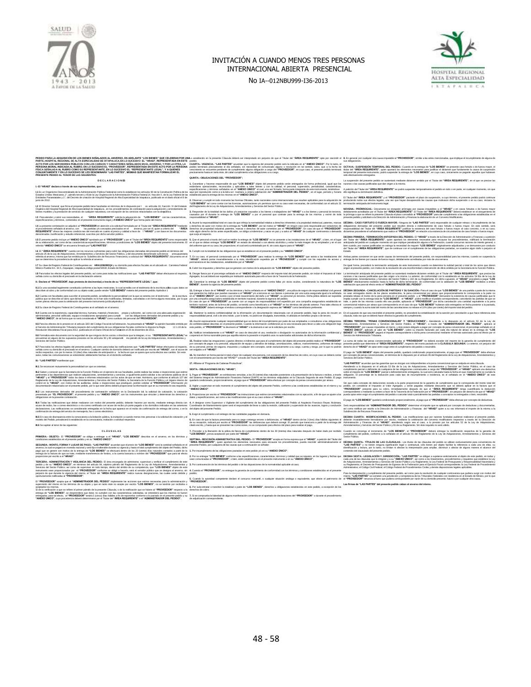

No IA--012NBU999-I36-2013



#### Escritura: \_\_\_\_\_\_ Inscripción: \_\_\_\_\_\_\_\_\_\_\_\_\_\_\_\_\_\_\_\_\_\_ Escritura: \_\_\_\_\_\_\_\_\_\_\_\_\_\_\_ Lo establecido en la presente Cláusula deberá ser interpretado sin perjuicio de que el Titular del **"ÁREA REQUIRENTE"** opte por rescindir el pedido. **CUARTA.- VIGENCIA.- "LAS PARTES"** acuerdan que la vigencia del presente pedido será la indicada en el **"ANEXO ÚNICO"**. Por lo tanto, el pedido terminará precisamente el día señalado, sin necesidad de comunicado alguno o resolución en tal sentido, salvo, que a la fecha de vencimiento se encuentre pendiente de cumplimiento alguna obligación a cargo del **"PROVEEDOR"**, en cuyo caso, el presente pedido terminará precisamente hasta en tanto éste, dé cabal cumplimiento a las obligaciones a su cargo. **QUINTA.- OBLIGACIONES DEL "PROVEEDOR";** PEDIDO PARA LA ADQUISICIÓN DE LOS BIENES SEÑALADOS AL ANVERSO, EN ADELANTE "LOS BIENES" QUE CELEBRAN POR UNAL<br>PARTE, HOSPITAL REGIONAL DE ALTA ESPECIALIDAD DE IXTAPALUCA EN LO SUCESIVO EL "HRAE!", REPRESENTADA EN ESTE p<br>AC PERSONA MORAL INDICADA AL RUBRO, EN LO SUCESIVO EL "PROVEEDOR", REPRESENTADA EN ESTE ACTO POR LA PERSONA<br>Física señalada al rubro como su representante, en lo sucesivo el "representante legal", y a quienes<br>PRESENTE PEDIDO **D E C L A R A C I O N E S I.- El "HRAEI" declara a través de sus representantes, que:** 1.1 Es un Organismo Descentralizado de la Administración Pública Federal tal como lo establecen los articulos 90 de la Constitución Política de los<br>Estados Unidos Mexicanos, 1º, párrafo tercero y 45 de la Ley Orgánica de l scenia accado de la Administración Pública<br>nos, 1°, párrafo tercero y 45 de la Ley Orgán<br>: y 1°, del Decreto de creación de Hospital F junio de 2012. 1.2 El Director General que firma el presente pedido tiene facultades en términos de lo dispuesto por l ces articulos 16, fracción IV del Estatuto<br>Orgánico del Hospital Regional de Alta Especialidad de totapaluca, en los p 1.3 Para atender y cubrir sus necesidades, el **"AREA REQUIRENTE"** solicita la adquisición de **"LOS BIENES"** con las características,<br>especificaciones y términos, contenidos en el presente instrumento legal y e**f** 1.4 La presente contratación se adjudicó al "PROVEEDOR en atención a la solicitud formulada por el Titular del "AREA REQUIRENTE"mediante<br>el procedimiento señalado al anverso, con — las partidas y/o conceptos precisados en L4 La presente contratación se adjudicó al "PROVEEDOR e<br>el procedimiento señalado al anverso, con las partidas y estudior público.<br>REQUIRENTE" ofrece las majores condiciones del mercado.<br>La condicionale público. L5 El presente pedido incluye un **"ANEXO UNICO"** aprobado por el **"PROVEEDOR"** y por el Titular del **"AREA REQUIRENTE"**como responsable<br>de su elaboración, así como de las características especificaciones, términos ycondici 1.6 El "A**REA REQUIRENTE"** cuenta con los recursos sulfuentes para cubrir las deligaciones delvis en el metodo an téminos del<br>anficulo 25 de la Ley de Adquisidones, Arrendamientos y Servicios del Sector Público, y del docu 1.7 Su clave de Registro Federal de Contribuyentes es: HRA120609DQ4 y su domicilio para efectos fiscales es el ubicado en Carretera Federal<br>México-Puebla Km. 34.5, Zoquiapan, Ixtapaluca,código postal 56530, Estado de Méxic **I.8** Para todos los efectos legales del presente pedido, así como para todas las notificaciones que **"LAS PARTES"** deban efectuarse al respecto, señala como su domicilio el precisado en la declaración anterior. **II.- Declara el "PROVEEDOR", bajo protesta de decirverdad, a través de su "REPRESENTANTE LEGAL", que:** II.1 Es una sociedad legalmente constituida conforme a las leyes mexicanas, lo cual acredita con el testimonio de la escritura púlta cuyos datos se<br>describen al rubro y de conformidad con su objeto sotal, puede vender "LOS IIL2 Cuenta con facultades para suscribir el presente peddo, acreditando la personalidad con la que se ostenta con el testimonio — de la escritura<br>pública que se describe al rubo; que dichas facultades no le ham sido modif **II.3** Su clave de Registro Federal de Contribuyentes es el señalado en el anve II.4 Cuenta con la experiencia, capacidad técnica, humana, material y financiera — propia y suficiente, así como con una adecuada organización<br>administrativa, personal calificado, equipo e instalaciones apropiadas para cum II.5 Para los efectos de lo previsto en el articulo 32D del Código Fiscal de laFederación, ha presentado al "HRAEI" la opinión favorable emitida por<br>el Servicio de Administración Tributaria respecto del cumplimiento de sus IL6 Formaliza este documento con la seguridad de que ninguno de los socios o directivos que la integran, ni su<br>encuentran en alguno de los supuestos previstos en los articulos 50 y 60 antepenúti — mo párrafo de la Ley de A ILP Para todos los efectos legales del presente pedido, así como para todas los notíncales en externacional de<br>señala como su domicilio el precisado en el anverso. Cualquier cambio de domicilio deberá ser notíficado per e<br> **III.- "LAS PARTES"** manifiestan que: III. Se reconce mutuarente la personidación que se otentario de sus polarizas pode natural se viaje consegue a<br>III. 3 Sebes y concerna la Secreta de la Función Palacha en el gencio de sus funcions de la subjecta de la pal **IIL3** Los instrumentos derivados del procedimiento de contratación señalados en la Declaración L4, la solcitorida<br>presentada por "EL **PROVEEDOR"**, el presente pedido y su "**ANEXO ÚNICO**", son los instrumentos que vinculan IIILA Todas las notificaiones que deban realizans con molto del presente pedioi, deberán haceres por escrito a<br>acuse de recibo, fax o correo electrónico o vía correo certificado con acuse de recibo y lo porte pagado a los<br> **III.5** En caso de discrepancia entre la convocatoria a la licitación pública, la invitación a cuando menos tres personas o la solicitud de cotización y el<br>modelo del Pedido, prevalecerá lo establecido en la convocatoria, **III.6** Se sujetan al tenor de las siguientes: **C L Á U S U L A S** PRIMERA.» OBJETO.» El "PROVEEDOR" se obliga a entregar a el "HRAEI", "LOS BIENES" descritos en el anverso, en los términos y<br>condiciones establecidos en el presente pedido y en su "ANEXO ÚNICO". SEGUNDA. MONTO, FORMA Y LUGAR DE PAGO - "LAS PARTES" acustan que di procio de "LOS BIENES" será la cantada entadas en el<br>anverso, la cual se pagarà en monda nacional y será fija e naturazió durante su vigoria y de la propo 1. Garanizar y hacerse responsable de que "L**OS BIENES**" objeto del presente pedido serán entregados de forma profesional, igual que los<br>estándares operacionales, reconocidos y aplicables a tales blenes y con la calidad, e aquí por reproducido como si a la letra se i nsertara; a entera satisfacción del **"ADMINISTRADOR DEL PEDIDO"**, en el lugar, período y horario<br>establecido para la entrega de los mismos en el **"ANEXO ÚNICO". 2.** Observar y cumplir en todo momento las Normas Oficiales, tanto nacionales como internacionales que resulten aplicables para la adquisición de **"LOS BIENES"** así como contar con las licencias, autorizaciones y/o permisos que en su caso sean necesarias, de conformidad con el artículo 31 del Reglamento de la Ley de Adquisiciones, Arrendamientos y Servicios del Sector Público. 3. Responder de la totalidad de los daños ylo perjuicios causados a los bienes o trabajadores del "HRAEI" o a los bienes y personal de tenceros,<br>causados por él durante la entrega de "LOS BIENES" o por el personal que cont 4. Asumir la responsabilidad total en caso de que infinija la normatividad relativa a derechos inherentes ala propiedad intelectual, patentes, marcas<br>y derechos de autor con motivo de la entrega de "LOS BIENES", por tal mo viole algún derecho de los antes especificados, se obliga a indemnizar y sacar en paz y a salvo al **"HRAEI"** de cualquier controversia o demanda que surja al respecto. 5. Que el personal a través del cual se realice la entrega de "LOS BIENES" no se presente a las instalaciones de el "HRAEI", o bien, en el lugar<br>en el que se deban entregar "LOS BIENES" en estado de ebriedad o con aliento del uniforme que en su caso, les proporcione, el cual será suministrado por él, sin costo alguno para el **"HRAEI"**. **6.** Cumplir con la totalidad de las obligaciones que se establecen en el presente pedido y su **"ANEXO ÚNICO"**. 7. En su caso, el personal comisionado por el "**PROVEEDOR**" para realizar la entrega de "L**OS BIENES**" que asista a las instalaciones del<br>"HRAE", debraí portar invariablemente a la vista, identificación expedida por el "PR **8.** Cubrir los impuestos y derechos que se generen con motivo de la adquisición de **"LOS BIENES"** objeto del presente pedido. 9. Otorgar fianza por el porcentaje señalado en el "ANEXO ÚNICO" respecto del importe total del presente pedido, sin incluir el Impuesto al Valor<br>Acrecado, la cual deberá ser expedida por institución autorizada para ello a **10.** Garantizar la entrega de **"LOS BIENES"** objeto del presente pedido contra fallas y/o vicios ocultos, considerando la naturaleza de **"LOS BIENES"**, durante la vigencia del presente pedido. 11. Entregar a favor de el "**HRAE!"** en los términos y fecha señalada en el "**ANEXO ÚNICO"**, una póliza de seguno de responsabilidad civil general<br>que garante los daños que puedan causarse a el "HRAE!" y o a tercera en sus por una compañía aseguradora establecida en territorio nacional, durante la vigencia del pedido.<br>En territorio nacional, durante la vigencia de pedido. eguro de responsabilidad civil expedido <sub>|</sub><br>como beneficiario a el "**HRAEI"** en los tér<br>tte o la designación expresa del "**HRAEI"** tentiorio nacional, antes de la firma del pedido, se tendrá como beneficiario a el "HRAE!" en los términos del párrafo anterior. Para tales efectos el<br>"PROVEEDOR" deberá entregar el endoso correspondiente o la designación 12. Mantener la estricta confidencialidad de la información y/o documentación relacionada con el presente pedido, bajo la pena de incurrir en<br>responsabilidad penal, civil o de otra índole, y por lo tanto, no podrá ser divu 13. Asumir expresamente cualquier responsabilidad que se derive del incumplimiento por parte de sus empleados o consultores a las obligaciones<br>de corridencialidad descritas en el presente pedido. Cuando la información cont 14. Notificar inmediatamente a el "HRAEI" en caso de descubrir el uso, revelación o divulgación no autorizados de la información confidencial y<br>cooperará en forma razonable para que aquélla retome la posesión e impedirá us 15. Realizar todas las eropaciones y gastos drectos e indrectos que para el cumplimiento del dol preciso entre<br>por concepto de pagos a su personal, adquisición de equipo y utensilos de trabajo, amorbizaciones, vinamentos<br>s **16.** No transferir en forma parcial ni total a favor de cualquier otra persona, con excepción de los derechos de cobro, en cuyo caso se deberá contar<br>con el consentimiento por escrito del "HRAEI"" a través del Titular del **17.** Afiliarse al "Programa de Cade **SEXTA.- OBLIGACIONES DE EL "HRAEI";** 1. Pagar al "**PROVEEDOR**", en exhibiciones vencidas, a los 20 (veinte) días naturales posteriores a la presentación de la factura o recibos, a través<br>del Sistema Integral de Administración Financiera Federal (SIAFF) en los quedará condicionado, proporcionalmente, al pago que el **"PROVEEDOR"** deba efectuar por concepto de penas convencionales por atraso. **2.** Vigilar y supervisar en todo momento el cumplimiento del objeto del presente Pedido, conforme a las condiciones establecidas en el mismo y su **"ANEXO ÚNICO"**. 3. Proporcionar por escrito al "**PROVEEDOR"** las instrucciones que estime convenientes relacionadas con su ejecución, a fin de que se ajuste a los<br>datos y especificaciones, así como a las modificaciones que en su caso orde 4. A designar como Supervisor o Vigliante del cumplimiento de las obligaciones del presente Pedido al Arguitecto Francisco Reyes Alcántara,<br>Coordinador de Mantenimiento quien será el responsable de llevar a cabo la revisió **5.** Exigir el cumplimiento o el reintegro de las cantidades pagadas en demasía. 6. En caso de que la factura presentada para su pago contenga errores o deliciencias, el "HRAEI" dentro de los 3 (tres) días hábles siguientes al<br>de su recepción, indicará por escrito al "PROVEEDOR" las deficiencias que de **7.** Proceder a la liberación de la póliza de fianza de cumplimiento dentro de los 30 (treinta) días naturales después de haber dado por recibido **"LOS BIENES",** previa aceptación por parte del **"HRAEI"**. SEPTIMA - RESCISIÓN ADMINISTRATIVA DEL PEDIDO.- El "PROVEEDOR" acepta en forma expresa que el "HRAEI", a petición del Titular del<br>"ÁREA REQUIRENTE", quien aportarà los elementos necesarios para encauzar los procedimientos, **1.** Por incumplimiento de las obligaciones pactadas en este pedido y/o en su **"ANEXO ÚNICO"**; is Engeral, po culquier de causa imputate al "PROVEIDOR", simila a las antes mercionatas, que implejante de inguna de<br>Son diferences entreprendre al CAL PEDDOC, Causdo en la entrepa de "CAS BERBE" e presenta con londa de f razones o las causas justificadas que dan origen a la misma. A petición del Titular del **"ÁREA REQUIRENTE"** se podrá suspender temporalmente el pedido en todo o en parte, en cualquier momento, sin que ello signifique su terminación definitiva. El Titular del "ÁREA REQUIRENTE" y el "PROVEEDOR" padarán el plazo de suspersión, a cuyo término, el presente pedido podrá continuar<br>produciendo todos sus electos legales, una vez que hayan desaparecido las causas que moti **NOVENA.- PRORROGAS.-** Unicamente se otorgarán prórrogas por causas imputables a el "HRAEI" y en casos fortultos o de fuerza mayor<br>debitamente acreditados por el Titular del "ÁREA REQUIRENTE". El Titular del "ÁREA REQUIREN presente pedido y solicitará a la Dirección de Administración y Finanzas la elaboración de un Convenio Modificatorio. DECIMA» CASO FORTUITO O FUERZA MAYOR» Ninguna de "LAS PARTES" será responsable de cualquier retraso o incumplimiento de las<br>obligacionas derivadas del presente pedido que resulten directa o indirectamente de caso fortubro Ambas partes convienen en que serán causas de terminación del presente pedido, sin responsabilidad para las mismas, cuando se suspenda la<br>entrega de los bienes por causas de fuerza mayor, debidamente acreditadas por más de La teminación articipada del presente podob se sustentar inediane comprendido pre el Talar del M**ARA RECURENTE**, que preste las<br>nazones o las causas justificadas que dan origen a la misma. La anterior, de conformidad con l En el supuesto de que sea rescindido el presente pedido, no procederá la contabilización de la sanción por cancelación a que hace referencia esta cláusula, toda vez que se deberá hacer efectiva la garantía de cumplimiento. "LAS PARTES" acuerdan que la<br>Atendinado a lo dispuesto en e<br>cumplimiento parcial o deficiente<br>sobre el importe de "LOS BIENE<br>cobigazión. El porcentaje de la<br>cobigazión. El porcentaje de la<br>festrumento. El pago de **"LOS BIENES"** quedará condicionado proporcionalmente, al pago que el **"PROVEEDOR"** deba efectuar por concepto de deductivas. Será responsabilidad del "**ADMINISTRADOR DEL PEDIDO**" determinar el importe que se aplicará por concepto de deductivas y documentarias,<br>así como notilicar por escrito a la Dirección de Administración y Finanzas del "HRAEI" **CCIMA CUARTA.- MODIFICACIONES AL PEDIDO**.- Las modificaciones que por razones fundadas pudieran realizarse al presente pedido,<br>berán invariablemente formalizarse por excrito, mediante la celebración del convenio modificat deberán invariablemente formalizarse por escrito, mediante la celebración del convenio modificatorio respectivo a través de la Dirección de<br>Administración y Finanzas de el "H**RAEI"**, atendendo según sea el caso, a lo previ Cuando se convenga el incremento de "LOS BIENES", el "PROVEEDOR" deberá entregar la modificación respectiva de la garantía de<br>cumplimiento del pedido, conforme a lo señalado en el artículo 91 del Reglamento de la Ley de Ad Sector Risite.<br>"LAS PARTES" y no termo importa sprikación legal o comadous, sóa tensados os utilizan exclusivamente para comemencia de<br>"LAS PARTES" y no termo importa sprikación legal o comadous, sóa tenen por dejen tallar

**TERCERA.- ADMINISTRACIÓN Y VIGILANCIA DEL PEDIDO.- El área e** pedios y de ar "ANEXO (NNCO", en términos de articulo 54, séptimo parad os Regiamento de las de Adaplacionas, Armodamientos y<br>Servicios del Sector Publico, au como de supervisar en todo tempo, derito de la forma supervisa,

El "PROVEEDOR" acepta que el "ADMINISTRADOR DEL PEDIDO" implemente las acciones que estime necesarias para la administración y<br>supervisión del mismo en los términos de su objeto y que en tanto éste no acepte por escrito "L aceptados los mismos. Si de la verificación a que se refiere el primer párrafo de la presente Cláusula, o de la notificación que se hiclere al P**ROVEEDOR**" respecto a la<br>entrega de "L**OS BIENES", so desprendera que éstos** no cumplen con las car **"ANEXO ÚNICO"**, cuya procedencia deberá determinarse por el Titular del **"ÁREA REQUIRENTE"** o el **"ADMINISTRADOR DEL PEDIDO".** 

**2.** Por no entregar **"LOS BIENES"** conforme a las especificaciones, características, términos y calidad que se requiere, en los lugares y fechas que

sean comunicadas al **"PROVEEDOR"**, o bien, estén establecidas en el presente instrumento o en su **"ANEXO ÚNICO"**;

**3.** Por contravención de los términos del pedido o de las disposiciones de la normatividad aplicable al caso; **4.** Cuando el **"PROVEEDOR"**, no entregue la garantía de cumplimiento de conformidad con los términos y condiciones establecidos en el presente

pedido; **5.** Cuando la autoridad competente declare el concurso mercantil, o cualquier situación análoga o equivalente, que afecte el patrimonio de

**"PROVEEDOR"**;

**6.** Por subcontratar o transferir la totalidad o parte de **"LOS BIENES"**, derechos u obligaciones establecidos en este pedido, a excepción de los derechos de cobro;

**7.** Si se comprueba la falsedad de alguna manifestación contenida en el apartado de declaraciones del **"PROVEEDOR"** o durante el procedimiento de adjudicación correspondiente;

dictaminar procedente el señalamiento que realice el **"PROVEEDOR"** en relación a la existencia de circunstancias de caso fortuito o fuerza mayor.

DECAMA PRAMERAA, TERMANACHÓW ANTICPANA DEL PRODO- El "RAGE" a mové de la Diesción de Administración p<sup>r</sup>enamas y apetión<br>antiquada de pedido en cualquier momento am que implica penalización alguna la Foderación, como como

De igual forma, procederá la terminación anticipada de este instrumento cuando se determine la nulidad parcial o total de los actos que dieron<br>origen al presente pedido, con motivo de la resolución de una inconformidad o i

DÉCIMA SEGUNDA.» CANCELACIÓN DE PARTIDAS Y SU SANCIÓN.» Para el caso de que "LOS BIENES" de una partida o parte de la misma<br>no sean entregados dentro de los plazos establecidos, la pena convencional por atraso que proporci

presias rebase el morto de la pera previsa en el presme pedio. y el "ROVEEDOR" democrás la solara los causas jas<br>implas curple con la entrega total de "LOS BIENES", el "RRAET", pode modificar el pedio conregondente, caroci

DÉCADA TERCERA, "PENAS COMPRIGIONALES" Y "OEDUCCONES", Anciendro a la disputato en el ancieno 20 de la Loy de<br>"MOVEEOOR", por quasa migrialdo a main, y sela edad objetiva paya por occepio de pena convención di porenega a<br>

La suma de todas las penas convencionales aplicadas al "PROVEEDOR" no deberá exceder del importe de la garantía de cumplimiento del<br>presente pedido que determine el "AREA REQUIRENTE", respecto del monto pactado en la CLÁUS

El pago de "**LOS BIENES**" objeto del presente pedido, quedará condicionado proporcionalmente, al pago que el "**PROVEEDOR**" deba efectuar<br>por concepto de penas convencionales, en términos de lo dispuesto por el articulo 95

"LAS PARTES" acerdan que las garantas que se despar son independentes als pens correntarial que se estos en el<br>Atendendo a lo depuesto en el aticulo 53 Bis de la Ley de Adquisiones, Arrendamentes y Seveices del Secure Públ

Sin que cada concepto de deducciones exceda a la parte proporcional de la garantía de cumplimiento que le corresponda del monto total del<br>pedido, sin considerar el Impuesto al Valor Agregado, y serán pagadas mediante que s correspondiente o mediante su entero a favor de la Tesorería de la Federación por el "PROVEEDOR", sin perjuicio del derecho de que el "HRAEI"<br>pueda optar entre exigir el cumplimiento del pedido o cancelar total o parcialme

**DECIMA SEXTA - LEGISLACIÓN Y JURISDICCIÓN.- "LAS PARTES"** se obigan a sujetase estrictamente al objeto de este pedido, en todas y<br>cada una de las cláusulas que lo integran y a su **"ANEXO UNICO"**, así como a los lineamient su Reglamento; el Decreto de Presupuesto de Egresos de la Federación para el Ejercicio Fiscal correspondiente; la Ley Federal de Procedimiento<br>Administrativo; el Código Civil Federal; el Código Federal de Procedimientos Ci

Para la interpretación y cumplimiento del presente pedido, así como para la resolución de cualquier controversia que pudiera surgir con motivo del<br>mismo, "LAS PARTES" se someten a la jurisdicción y competencia de los Tribu

**Las firmas de "LAS PARTES" del presente pedido calzan al anverso del mismo.**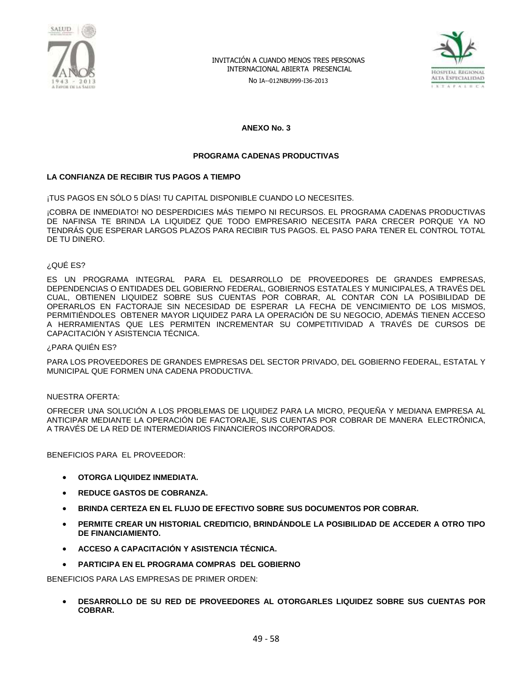

No IA--012NBU999-I36-2013



**ANEXO No. 3**

#### **PROGRAMA CADENAS PRODUCTIVAS**

#### **LA CONFIANZA DE RECIBIR TUS PAGOS A TIEMPO**

¡TUS PAGOS EN SÓLO 5 DÍAS! TU CAPITAL DISPONIBLE CUANDO LO NECESITES.

¡COBRA DE INMEDIATO! NO DESPERDICIES MÁS TIEMPO NI RECURSOS. EL PROGRAMA CADENAS PRODUCTIVAS DE NAFINSA TE BRINDA LA LIQUIDEZ QUE TODO EMPRESARIO NECESITA PARA CRECER PORQUE YA NO TENDRÁS QUE ESPERAR LARGOS PLAZOS PARA RECIBIR TUS PAGOS. EL PASO PARA TENER EL CONTROL TOTAL DE TU DINERO.

#### ¿QUÉ ES?

ES UN PROGRAMA INTEGRAL PARA EL DESARROLLO DE PROVEEDORES DE GRANDES EMPRESAS, DEPENDENCIAS O ENTIDADES DEL GOBIERNO FEDERAL, GOBIERNOS ESTATALES Y MUNICIPALES, A TRAVÉS DEL CUAL, OBTIENEN LIQUIDEZ SOBRE SUS CUENTAS POR COBRAR, AL CONTAR CON LA POSIBILIDAD DE OPERARLOS EN FACTORAJE SIN NECESIDAD DE ESPERAR LA FECHA DE VENCIMIENTO DE LOS MISMOS, PERMITIÉNDOLES OBTENER MAYOR LIQUIDEZ PARA LA OPERACIÓN DE SU NEGOCIO, ADEMÁS TIENEN ACCESO A HERRAMIENTAS QUE LES PERMITEN INCREMENTAR SU COMPETITIVIDAD A TRAVÉS DE CURSOS DE CAPACITACIÓN Y ASISTENCIA TÉCNICA.

#### ¿PARA QUIÉN ES?

PARA LOS PROVEEDORES DE GRANDES EMPRESAS DEL SECTOR PRIVADO, DEL GOBIERNO FEDERAL, ESTATAL Y MUNICIPAL QUE FORMEN UNA CADENA PRODUCTIVA.

#### NUESTRA OFERTA:

OFRECER UNA SOLUCIÓN A LOS PROBLEMAS DE LIQUIDEZ PARA LA MICRO, PEQUEÑA Y MEDIANA EMPRESA AL ANTICIPAR MEDIANTE LA OPERACIÓN DE FACTORAJE, SUS CUENTAS POR COBRAR DE MANERA ELECTRÓNICA, A TRAVÉS DE LA RED DE INTERMEDIARIOS FINANCIEROS INCORPORADOS.

BENEFICIOS PARA EL PROVEEDOR:

- **OTORGA LIQUIDEZ INMEDIATA.**
- **REDUCE GASTOS DE COBRANZA.**
- **BRINDA CERTEZA EN EL FLUJO DE EFECTIVO SOBRE SUS DOCUMENTOS POR COBRAR.**
- **PERMITE CREAR UN HISTORIAL CREDITICIO, BRINDÁNDOLE LA POSIBILIDAD DE ACCEDER A OTRO TIPO DE FINANCIAMIENTO.**
- **ACCESO A CAPACITACIÓN Y ASISTENCIA TÉCNICA.**
- **PARTICIPA EN EL PROGRAMA COMPRAS DEL GOBIERNO**

BENEFICIOS PARA LAS EMPRESAS DE PRIMER ORDEN:

 **DESARROLLO DE SU RED DE PROVEEDORES AL OTORGARLES LIQUIDEZ SOBRE SUS CUENTAS POR COBRAR.**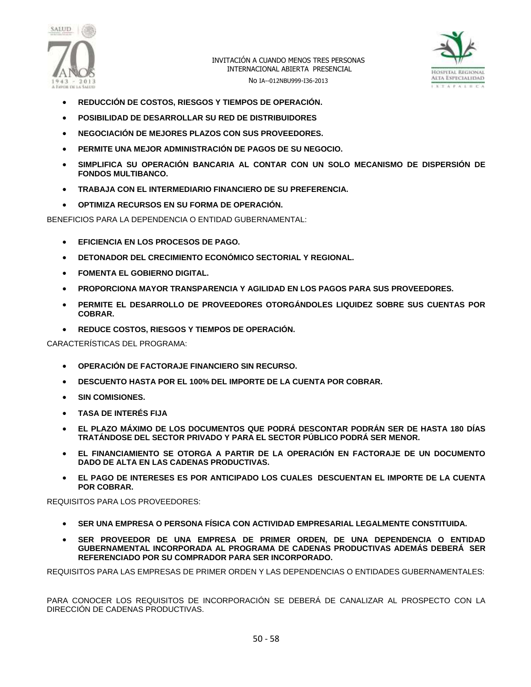



- **REDUCCIÓN DE COSTOS, RIESGOS Y TIEMPOS DE OPERACIÓN.**
- **POSIBILIDAD DE DESARROLLAR SU RED DE DISTRIBUIDORES**
- **NEGOCIACIÓN DE MEJORES PLAZOS CON SUS PROVEEDORES.**
- **PERMITE UNA MEJOR ADMINISTRACIÓN DE PAGOS DE SU NEGOCIO.**
- **SIMPLIFICA SU OPERACIÓN BANCARIA AL CONTAR CON UN SOLO MECANISMO DE DISPERSIÓN DE FONDOS MULTIBANCO.**
- **TRABAJA CON EL INTERMEDIARIO FINANCIERO DE SU PREFERENCIA.**
- **OPTIMIZA RECURSOS EN SU FORMA DE OPERACIÓN.**

BENEFICIOS PARA LA DEPENDENCIA O ENTIDAD GUBERNAMENTAL:

- **EFICIENCIA EN LOS PROCESOS DE PAGO.**
- **DETONADOR DEL CRECIMIENTO ECONÓMICO SECTORIAL Y REGIONAL.**
- **FOMENTA EL GOBIERNO DIGITAL.**
- **PROPORCIONA MAYOR TRANSPARENCIA Y AGILIDAD EN LOS PAGOS PARA SUS PROVEEDORES.**
- **PERMITE EL DESARROLLO DE PROVEEDORES OTORGÁNDOLES LIQUIDEZ SOBRE SUS CUENTAS POR COBRAR.**
- **REDUCE COSTOS, RIESGOS Y TIEMPOS DE OPERACIÓN.**

CARACTERÍSTICAS DEL PROGRAMA:

- **OPERACIÓN DE FACTORAJE FINANCIERO SIN RECURSO.**
- **DESCUENTO HASTA POR EL 100% DEL IMPORTE DE LA CUENTA POR COBRAR.**
- **SIN COMISIONES.**
- **TASA DE INTERÉS FIJA**
- **EL PLAZO MÁXIMO DE LOS DOCUMENTOS QUE PODRÁ DESCONTAR PODRÁN SER DE HASTA 180 DÍAS TRATÁNDOSE DEL SECTOR PRIVADO Y PARA EL SECTOR PÚBLICO PODRÁ SER MENOR.**
- **EL FINANCIAMIENTO SE OTORGA A PARTIR DE LA OPERACIÓN EN FACTORAJE DE UN DOCUMENTO DADO DE ALTA EN LAS CADENAS PRODUCTIVAS.**
- **EL PAGO DE INTERESES ES POR ANTICIPADO LOS CUALES DESCUENTAN EL IMPORTE DE LA CUENTA POR COBRAR.**

REQUISITOS PARA LOS PROVEEDORES:

- **SER UNA EMPRESA O PERSONA FÍSICA CON ACTIVIDAD EMPRESARIAL LEGALMENTE CONSTITUIDA.**
- **SER PROVEEDOR DE UNA EMPRESA DE PRIMER ORDEN, DE UNA DEPENDENCIA O ENTIDAD GUBERNAMENTAL INCORPORADA AL PROGRAMA DE CADENAS PRODUCTIVAS ADEMÁS DEBERÁ SER REFERENCIADO POR SU COMPRADOR PARA SER INCORPORADO.**

REQUISITOS PARA LAS EMPRESAS DE PRIMER ORDEN Y LAS DEPENDENCIAS O ENTIDADES GUBERNAMENTALES:

PARA CONOCER LOS REQUISITOS DE INCORPORACIÓN SE DEBERÁ DE CANALIZAR AL PROSPECTO CON LA DIRECCIÓN DE CADENAS PRODUCTIVAS.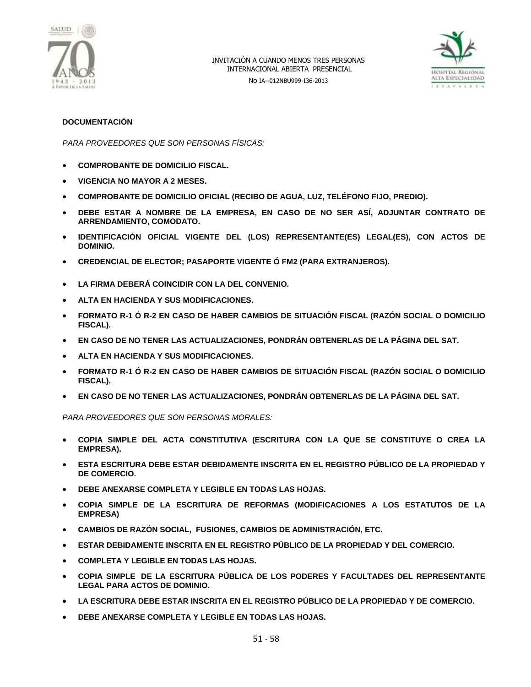



#### **DOCUMENTACIÓN**

*PARA PROVEEDORES QUE SON PERSONAS FÍSICAS:*

- **COMPROBANTE DE DOMICILIO FISCAL.**
- **VIGENCIA NO MAYOR A 2 MESES.**
- **COMPROBANTE DE DOMICILIO OFICIAL (RECIBO DE AGUA, LUZ, TELÉFONO FIJO, PREDIO).**
- **DEBE ESTAR A NOMBRE DE LA EMPRESA, EN CASO DE NO SER ASÍ, ADJUNTAR CONTRATO DE ARRENDAMIENTO, COMODATO.**
- **IDENTIFICACIÓN OFICIAL VIGENTE DEL (LOS) REPRESENTANTE(ES) LEGAL(ES), CON ACTOS DE DOMINIO.**
- **CREDENCIAL DE ELECTOR; PASAPORTE VIGENTE Ó FM2 (PARA EXTRANJEROS).**
- **LA FIRMA DEBERÁ COINCIDIR CON LA DEL CONVENIO.**
- **ALTA EN HACIENDA Y SUS MODIFICACIONES.**
- **FORMATO R-1 Ó R-2 EN CASO DE HABER CAMBIOS DE SITUACIÓN FISCAL (RAZÓN SOCIAL O DOMICILIO FISCAL).**
- **EN CASO DE NO TENER LAS ACTUALIZACIONES, PONDRÁN OBTENERLAS DE LA PÁGINA DEL SAT.**
- **ALTA EN HACIENDA Y SUS MODIFICACIONES.**
- **FORMATO R-1 Ó R-2 EN CASO DE HABER CAMBIOS DE SITUACIÓN FISCAL (RAZÓN SOCIAL O DOMICILIO FISCAL).**
- **EN CASO DE NO TENER LAS ACTUALIZACIONES, PONDRÁN OBTENERLAS DE LA PÁGINA DEL SAT.**

*PARA PROVEEDORES QUE SON PERSONAS MORALES:*

- **COPIA SIMPLE DEL ACTA CONSTITUTIVA (ESCRITURA CON LA QUE SE CONSTITUYE O CREA LA EMPRESA).**
- **ESTA ESCRITURA DEBE ESTAR DEBIDAMENTE INSCRITA EN EL REGISTRO PÚBLICO DE LA PROPIEDAD Y DE COMERCIO.**
- **DEBE ANEXARSE COMPLETA Y LEGIBLE EN TODAS LAS HOJAS.**
- **COPIA SIMPLE DE LA ESCRITURA DE REFORMAS (MODIFICACIONES A LOS ESTATUTOS DE LA EMPRESA)**
- **CAMBIOS DE RAZÓN SOCIAL, FUSIONES, CAMBIOS DE ADMINISTRACIÓN, ETC.**
- **ESTAR DEBIDAMENTE INSCRITA EN EL REGISTRO PÚBLICO DE LA PROPIEDAD Y DEL COMERCIO.**
- **COMPLETA Y LEGIBLE EN TODAS LAS HOJAS.**
- **COPIA SIMPLE DE LA ESCRITURA PÚBLICA DE LOS PODERES Y FACULTADES DEL REPRESENTANTE LEGAL PARA ACTOS DE DOMINIO.**
- **LA ESCRITURA DEBE ESTAR INSCRITA EN EL REGISTRO PÚBLICO DE LA PROPIEDAD Y DE COMERCIO.**
- **DEBE ANEXARSE COMPLETA Y LEGIBLE EN TODAS LAS HOJAS.**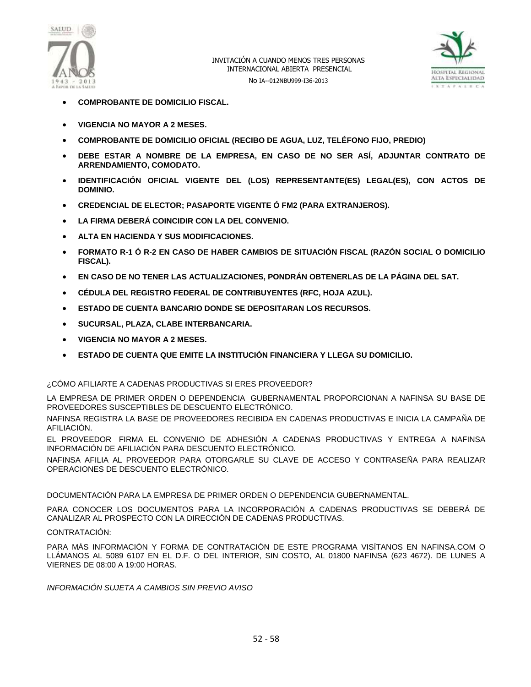



- **COMPROBANTE DE DOMICILIO FISCAL.**
- **VIGENCIA NO MAYOR A 2 MESES.**
- **COMPROBANTE DE DOMICILIO OFICIAL (RECIBO DE AGUA, LUZ, TELÉFONO FIJO, PREDIO)**
- **DEBE ESTAR A NOMBRE DE LA EMPRESA, EN CASO DE NO SER ASÍ, ADJUNTAR CONTRATO DE ARRENDAMIENTO, COMODATO.**
- **IDENTIFICACIÓN OFICIAL VIGENTE DEL (LOS) REPRESENTANTE(ES) LEGAL(ES), CON ACTOS DE DOMINIO.**
- **CREDENCIAL DE ELECTOR; PASAPORTE VIGENTE Ó FM2 (PARA EXTRANJEROS).**
- **LA FIRMA DEBERÁ COINCIDIR CON LA DEL CONVENIO.**
- **ALTA EN HACIENDA Y SUS MODIFICACIONES.**
- **FORMATO R-1 Ó R-2 EN CASO DE HABER CAMBIOS DE SITUACIÓN FISCAL (RAZÓN SOCIAL O DOMICILIO FISCAL).**
- **EN CASO DE NO TENER LAS ACTUALIZACIONES, PONDRÁN OBTENERLAS DE LA PÁGINA DEL SAT.**
- **CÉDULA DEL REGISTRO FEDERAL DE CONTRIBUYENTES (RFC, HOJA AZUL).**
- **ESTADO DE CUENTA BANCARIO DONDE SE DEPOSITARAN LOS RECURSOS.**
- **SUCURSAL, PLAZA, CLABE INTERBANCARIA.**
- **VIGENCIA NO MAYOR A 2 MESES.**
- **ESTADO DE CUENTA QUE EMITE LA INSTITUCIÓN FINANCIERA Y LLEGA SU DOMICILIO.**

#### ¿CÓMO AFILIARTE A CADENAS PRODUCTIVAS SI ERES PROVEEDOR?

LA EMPRESA DE PRIMER ORDEN O DEPENDENCIA GUBERNAMENTAL PROPORCIONAN A NAFINSA SU BASE DE PROVEEDORES SUSCEPTIBLES DE DESCUENTO ELECTRÓNICO.

NAFINSA REGISTRA LA BASE DE PROVEEDORES RECIBIDA EN CADENAS PRODUCTIVAS E INICIA LA CAMPAÑA DE AFILIACIÓN.

EL PROVEEDOR FIRMA EL CONVENIO DE ADHESIÓN A CADENAS PRODUCTIVAS Y ENTREGA A NAFINSA INFORMACIÓN DE AFILIACIÓN PARA DESCUENTO ELECTRÓNICO.

NAFINSA AFILIA AL PROVEEDOR PARA OTORGARLE SU CLAVE DE ACCESO Y CONTRASEÑA PARA REALIZAR OPERACIONES DE DESCUENTO ELECTRÓNICO.

DOCUMENTACIÓN PARA LA EMPRESA DE PRIMER ORDEN O DEPENDENCIA GUBERNAMENTAL.

PARA CONOCER LOS DOCUMENTOS PARA LA INCORPORACIÓN A CADENAS PRODUCTIVAS SE DEBERÁ DE CANALIZAR AL PROSPECTO CON LA DIRECCIÓN DE CADENAS PRODUCTIVAS.

#### CONTRATACIÓN:

PARA MÁS INFORMACIÓN Y FORMA DE CONTRATACIÓN DE ESTE PROGRAMA VISÍTANOS EN NAFINSA.COM O LLÁMANOS AL 5089 6107 EN EL D.F. O DEL INTERIOR, SIN COSTO, AL 01800 NAFINSA (623 4672). DE LUNES A VIERNES DE 08:00 A 19:00 HORAS.

*INFORMACIÓN SUJETA A CAMBIOS SIN PREVIO AVISO*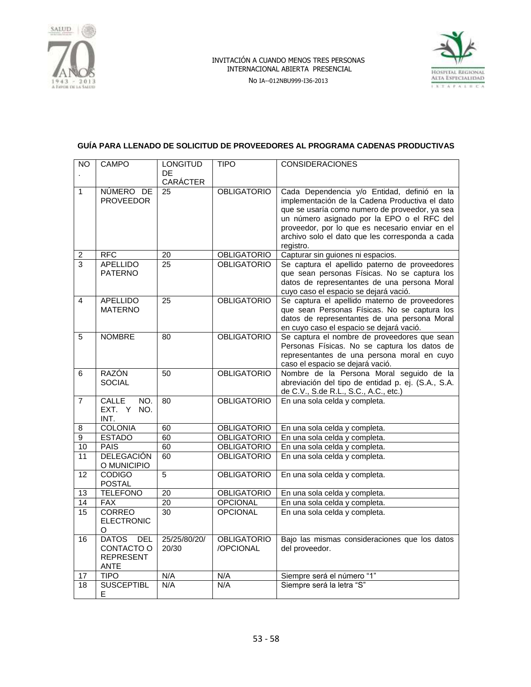

No IA--012NBU999-I36-2013



## **GUÍA PARA LLENADO DE SOLICITUD DE PROVEEDORES AL PROGRAMA CADENAS PRODUCTIVAS**

| <b>NO</b>               | <b>CAMPO</b>                 | <b>LONGITUD</b> | <b>TIPO</b>                              | <b>CONSIDERACIONES</b>                                                                         |
|-------------------------|------------------------------|-----------------|------------------------------------------|------------------------------------------------------------------------------------------------|
|                         |                              | DE<br>CARÁCTER  |                                          |                                                                                                |
| $\mathbf{1}$            | NÚMERO DE                    | 25              | <b>OBLIGATORIO</b>                       | Cada Dependencia y/o Entidad, definió en la                                                    |
|                         | <b>PROVEEDOR</b>             |                 |                                          | implementación de la Cadena Productiva el dato                                                 |
|                         |                              |                 |                                          | que se usaría como numero de proveedor, ya sea                                                 |
|                         |                              |                 |                                          | un número asignado por la EPO o el RFC del                                                     |
|                         |                              |                 |                                          | proveedor, por lo que es necesario enviar en el                                                |
|                         |                              |                 |                                          | archivo solo el dato que les corresponda a cada<br>registro.                                   |
| $\overline{\mathbf{c}}$ | <b>RFC</b>                   | 20              | <b>OBLIGATORIO</b>                       | Capturar sin guiones ni espacios.                                                              |
| 3                       | <b>APELLIDO</b>              | 25              | <b>OBLIGATORIO</b>                       | Se captura el apellido paterno de proveedores                                                  |
|                         | <b>PATERNO</b>               |                 |                                          | que sean personas Físicas. No se captura los                                                   |
|                         |                              |                 |                                          | datos de representantes de una persona Moral                                                   |
| $\overline{\mathbf{A}}$ | <b>APELLIDO</b>              | 25              | <b>OBLIGATORIO</b>                       | cuyo caso el espacio se dejará vació.<br>Se captura el apellido materno de proveedores         |
|                         | <b>MATERNO</b>               |                 |                                          | que sean Personas Físicas. No se captura los                                                   |
|                         |                              |                 |                                          | datos de representantes de una persona Moral                                                   |
|                         |                              |                 |                                          | en cuyo caso el espacio se dejará vació.                                                       |
| $\overline{5}$          | <b>NOMBRE</b>                | 80              | <b>OBLIGATORIO</b>                       | Se captura el nombre de proveedores que sean                                                   |
|                         |                              |                 |                                          | Personas Físicas. No se captura los datos de                                                   |
|                         |                              |                 |                                          | representantes de una persona moral en cuyo                                                    |
|                         | RAZÓN                        |                 | <b>OBLIGATORIO</b>                       | caso el espacio se dejará vació.                                                               |
| 6                       | <b>SOCIAL</b>                | 50              |                                          | Nombre de la Persona Moral seguido de la<br>abreviación del tipo de entidad p. ej. (S.A., S.A. |
|                         |                              |                 |                                          | de C.V., S.de R.L., S.C., A.C., etc.)                                                          |
| $\overline{7}$          | CALLE<br>NO.                 | 80              | <b>OBLIGATORIO</b>                       | En una sola celda y completa.                                                                  |
|                         | EXT. Y<br>NO.                |                 |                                          |                                                                                                |
|                         | INT.                         |                 |                                          |                                                                                                |
| 8                       | <b>COLONIA</b>               | 60              | <b>OBLIGATORIO</b>                       | En una sola celda y completa.                                                                  |
| 9                       | <b>ESTADO</b><br><b>PAIS</b> | 60              | <b>OBLIGATORIO</b>                       | En una sola celda y completa.                                                                  |
| 10<br>11                | <b>DELEGACIÓN</b>            | 60<br>60        | <b>OBLIGATORIO</b><br><b>OBLIGATORIO</b> | En una sola celda y completa.<br>En una sola celda y completa.                                 |
|                         | O MUNICIPIO                  |                 |                                          |                                                                                                |
| 12                      | <b>CODIGO</b>                | 5               | <b>OBLIGATORIO</b>                       | En una sola celda y completa.                                                                  |
|                         | <b>POSTAL</b>                |                 |                                          |                                                                                                |
| 13                      | <b>TELEFONO</b>              | 20              | <b>OBLIGATORIO</b>                       | En una sola celda y completa.                                                                  |
| 14                      | <b>FAX</b>                   | $\overline{20}$ | <b>OPCIONAL</b>                          | En una sola celda y completa.                                                                  |
| 15                      | <b>CORREO</b>                | 30              | <b>OPCIONAL</b>                          | En una sola celda y completa.                                                                  |
|                         | <b>ELECTRONIC</b><br>O       |                 |                                          |                                                                                                |
| 16                      | <b>DATOS</b><br><b>DEL</b>   | 25/25/80/20/    | <b>OBLIGATORIO</b>                       | Bajo las mismas consideraciones que los datos                                                  |
|                         | CONTACTO O                   | 20/30           | /OPCIONAL                                | del proveedor.                                                                                 |
|                         | <b>REPRESENT</b>             |                 |                                          |                                                                                                |
|                         | <b>ANTE</b>                  |                 |                                          |                                                                                                |
| 17                      | <b>TIPO</b>                  | N/A             | N/A                                      | Siempre será el número "1"                                                                     |
| 18                      | <b>SUSCEPTIBL</b>            | N/A             | N/A                                      | Siempre será la letra "S"                                                                      |
|                         | Е                            |                 |                                          |                                                                                                |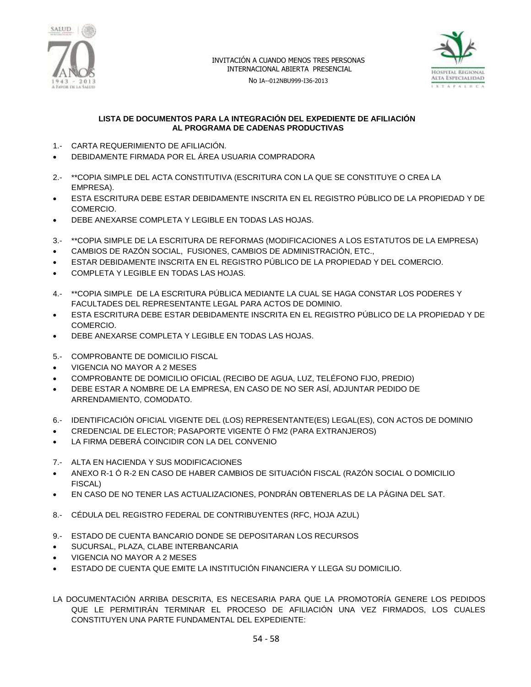

No IA--012NBU999-I36-2013



#### **LISTA DE DOCUMENTOS PARA LA INTEGRACIÓN DEL EXPEDIENTE DE AFILIACIÓN AL PROGRAMA DE CADENAS PRODUCTIVAS**

- 1.- CARTA REQUERIMIENTO DE AFILIACIÓN.
- DEBIDAMENTE FIRMADA POR EL ÁREA USUARIA COMPRADORA
- 2.- \*\*COPIA SIMPLE DEL ACTA CONSTITUTIVA (ESCRITURA CON LA QUE SE CONSTITUYE O CREA LA EMPRESA).
- ESTA ESCRITURA DEBE ESTAR DEBIDAMENTE INSCRITA EN EL REGISTRO PÚBLICO DE LA PROPIEDAD Y DE COMERCIO.
- DEBE ANEXARSE COMPLETA Y LEGIBLE EN TODAS LAS HOJAS.
- 3.- \*\*COPIA SIMPLE DE LA ESCRITURA DE REFORMAS (MODIFICACIONES A LOS ESTATUTOS DE LA EMPRESA)
- CAMBIOS DE RAZÓN SOCIAL, FUSIONES, CAMBIOS DE ADMINISTRACIÓN, ETC.,
- ESTAR DEBIDAMENTE INSCRITA EN EL REGISTRO PÚBLICO DE LA PROPIEDAD Y DEL COMERCIO.
- COMPLETA Y LEGIBLE EN TODAS LAS HOJAS.
- 4.- \*\*COPIA SIMPLE DE LA ESCRITURA PÚBLICA MEDIANTE LA CUAL SE HAGA CONSTAR LOS PODERES Y FACULTADES DEL REPRESENTANTE LEGAL PARA ACTOS DE DOMINIO.
- ESTA ESCRITURA DEBE ESTAR DEBIDAMENTE INSCRITA EN EL REGISTRO PÚBLICO DE LA PROPIEDAD Y DE COMERCIO.
- DEBE ANEXARSE COMPLETA Y LEGIBLE EN TODAS LAS HOJAS.
- 5.- COMPROBANTE DE DOMICILIO FISCAL
- VIGENCIA NO MAYOR A 2 MESES
- COMPROBANTE DE DOMICILIO OFICIAL (RECIBO DE AGUA, LUZ, TELÉFONO FIJO, PREDIO)
- DEBE ESTAR A NOMBRE DE LA EMPRESA, EN CASO DE NO SER ASÍ, ADJUNTAR PEDIDO DE ARRENDAMIENTO, COMODATO.
- 6.- IDENTIFICACIÓN OFICIAL VIGENTE DEL (LOS) REPRESENTANTE(ES) LEGAL(ES), CON ACTOS DE DOMINIO
- CREDENCIAL DE ELECTOR; PASAPORTE VIGENTE Ó FM2 (PARA EXTRANJEROS)
- LA FIRMA DEBERÁ COINCIDIR CON LA DEL CONVENIO
- 7.- ALTA EN HACIENDA Y SUS MODIFICACIONES
- ANEXO R-1 Ó R-2 EN CASO DE HABER CAMBIOS DE SITUACIÓN FISCAL (RAZÓN SOCIAL O DOMICILIO FISCAL)
- EN CASO DE NO TENER LAS ACTUALIZACIONES, PONDRÁN OBTENERLAS DE LA PÁGINA DEL SAT.
- 8.- CÉDULA DEL REGISTRO FEDERAL DE CONTRIBUYENTES (RFC, HOJA AZUL)
- 9.- ESTADO DE CUENTA BANCARIO DONDE SE DEPOSITARAN LOS RECURSOS
- SUCURSAL, PLAZA, CLABE INTERBANCARIA
- VIGENCIA NO MAYOR A 2 MESES
- ESTADO DE CUENTA QUE EMITE LA INSTITUCIÓN FINANCIERA Y LLEGA SU DOMICILIO.
- LA DOCUMENTACIÓN ARRIBA DESCRITA, ES NECESARIA PARA QUE LA PROMOTORÍA GENERE LOS PEDIDOS QUE LE PERMITIRÁN TERMINAR EL PROCESO DE AFILIACIÓN UNA VEZ FIRMADOS, LOS CUALES CONSTITUYEN UNA PARTE FUNDAMENTAL DEL EXPEDIENTE: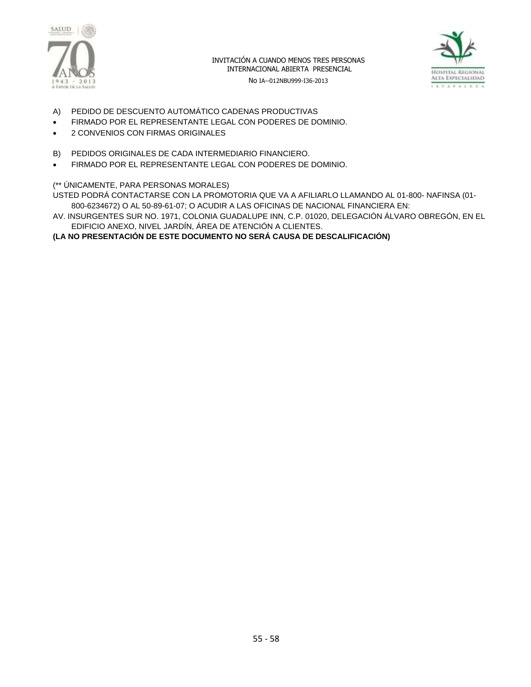



No IA--012NBU999-I36-2013

- A) PEDIDO DE DESCUENTO AUTOMÁTICO CADENAS PRODUCTIVAS
- FIRMADO POR EL REPRESENTANTE LEGAL CON PODERES DE DOMINIO.
- 2 CONVENIOS CON FIRMAS ORIGINALES
- B) PEDIDOS ORIGINALES DE CADA INTERMEDIARIO FINANCIERO.
- FIRMADO POR EL REPRESENTANTE LEGAL CON PODERES DE DOMINIO.

## (\*\* ÚNICAMENTE, PARA PERSONAS MORALES)

USTED PODRÁ CONTACTARSE CON LA PROMOTORIA QUE VA A AFILIARLO LLAMANDO AL 01-800- NAFINSA (01- 800-6234672) O AL 50-89-61-07; O ACUDIR A LAS OFICINAS DE NACIONAL FINANCIERA EN:

AV. INSURGENTES SUR NO. 1971, COLONIA GUADALUPE INN, C.P. 01020, DELEGACIÓN ÁLVARO OBREGÓN, EN EL EDIFICIO ANEXO, NIVEL JARDÍN, ÁREA DE ATENCIÓN A CLIENTES.

**(LA NO PRESENTACIÓN DE ESTE DOCUMENTO NO SERÁ CAUSA DE DESCALIFICACIÓN)**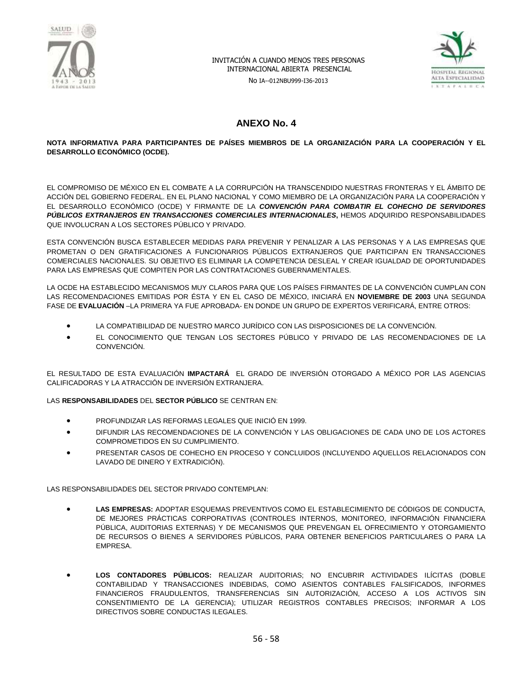

No IA--012NBU999-I36-2013



## **ANEXO No. 4**

#### **NOTA INFORMATIVA PARA PARTICIPANTES DE PAÍSES MIEMBROS DE LA ORGANIZACIÓN PARA LA COOPERACIÓN Y EL DESARROLLO ECONÓMICO (OCDE).**

EL COMPROMISO DE MÉXICO EN EL COMBATE A LA CORRUPCIÓN HA TRANSCENDIDO NUESTRAS FRONTERAS Y EL ÁMBITO DE ACCIÓN DEL GOBIERNO FEDERAL. EN EL PLANO NACIONAL Y COMO MIEMBRO DE LA ORGANIZACIÓN PARA LA COOPERACIÓN Y EL DESARROLLO ECONÓMICO (OCDE) Y FIRMANTE DE LA *CONVENCIÓN PARA COMBATIR EL COHECHO DE SERVIDORES PÚBLICOS EXTRANJEROS EN TRANSACCIONES COMERCIALES INTERNACIONALES***,** HEMOS ADQUIRIDO RESPONSABILIDADES QUE INVOLUCRAN A LOS SECTORES PÚBLICO Y PRIVADO.

ESTA CONVENCIÓN BUSCA ESTABLECER MEDIDAS PARA PREVENIR Y PENALIZAR A LAS PERSONAS Y A LAS EMPRESAS QUE PROMETAN O DEN GRATIFICACIONES A FUNCIONARIOS PÚBLICOS EXTRANJEROS QUE PARTICIPAN EN TRANSACCIONES COMERCIALES NACIONALES. SU OBJETIVO ES ELIMINAR LA COMPETENCIA DESLEAL Y CREAR IGUALDAD DE OPORTUNIDADES PARA LAS EMPRESAS QUE COMPITEN POR LAS CONTRATACIONES GUBERNAMENTALES.

LA OCDE HA ESTABLECIDO MECANISMOS MUY CLAROS PARA QUE LOS PAÍSES FIRMANTES DE LA CONVENCIÓN CUMPLAN CON LAS RECOMENDACIONES EMITIDAS POR ÉSTA Y EN EL CASO DE MÉXICO, INICIARÁ EN **NOVIEMBRE DE 2003** UNA SEGUNDA FASE DE **EVALUACIÓN** –LA PRIMERA YA FUE APROBADA- EN DONDE UN GRUPO DE EXPERTOS VERIFICARÁ, ENTRE OTROS:

- LA COMPATIBILIDAD DE NUESTRO MARCO JURÍDICO CON LAS DISPOSICIONES DE LA CONVENCIÓN.
- EL CONOCIMIENTO QUE TENGAN LOS SECTORES PÚBLICO Y PRIVADO DE LAS RECOMENDACIONES DE LA CONVENCIÓN.

EL RESULTADO DE ESTA EVALUACIÓN **IMPACTARÁ** EL GRADO DE INVERSIÓN OTORGADO A MÉXICO POR LAS AGENCIAS CALIFICADORAS Y LA ATRACCIÓN DE INVERSIÓN EXTRANJERA.

#### LAS **RESPONSABILIDADES** DEL **SECTOR PÚBLICO** SE CENTRAN EN:

- PROFUNDIZAR LAS REFORMAS LEGALES QUE INICIÓ EN 1999.
- DIFUNDIR LAS RECOMENDACIONES DE LA CONVENCIÓN Y LAS OBLIGACIONES DE CADA UNO DE LOS ACTORES COMPROMETIDOS EN SU CUMPLIMIENTO.
- PRESENTAR CASOS DE COHECHO EN PROCESO Y CONCLUIDOS (INCLUYENDO AQUELLOS RELACIONADOS CON LAVADO DE DINERO Y EXTRADICIÓN).

LAS RESPONSABILIDADES DEL SECTOR PRIVADO CONTEMPLAN:

- **LAS EMPRESAS:** ADOPTAR ESQUEMAS PREVENTIVOS COMO EL ESTABLECIMIENTO DE CÓDIGOS DE CONDUCTA, DE MEJORES PRÁCTICAS CORPORATIVAS (CONTROLES INTERNOS, MONITOREO, INFORMACIÓN FINANCIERA PÚBLICA, AUDITORIAS EXTERNAS) Y DE MECANISMOS QUE PREVENGAN EL OFRECIMIENTO Y OTORGAMIENTO DE RECURSOS O BIENES A SERVIDORES PÚBLICOS, PARA OBTENER BENEFICIOS PARTICULARES O PARA LA EMPRESA.
- **LOS CONTADORES PÚBLICOS:** REALIZAR AUDITORIAS; NO ENCUBRIR ACTIVIDADES ILÍCITAS (DOBLE CONTABILIDAD Y TRANSACCIONES INDEBIDAS, COMO ASIENTOS CONTABLES FALSIFICADOS, INFORMES FINANCIEROS FRAUDULENTOS, TRANSFERENCIAS SIN AUTORIZACIÓN, ACCESO A LOS ACTIVOS SIN CONSENTIMIENTO DE LA GERENCIA); UTILIZAR REGISTROS CONTABLES PRECISOS; INFORMAR A LOS DIRECTIVOS SOBRE CONDUCTAS ILEGALES.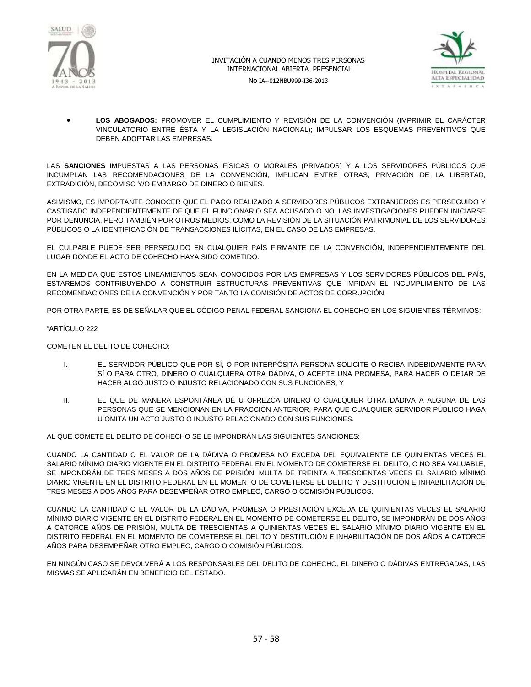





 **LOS ABOGADOS:** PROMOVER EL CUMPLIMIENTO Y REVISIÓN DE LA CONVENCIÓN (IMPRIMIR EL CARÁCTER VINCULATORIO ENTRE ÉSTA Y LA LEGISLACIÓN NACIONAL); IMPULSAR LOS ESQUEMAS PREVENTIVOS QUE DEBEN ADOPTAR LAS EMPRESAS.

LAS **SANCIONES** IMPUESTAS A LAS PERSONAS FÍSICAS O MORALES (PRIVADOS) Y A LOS SERVIDORES PÚBLICOS QUE INCUMPLAN LAS RECOMENDACIONES DE LA CONVENCIÓN, IMPLICAN ENTRE OTRAS, PRIVACIÓN DE LA LIBERTAD, EXTRADICIÓN, DECOMISO Y/O EMBARGO DE DINERO O BIENES.

ASIMISMO, ES IMPORTANTE CONOCER QUE EL PAGO REALIZADO A SERVIDORES PÚBLICOS EXTRANJEROS ES PERSEGUIDO Y CASTIGADO INDEPENDIENTEMENTE DE QUE EL FUNCIONARIO SEA ACUSADO O NO. LAS INVESTIGACIONES PUEDEN INICIARSE POR DENUNCIA, PERO TAMBIÉN POR OTROS MEDIOS, COMO LA REVISIÓN DE LA SITUACIÓN PATRIMONIAL DE LOS SERVIDORES PÚBLICOS O LA IDENTIFICACIÓN DE TRANSACCIONES ILÍCITAS, EN EL CASO DE LAS EMPRESAS.

EL CULPABLE PUEDE SER PERSEGUIDO EN CUALQUIER PAÍS FIRMANTE DE LA CONVENCIÓN, INDEPENDIENTEMENTE DEL LUGAR DONDE EL ACTO DE COHECHO HAYA SIDO COMETIDO.

EN LA MEDIDA QUE ESTOS LINEAMIENTOS SEAN CONOCIDOS POR LAS EMPRESAS Y LOS SERVIDORES PÚBLICOS DEL PAÍS, ESTAREMOS CONTRIBUYENDO A CONSTRUIR ESTRUCTURAS PREVENTIVAS QUE IMPIDAN EL INCUMPLIMIENTO DE LAS RECOMENDACIONES DE LA CONVENCIÓN Y POR TANTO LA COMISIÓN DE ACTOS DE CORRUPCIÓN.

POR OTRA PARTE, ES DE SEÑALAR QUE EL CÓDIGO PENAL FEDERAL SANCIONA EL COHECHO EN LOS SIGUIENTES TÉRMINOS:

#### "ARTÍCULO 222

COMETEN EL DELITO DE COHECHO:

- I. EL SERVIDOR PÚBLICO QUE POR SÍ, O POR INTERPÓSITA PERSONA SOLICITE O RECIBA INDEBIDAMENTE PARA SÍ O PARA OTRO, DINERO O CUALQUIERA OTRA DÁDIVA, O ACEPTE UNA PROMESA, PARA HACER O DEJAR DE HACER ALGO JUSTO O INJUSTO RELACIONADO CON SUS FUNCIONES, Y
- II. EL QUE DE MANERA ESPONTÁNEA DÉ U OFREZCA DINERO O CUALQUIER OTRA DÁDIVA A ALGUNA DE LAS PERSONAS QUE SE MENCIONAN EN LA FRACCIÓN ANTERIOR, PARA QUE CUALQUIER SERVIDOR PÚBLICO HAGA U OMITA UN ACTO JUSTO O INJUSTO RELACIONADO CON SUS FUNCIONES.

AL QUE COMETE EL DELITO DE COHECHO SE LE IMPONDRÁN LAS SIGUIENTES SANCIONES:

CUANDO LA CANTIDAD O EL VALOR DE LA DÁDIVA O PROMESA NO EXCEDA DEL EQUIVALENTE DE QUINIENTAS VECES EL SALARIO MÍNIMO DIARIO VIGENTE EN EL DISTRITO FEDERAL EN EL MOMENTO DE COMETERSE EL DELITO, O NO SEA VALUABLE, SE IMPONDRÁN DE TRES MESES A DOS AÑOS DE PRISIÓN, MULTA DE TREINTA A TRESCIENTAS VECES EL SALARIO MÍNIMO DIARIO VIGENTE EN EL DISTRITO FEDERAL EN EL MOMENTO DE COMETERSE EL DELITO Y DESTITUCIÓN E INHABILITACIÓN DE TRES MESES A DOS AÑOS PARA DESEMPEÑAR OTRO EMPLEO, CARGO O COMISIÓN PÚBLICOS.

CUANDO LA CANTIDAD O EL VALOR DE LA DÁDIVA, PROMESA O PRESTACIÓN EXCEDA DE QUINIENTAS VECES EL SALARIO MÍNIMO DIARIO VIGENTE EN EL DISTRITO FEDERAL EN EL MOMENTO DE COMETERSE EL DELITO, SE IMPONDRÁN DE DOS AÑOS A CATORCE AÑOS DE PRISIÓN, MULTA DE TRESCIENTAS A QUINIENTAS VECES EL SALARIO MÍNIMO DIARIO VIGENTE EN EL DISTRITO FEDERAL EN EL MOMENTO DE COMETERSE EL DELITO Y DESTITUCIÓN E INHABILITACIÓN DE DOS AÑOS A CATORCE AÑOS PARA DESEMPEÑAR OTRO EMPLEO, CARGO O COMISIÓN PÚBLICOS.

EN NINGÚN CASO SE DEVOLVERÁ A LOS RESPONSABLES DEL DELITO DE COHECHO, EL DINERO O DÁDIVAS ENTREGADAS, LAS MISMAS SE APLICARÁN EN BENEFICIO DEL ESTADO.